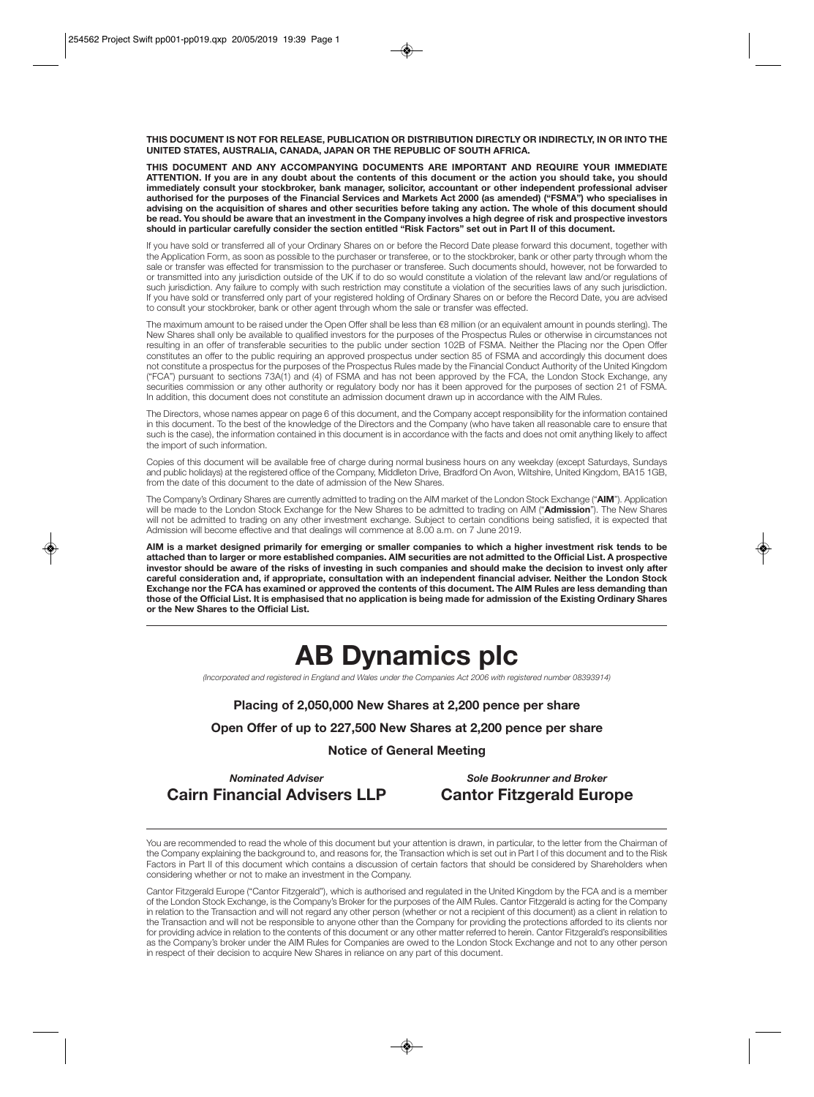**THIS DOCUMENT IS NOT FOR RELEASE, PUBLICATION OR DISTRIBUTION DIRECTLY OR INDIRECTLY, IN OR INTO THE UNITED STATES, AUSTRALIA, CANADA, JAPAN OR THE REPUBLIC OF SOUTH AFRICA.** 

**THIS DOCUMENT AND ANY ACCOMPANYING DOCUMENTS ARE IMPORTANT AND REQUIRE YOUR IMMEDIATE ATTENTION. If you are in any doubt about the contents of this document or the action you should take, you should immediately consult your stockbroker, bank manager, solicitor, accountant or other independent professional adviser authorised for the purposes of the Financial Services and Markets Act 2000 (as amended) ("FSMA") who specialises in advising on the acquisition of shares and other securities before taking any action. The whole of this document should be read. You should be aware that an investment in the Company involves a high degree of risk and prospective investors should in particular carefully consider the section entitled "Risk Factors" set out in Part II of this document.** 

If you have sold or transferred all of your Ordinary Shares on or before the Record Date please forward this document, together with the Application Form, as soon as possible to the purchaser or transferee, or to the stockbroker, bank or other party through whom the sale or transfer was effected for transmission to the purchaser or transferee. Such documents should, however, not be forwarded to or transmitted into any jurisdiction outside of the UK if to do so would constitute a violation of the relevant law and/or regulations of such jurisdiction. Any failure to comply with such restriction may constitute a violation of the securities laws of any such jurisdiction. If you have sold or transferred only part of your registered holding of Ordinary Shares on or before the Record Date, you are advised to consult your stockbroker, bank or other agent through whom the sale or transfer was effected.

The maximum amount to be raised under the Open Offer shall be less than €8 million (or an equivalent amount in pounds sterling). The New Shares shall only be available to qualified investors for the purposes of the Prospectus Rules or otherwise in circumstances not resulting in an offer of transferable securities to the public under section 102B of FSMA. Neither the Placing nor the Open Offer constitutes an offer to the public requiring an approved prospectus under section 85 of FSMA and accordingly this document does not constitute a prospectus for the purposes of the Prospectus Rules made by the Financial Conduct Authority of the United Kingdom ("FCA") pursuant to sections 73A(1) and (4) of FSMA and has not been approved by the FCA, the London Stock Exchange, any securities commission or any other authority or regulatory body nor has it been approved for the purposes of section 21 of FSMA. In addition, this document does not constitute an admission document drawn up in accordance with the AIM Rules.

The Directors, whose names appear on page 6 of this document, and the Company accept responsibility for the information contained in this document. To the best of the knowledge of the Directors and the Company (who have taken all reasonable care to ensure that such is the case), the information contained in this document is in accordance with the facts and does not omit anything likely to affect the import of such information.

Copies of this document will be available free of charge during normal business hours on any weekday (except Saturdays, Sundays and public holidays) at the registered office of the Company, Middleton Drive, Bradford On Avon, Wiltshire, United Kingdom, BA15 1GB, from the date of this document to the date of admission of the New Shares.

The Company's Ordinary Shares are currently admitted to trading on the AIM market of the London Stock Exchange ("**AIM**"). Application will be made to the London Stock Exchange for the New Shares to be admitted to trading on AIM ("**Admission**"). The New Shares will not be admitted to trading on any other investment exchange. Subject to certain conditions being satisfied, it is expected that Admission will become effective and that dealings will commence at 8.00 a.m. on 7 June 2019.

**AIM is a market designed primarily for emerging or smaller companies to which a higher investment risk tends to be attached than to larger or more established companies. AIM securities are not admitted to the Official List. A prospective investor should be aware of the risks of investing in such companies and should make the decision to invest only after careful consideration and, if appropriate, consultation with an independent financial adviser. Neither the London Stock Exchange nor the FCA has examined or approved the contents of this document. The AIM Rules are less demanding than those of the Official List. It is emphasised that no application is being made for admission of the Existing Ordinary Shares or the New Shares to the Official List.** 

# **AB Dynamics plc**

*(Incorporated and registered in England and Wales under the Companies Act 2006 with registered number 08393914)* 

#### **Placing of 2,050,000 New Shares at 2,200 pence per share**

#### **Open Offer of up to 227,500 New Shares at 2,200 pence per share**

#### **Notice of General Meeting**

 **Cairn Financial Advisers LLP Cantor Fitzgerald Europe** 

 *Nominated Adviser Sole Bookrunner and Broker* 

You are recommended to read the whole of this document but your attention is drawn, in particular, to the letter from the Chairman of the Company explaining the background to, and reasons for, the Transaction which is set out in Part I of this document and to the Risk Factors in Part II of this document which contains a discussion of certain factors that should be considered by Shareholders when considering whether or not to make an investment in the Company.

Cantor Fitzgerald Europe ("Cantor Fitzgerald"), which is authorised and regulated in the United Kingdom by the FCA and is a member of the London Stock Exchange, is the Company's Broker for the purposes of the AIM Rules. Cantor Fitzgerald is acting for the Company in relation to the Transaction and will not regard any other person (whether or not a recipient of this document) as a client in relation to the Transaction and will not be responsible to anyone other than the Company for providing the protections afforded to its clients nor for providing advice in relation to the contents of this document or any other matter referred to herein. Cantor Fitzgerald's responsibilities as the Company's broker under the AIM Rules for Companies are owed to the London Stock Exchange and not to any other person in respect of their decision to acquire New Shares in reliance on any part of this document.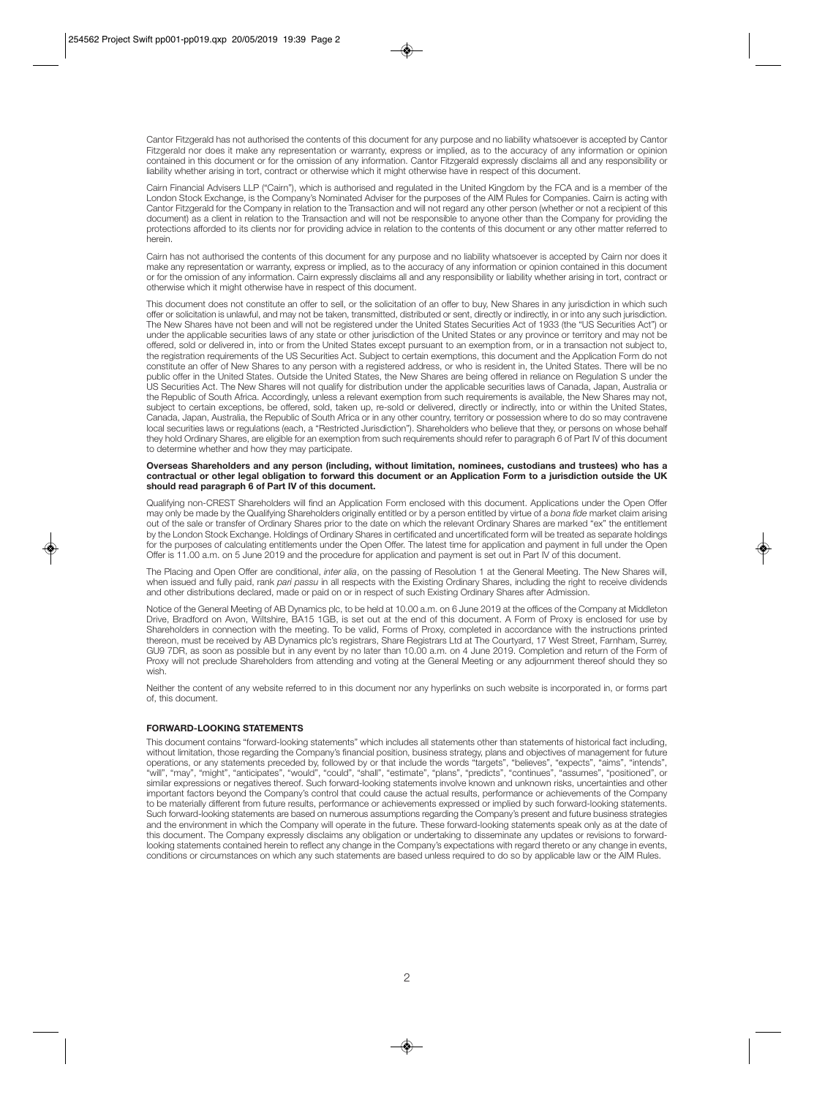Cantor Fitzgerald has not authorised the contents of this document for any purpose and no liability whatsoever is accepted by Cantor Fitzgerald nor does it make any representation or warranty, express or implied, as to the accuracy of any information or opinion contained in this document or for the omission of any information. Cantor Fitzgerald expressly disclaims all and any responsibility or liability whether arising in tort, contract or otherwise which it might otherwise have in respect of this document.

Cairn Financial Advisers LLP ("Cairn"), which is authorised and regulated in the United Kingdom by the FCA and is a member of the London Stock Exchange, is the Company's Nominated Adviser for the purposes of the AIM Rules for Companies. Cairn is acting with Cantor Fitzgerald for the Company in relation to the Transaction and will not regard any other person (whether or not a recipient of this document) as a client in relation to the Transaction and will not be responsible to anyone other than the Company for providing the protections afforded to its clients nor for providing advice in relation to the contents of this document or any other matter referred to herein.

Cairn has not authorised the contents of this document for any purpose and no liability whatsoever is accepted by Cairn nor does it make any representation or warranty, express or implied, as to the accuracy of any information or opinion contained in this document or for the omission of any information. Cairn expressly disclaims all and any responsibility or liability whether arising in tort, contract or otherwise which it might otherwise have in respect of this document.

This document does not constitute an offer to sell, or the solicitation of an offer to buy, New Shares in any jurisdiction in which such offer or solicitation is unlawful, and may not be taken, transmitted, distributed or sent, directly or indirectly, in or into any such jurisdiction. The New Shares have not been and will not be registered under the United States Securities Act of 1933 (the "US Securities Act") or under the applicable securities laws of any state or other jurisdiction of the United States or any province or territory and may not be offered, sold or delivered in, into or from the United States except pursuant to an exemption from, or in a transaction not subject to, the registration requirements of the US Securities Act. Subject to certain exemptions, this document and the Application Form do not constitute an offer of New Shares to any person with a registered address, or who is resident in, the United States. There will be no public offer in the United States. Outside the United States, the New Shares are being offered in reliance on Regulation S under the US Securities Act. The New Shares will not qualify for distribution under the applicable securities laws of Canada, Japan, Australia or the Republic of South Africa. Accordingly, unless a relevant exemption from such requirements is available, the New Shares may not, subject to certain exceptions, be offered, sold, taken up, re-sold or delivered, directly or indirectly, into or within the United States, Canada, Japan, Australia, the Republic of South Africa or in any other country, territory or possession where to do so may contravene local securities laws or regulations (each, a "Restricted Jurisdiction"). Shareholders who believe that they, or persons on whose behalf they hold Ordinary Shares, are eligible for an exemption from such requirements should refer to paragraph 6 of Part IV of this document to determine whether and how they may participate.

#### **Overseas Shareholders and any person (including, without limitation, nominees, custodians and trustees) who has a contractual or other legal obligation to forward this document or an Application Form to a jurisdiction outside the UK should read paragraph 6 of Part IV of this document.**

Qualifying non-CREST Shareholders will find an Application Form enclosed with this document. Applications under the Open Offer may only be made by the Qualifying Shareholders originally entitled or by a person entitled by virtue of a *bona fide* market claim arising out of the sale or transfer of Ordinary Shares prior to the date on which the relevant Ordinary Shares are marked "ex" the entitlement by the London Stock Exchange. Holdings of Ordinary Shares in certificated and uncertificated form will be treated as separate holdings for the purposes of calculating entitlements under the Open Offer. The latest time for application and payment in full under the Open Offer is 11.00 a.m. on 5 June 2019 and the procedure for application and payment is set out in Part IV of this document.

The Placing and Open Offer are conditional, *inter alia*, on the passing of Resolution 1 at the General Meeting. The New Shares will, when issued and fully paid, rank *pari passu* in all respects with the Existing Ordinary Shares, including the right to receive dividends and other distributions declared, made or paid on or in respect of such Existing Ordinary Shares after Admission.

Notice of the General Meeting of AB Dynamics plc, to be held at 10.00 a.m. on 6 June 2019 at the offices of the Company at Middleton Drive, Bradford on Avon, Wiltshire, BA15 1GB, is set out at the end of this document. A Form of Proxy is enclosed for use by Shareholders in connection with the meeting. To be valid, Forms of Proxy, completed in accordance with the instructions printed thereon, must be received by AB Dynamics plc's registrars, Share Registrars Ltd at The Courtyard, 17 West Street, Farnham, Surrey, GU9 7DR, as soon as possible but in any event by no later than 10.00 a.m. on 4 June 2019. Completion and return of the Form of Proxy will not preclude Shareholders from attending and voting at the General Meeting or any adjournment thereof should they so wish<sup>.</sup>

Neither the content of any website referred to in this document nor any hyperlinks on such website is incorporated in, or forms part of, this document.

#### **FORWARD-LOOKING STATEMENTS**

This document contains "forward-looking statements" which includes all statements other than statements of historical fact including, without limitation, those regarding the Company's financial position, business strategy, plans and objectives of management for future operations, or any statements preceded by, followed by or that include the words "targets", "believes", "expects", "aims", "intends", "will", "may", "might", "anticipates", "would", "could", "shall", "estimate", "plans", "predicts", "continues", "assumes", "positioned", or similar expressions or negatives thereof. Such forward-looking statements involve known and unknown risks, uncertainties and other important factors beyond the Company's control that could cause the actual results, performance or achievements of the Company to be materially different from future results, performance or achievements expressed or implied by such forward-looking statements. Such forward-looking statements are based on numerous assumptions regarding the Company's present and future business strategies and the environment in which the Company will operate in the future. These forward-looking statements speak only as at the date of this document. The Company expressly disclaims any obligation or undertaking to disseminate any updates or revisions to forwardlooking statements contained herein to reflect any change in the Company's expectations with regard thereto or any change in events, conditions or circumstances on which any such statements are based unless required to do so by applicable law or the AIM Rules.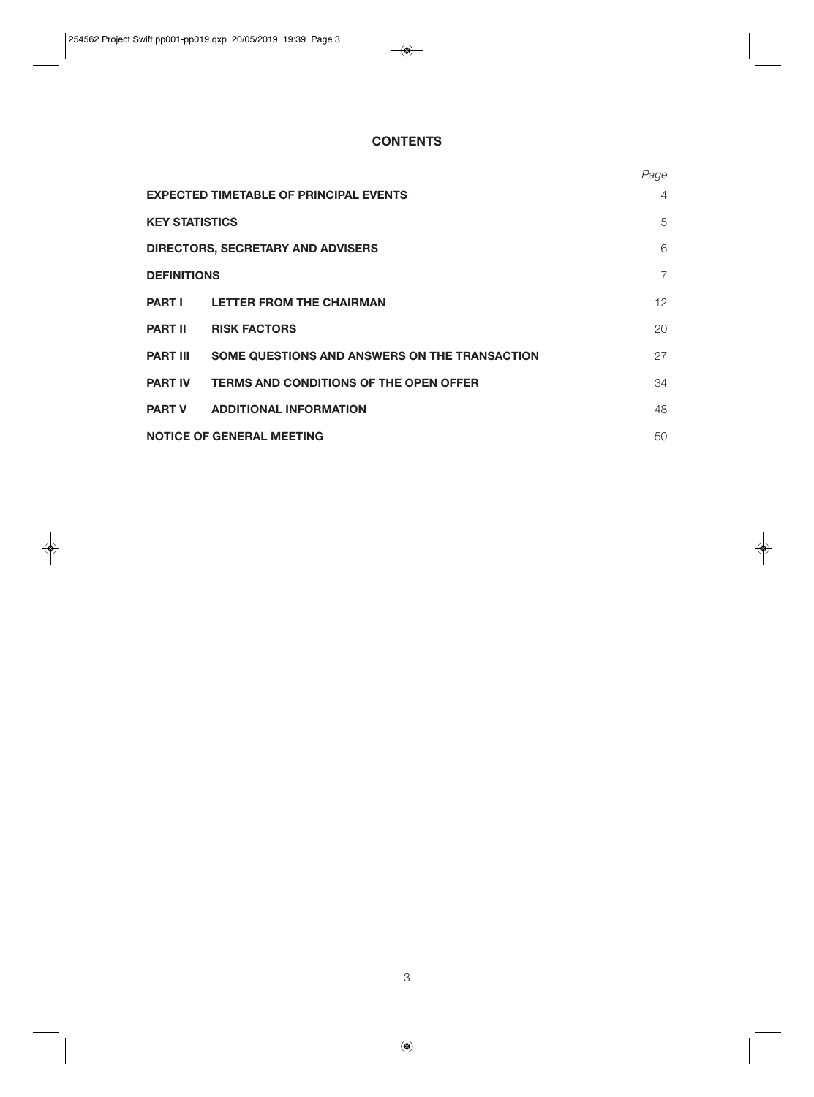# **CONTENTS**

|                                                                  | Page           |
|------------------------------------------------------------------|----------------|
| <b>EXPECTED TIMETABLE OF PRINCIPAL EVENTS</b>                    | $\overline{4}$ |
| <b>KEY STATISTICS</b>                                            | 5              |
| <b>DIRECTORS, SECRETARY AND ADVISERS</b>                         | 6              |
| <b>DEFINITIONS</b>                                               | $\overline{7}$ |
| <b>LETTER FROM THE CHAIRMAN</b><br><b>PART I</b>                 | 12             |
| <b>RISK FACTORS</b><br><b>PART II</b>                            | 20             |
| SOME QUESTIONS AND ANSWERS ON THE TRANSACTION<br><b>PART III</b> | 27             |
| <b>TERMS AND CONDITIONS OF THE OPEN OFFER</b><br><b>PART IV</b>  | 34             |
| <b>ADDITIONAL INFORMATION</b><br><b>PART V</b>                   | 48             |
| <b>NOTICE OF GENERAL MEETING</b>                                 | 50             |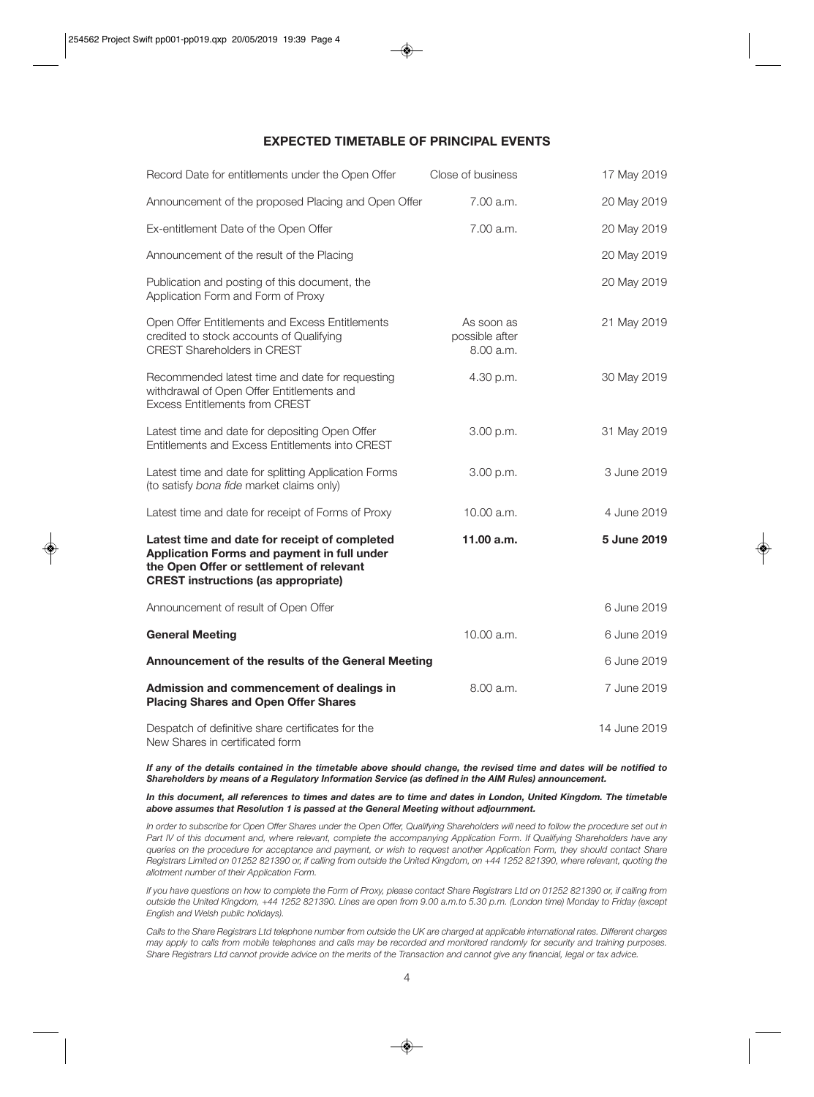#### **EXPECTED TIMETABLE OF PRINCIPAL EVENTS**

| Record Date for entitlements under the Open Offer                                                                                                                                      | Close of business                         | 17 May 2019  |
|----------------------------------------------------------------------------------------------------------------------------------------------------------------------------------------|-------------------------------------------|--------------|
| Announcement of the proposed Placing and Open Offer                                                                                                                                    | 7.00 a.m.                                 | 20 May 2019  |
| Ex-entitlement Date of the Open Offer                                                                                                                                                  | 7.00 a.m.                                 | 20 May 2019  |
| Announcement of the result of the Placing                                                                                                                                              |                                           | 20 May 2019  |
| Publication and posting of this document, the<br>Application Form and Form of Proxy                                                                                                    |                                           | 20 May 2019  |
| Open Offer Entitlements and Excess Entitlements<br>credited to stock accounts of Qualifying<br><b>CREST Shareholders in CREST</b>                                                      | As soon as<br>possible after<br>8.00 a.m. | 21 May 2019  |
| Recommended latest time and date for requesting<br>withdrawal of Open Offer Entitlements and<br><b>Excess Entitlements from CREST</b>                                                  | 4.30 p.m.                                 | 30 May 2019  |
| Latest time and date for depositing Open Offer<br>Entitlements and Excess Entitlements into CREST                                                                                      | 3.00 p.m.                                 | 31 May 2019  |
| Latest time and date for splitting Application Forms<br>(to satisfy bona fide market claims only)                                                                                      | 3.00 p.m.                                 | 3 June 2019  |
| Latest time and date for receipt of Forms of Proxy                                                                                                                                     | 10.00 a.m.                                | 4 June 2019  |
| Latest time and date for receipt of completed<br>Application Forms and payment in full under<br>the Open Offer or settlement of relevant<br><b>CREST</b> instructions (as appropriate) | 11.00 a.m.                                | 5 June 2019  |
| Announcement of result of Open Offer                                                                                                                                                   |                                           | 6 June 2019  |
| <b>General Meeting</b>                                                                                                                                                                 | 10.00 a.m.                                | 6 June 2019  |
| Announcement of the results of the General Meeting                                                                                                                                     |                                           | 6 June 2019  |
| Admission and commencement of dealings in<br><b>Placing Shares and Open Offer Shares</b>                                                                                               | 8.00 a.m.                                 | 7 June 2019  |
| Despatch of definitive share certificates for the<br>New Shares in certificated form                                                                                                   |                                           | 14 June 2019 |

*If any of the details contained in the timetable above should change, the revised time and dates will be notified to Shareholders by means of a Regulatory Information Service (as defined in the AIM Rules) announcement.* 

*In this document, all references to times and dates are to time and dates in London, United Kingdom. The timetable above assumes that Resolution 1 is passed at the General Meeting without adjournment.* 

*In order to subscribe for Open Offer Shares under the Open Offer, Qualifying Shareholders will need to follow the procedure set out in* Part IV of this document and, where relevant, complete the accompanying Application Form. If Qualifying Shareholders have any *queries on the procedure for acceptance and payment, or wish to request another Application Form, they should contact Share Registrars Limited on 01252 821390 or, if calling from outside the United Kingdom, on +44 1252 821390, where relevant, quoting the allotment number of their Application Form.* 

*If you have questions on how to complete the Form of Proxy, please contact Share Registrars Ltd on 01252 821390 or, if calling from outside the United Kingdom, +44 1252 821390. Lines are open from 9.00 a.m.to 5.30 p.m. (London time) Monday to Friday (except English and Welsh public holidays).* 

*Calls to the Share Registrars Ltd telephone number from outside the UK are charged at applicable international rates. Different charges may apply to calls from mobile telephones and calls may be recorded and monitored randomly for security and training purposes. Share Registrars Ltd cannot provide advice on the merits of the Transaction and cannot give any financial, legal or tax advice.*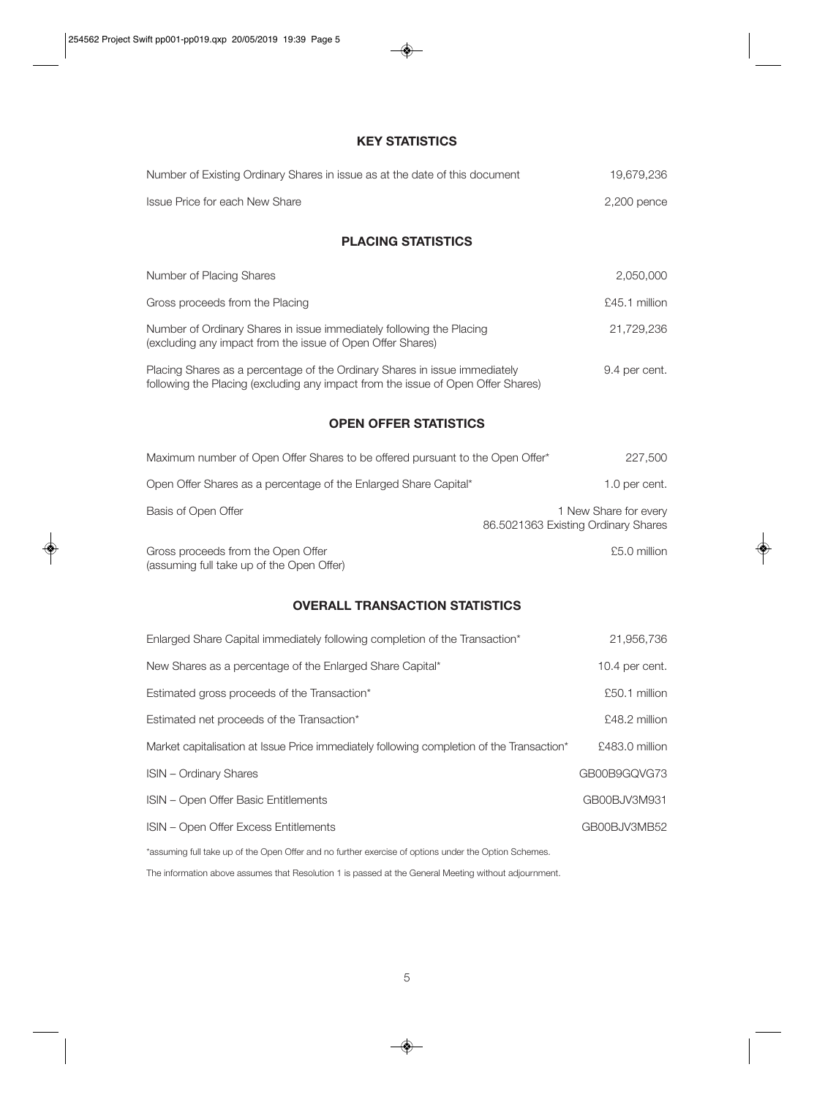### **KEY STATISTICS**

| Number of Existing Ordinary Shares in issue as at the date of this document                                                                                    | 19,679,236      |
|----------------------------------------------------------------------------------------------------------------------------------------------------------------|-----------------|
| Issue Price for each New Share                                                                                                                                 | 2,200 pence     |
| <b>PLACING STATISTICS</b>                                                                                                                                      |                 |
| Number of Placing Shares                                                                                                                                       | 2,050,000       |
| Gross proceeds from the Placing                                                                                                                                | $£45.1$ million |
| Number of Ordinary Shares in issue immediately following the Placing<br>(excluding any impact from the issue of Open Offer Shares)                             | 21,729,236      |
| Placing Shares as a percentage of the Ordinary Shares in issue immediately<br>following the Placing (excluding any impact from the issue of Open Offer Shares) | 9.4 per cent.   |

## **OPEN OFFER STATISTICS**

| Maximum number of Open Offer Shares to be offered pursuant to the Open Offer*   | 227,500                                                      |
|---------------------------------------------------------------------------------|--------------------------------------------------------------|
| Open Offer Shares as a percentage of the Enlarged Share Capital*                | 1.0 per cent.                                                |
| Basis of Open Offer                                                             | 1 New Share for every<br>86.5021363 Existing Ordinary Shares |
| Gross proceeds from the Open Offer<br>(assuming full take up of the Open Offer) | £5.0 million                                                 |

### **OVERALL TRANSACTION STATISTICS**

| Enlarged Share Capital immediately following completion of the Transaction*               | 21,956,736     |
|-------------------------------------------------------------------------------------------|----------------|
| New Shares as a percentage of the Enlarged Share Capital*                                 | 10.4 per cent. |
| Estimated gross proceeds of the Transaction*                                              | £50.1 million  |
| Estimated net proceeds of the Transaction*                                                | £48.2 million  |
| Market capitalisation at Issue Price immediately following completion of the Transaction* | £483.0 million |
| <b>ISIN</b> – Ordinary Shares                                                             | GB00B9GQVG73   |
| ISIN – Open Offer Basic Entitlements                                                      | GB00BJV3M931   |
| ISIN - Open Offer Excess Entitlements                                                     | GB00BJV3MB52   |
|                                                                                           |                |

\*assuming full take up of the Open Offer and no further exercise of options under the Option Schemes.

The information above assumes that Resolution 1 is passed at the General Meeting without adjournment.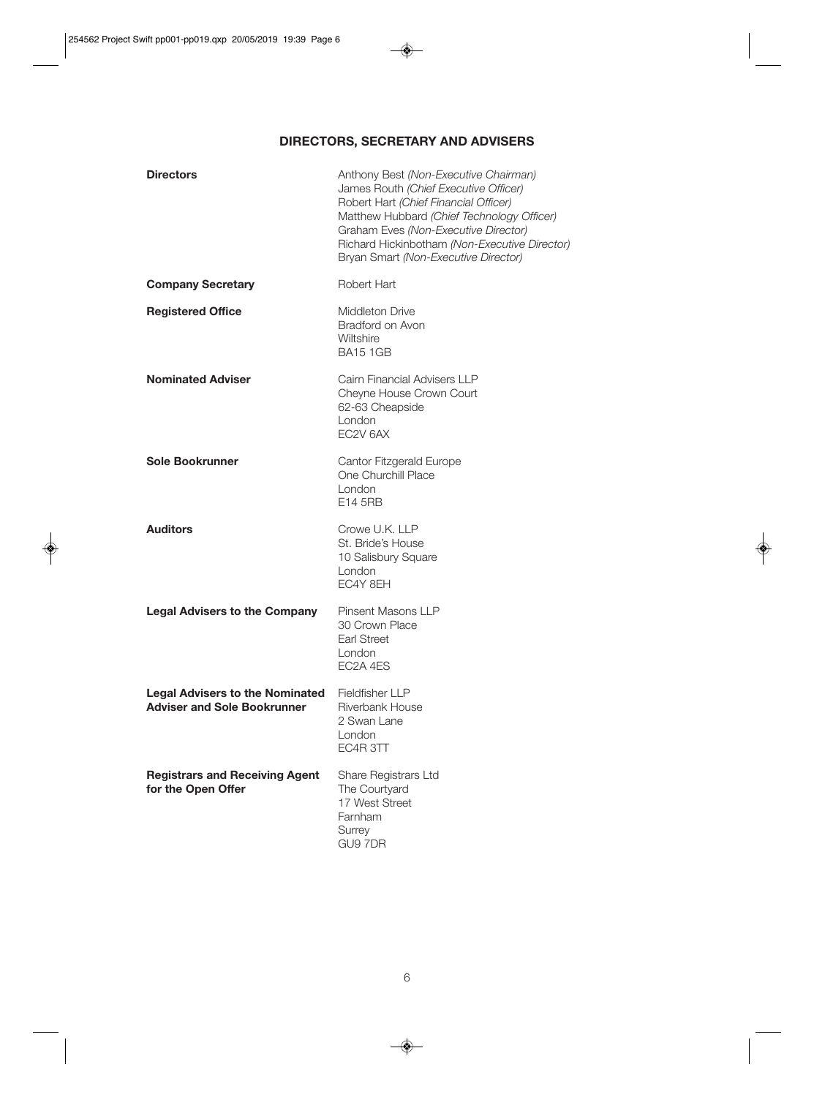# **DIRECTORS, SECRETARY AND ADVISERS**

| <b>Directors</b>                                                             | Anthony Best (Non-Executive Chairman)<br>James Routh (Chief Executive Officer)<br>Robert Hart (Chief Financial Officer)<br>Matthew Hubbard (Chief Technology Officer)<br>Graham Eves (Non-Executive Director)<br>Richard Hickinbotham (Non-Executive Director)<br>Bryan Smart (Non-Executive Director) |
|------------------------------------------------------------------------------|--------------------------------------------------------------------------------------------------------------------------------------------------------------------------------------------------------------------------------------------------------------------------------------------------------|
| <b>Company Secretary</b>                                                     | Robert Hart                                                                                                                                                                                                                                                                                            |
| <b>Registered Office</b>                                                     | <b>Middleton Drive</b><br>Bradford on Avon<br>Wiltshire<br><b>BA15 1GB</b>                                                                                                                                                                                                                             |
| <b>Nominated Adviser</b>                                                     | Cairn Financial Advisers LLP<br>Cheyne House Crown Court<br>62-63 Cheapside<br>London<br>EC2V 6AX                                                                                                                                                                                                      |
| <b>Sole Bookrunner</b>                                                       | Cantor Fitzgerald Europe<br>One Churchill Place<br>London<br>E14 5RB                                                                                                                                                                                                                                   |
| <b>Auditors</b>                                                              | Crowe U.K. LLP<br>St. Bride's House<br>10 Salisbury Square<br>London<br>EC4Y 8EH                                                                                                                                                                                                                       |
| <b>Legal Advisers to the Company</b>                                         | Pinsent Masons LLP<br>30 Crown Place<br><b>Earl Street</b><br>London<br>EC2A 4ES                                                                                                                                                                                                                       |
| <b>Legal Advisers to the Nominated</b><br><b>Adviser and Sole Bookrunner</b> | <b>Fieldfisher LLP</b><br><b>Riverbank House</b><br>2 Swan Lane<br>London<br>EC4R 3TT                                                                                                                                                                                                                  |
| <b>Registrars and Receiving Agent</b><br>for the Open Offer                  | Share Registrars Ltd<br>The Courtyard<br>17 West Street<br>Farnham<br>Surrey<br>GU9 7DR                                                                                                                                                                                                                |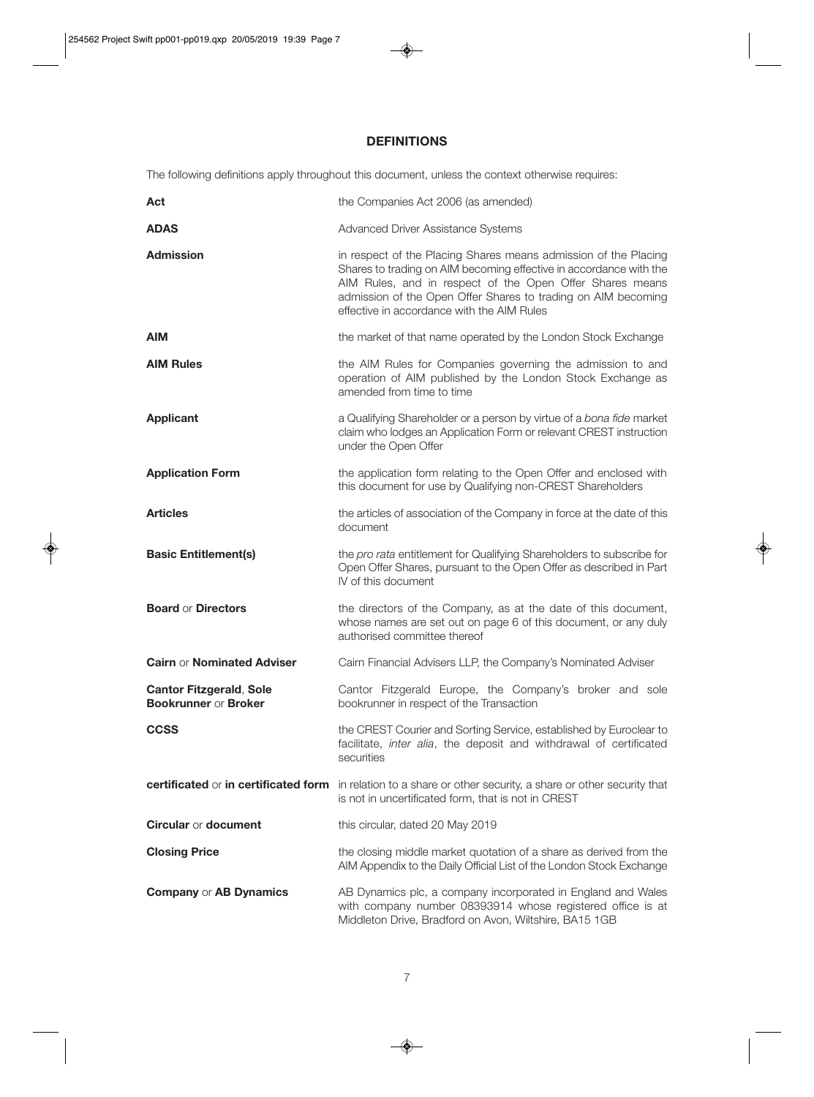# **DEFINITIONS**

The following definitions apply throughout this document, unless the context otherwise requires:

| Act                                                           | the Companies Act 2006 (as amended)                                                                                                                                                                                                                                                                              |
|---------------------------------------------------------------|------------------------------------------------------------------------------------------------------------------------------------------------------------------------------------------------------------------------------------------------------------------------------------------------------------------|
| <b>ADAS</b>                                                   | Advanced Driver Assistance Systems                                                                                                                                                                                                                                                                               |
| <b>Admission</b>                                              | in respect of the Placing Shares means admission of the Placing<br>Shares to trading on AIM becoming effective in accordance with the<br>AIM Rules, and in respect of the Open Offer Shares means<br>admission of the Open Offer Shares to trading on AIM becoming<br>effective in accordance with the AIM Rules |
| <b>AIM</b>                                                    | the market of that name operated by the London Stock Exchange                                                                                                                                                                                                                                                    |
| <b>AIM Rules</b>                                              | the AIM Rules for Companies governing the admission to and<br>operation of AIM published by the London Stock Exchange as<br>amended from time to time                                                                                                                                                            |
| <b>Applicant</b>                                              | a Qualifying Shareholder or a person by virtue of a bona fide market<br>claim who lodges an Application Form or relevant CREST instruction<br>under the Open Offer                                                                                                                                               |
| <b>Application Form</b>                                       | the application form relating to the Open Offer and enclosed with<br>this document for use by Qualifying non-CREST Shareholders                                                                                                                                                                                  |
| <b>Articles</b>                                               | the articles of association of the Company in force at the date of this<br>document                                                                                                                                                                                                                              |
| <b>Basic Entitlement(s)</b>                                   | the pro rata entitlement for Qualifying Shareholders to subscribe for<br>Open Offer Shares, pursuant to the Open Offer as described in Part<br>IV of this document                                                                                                                                               |
| <b>Board or Directors</b>                                     | the directors of the Company, as at the date of this document,<br>whose names are set out on page 6 of this document, or any duly<br>authorised committee thereof                                                                                                                                                |
| <b>Cairn or Nominated Adviser</b>                             | Cairn Financial Advisers LLP, the Company's Nominated Adviser                                                                                                                                                                                                                                                    |
| <b>Cantor Fitzgerald, Sole</b><br><b>Bookrunner or Broker</b> | Cantor Fitzgerald Europe, the Company's broker and sole<br>bookrunner in respect of the Transaction                                                                                                                                                                                                              |
| <b>CCSS</b>                                                   | the CREST Courier and Sorting Service, established by Euroclear to<br>facilitate, inter alia, the deposit and withdrawal of certificated<br>securities                                                                                                                                                           |
| certificated or in certificated form                          | in relation to a share or other security, a share or other security that<br>is not in uncertificated form, that is not in CREST                                                                                                                                                                                  |
| <b>Circular or document</b>                                   | this circular, dated 20 May 2019                                                                                                                                                                                                                                                                                 |
| <b>Closing Price</b>                                          | the closing middle market quotation of a share as derived from the<br>AIM Appendix to the Daily Official List of the London Stock Exchange                                                                                                                                                                       |
| <b>Company or AB Dynamics</b>                                 | AB Dynamics plc, a company incorporated in England and Wales<br>with company number 08393914 whose registered office is at<br>Middleton Drive, Bradford on Avon, Wiltshire, BA15 1GB                                                                                                                             |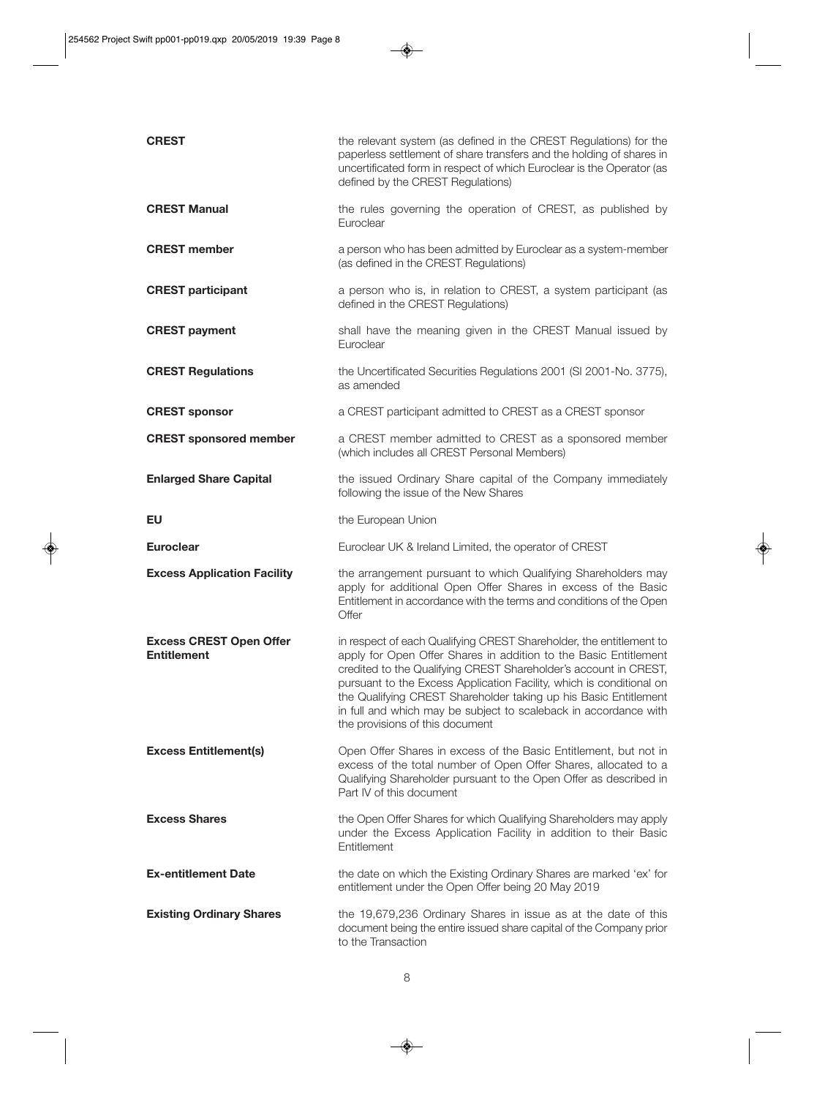| <b>CREST</b>                                         | the relevant system (as defined in the CREST Regulations) for the<br>paperless settlement of share transfers and the holding of shares in<br>uncertificated form in respect of which Euroclear is the Operator (as<br>defined by the CREST Regulations)                                                                                                                                                                                                        |
|------------------------------------------------------|----------------------------------------------------------------------------------------------------------------------------------------------------------------------------------------------------------------------------------------------------------------------------------------------------------------------------------------------------------------------------------------------------------------------------------------------------------------|
| <b>CREST Manual</b>                                  | the rules governing the operation of CREST, as published by<br>Euroclear                                                                                                                                                                                                                                                                                                                                                                                       |
| <b>CREST member</b>                                  | a person who has been admitted by Euroclear as a system-member<br>(as defined in the CREST Regulations)                                                                                                                                                                                                                                                                                                                                                        |
| <b>CREST participant</b>                             | a person who is, in relation to CREST, a system participant (as<br>defined in the CREST Regulations)                                                                                                                                                                                                                                                                                                                                                           |
| <b>CREST payment</b>                                 | shall have the meaning given in the CREST Manual issued by<br>Euroclear                                                                                                                                                                                                                                                                                                                                                                                        |
| <b>CREST Regulations</b>                             | the Uncertificated Securities Regulations 2001 (SI 2001-No. 3775),<br>as amended                                                                                                                                                                                                                                                                                                                                                                               |
| <b>CREST sponsor</b>                                 | a CREST participant admitted to CREST as a CREST sponsor                                                                                                                                                                                                                                                                                                                                                                                                       |
| <b>CREST sponsored member</b>                        | a CREST member admitted to CREST as a sponsored member<br>(which includes all CREST Personal Members)                                                                                                                                                                                                                                                                                                                                                          |
| <b>Enlarged Share Capital</b>                        | the issued Ordinary Share capital of the Company immediately<br>following the issue of the New Shares                                                                                                                                                                                                                                                                                                                                                          |
| EU                                                   | the European Union                                                                                                                                                                                                                                                                                                                                                                                                                                             |
| <b>Euroclear</b>                                     | Euroclear UK & Ireland Limited, the operator of CREST                                                                                                                                                                                                                                                                                                                                                                                                          |
| <b>Excess Application Facility</b>                   | the arrangement pursuant to which Qualifying Shareholders may<br>apply for additional Open Offer Shares in excess of the Basic<br>Entitlement in accordance with the terms and conditions of the Open<br>Offer                                                                                                                                                                                                                                                 |
| <b>Excess CREST Open Offer</b><br><b>Entitlement</b> | in respect of each Qualifying CREST Shareholder, the entitlement to<br>apply for Open Offer Shares in addition to the Basic Entitlement<br>credited to the Qualifying CREST Shareholder's account in CREST,<br>pursuant to the Excess Application Facility, which is conditional on<br>the Qualifying CREST Shareholder taking up his Basic Entitlement<br>in full and which may be subject to scaleback in accordance with<br>the provisions of this document |
| <b>Excess Entitlement(s)</b>                         | Open Offer Shares in excess of the Basic Entitlement, but not in<br>excess of the total number of Open Offer Shares, allocated to a<br>Qualifying Shareholder pursuant to the Open Offer as described in<br>Part IV of this document                                                                                                                                                                                                                           |
| <b>Excess Shares</b>                                 | the Open Offer Shares for which Qualifying Shareholders may apply<br>under the Excess Application Facility in addition to their Basic<br>Entitlement                                                                                                                                                                                                                                                                                                           |
| <b>Ex-entitlement Date</b>                           | the date on which the Existing Ordinary Shares are marked 'ex' for<br>entitlement under the Open Offer being 20 May 2019                                                                                                                                                                                                                                                                                                                                       |
| <b>Existing Ordinary Shares</b>                      | the 19,679,236 Ordinary Shares in issue as at the date of this<br>document being the entire issued share capital of the Company prior<br>to the Transaction                                                                                                                                                                                                                                                                                                    |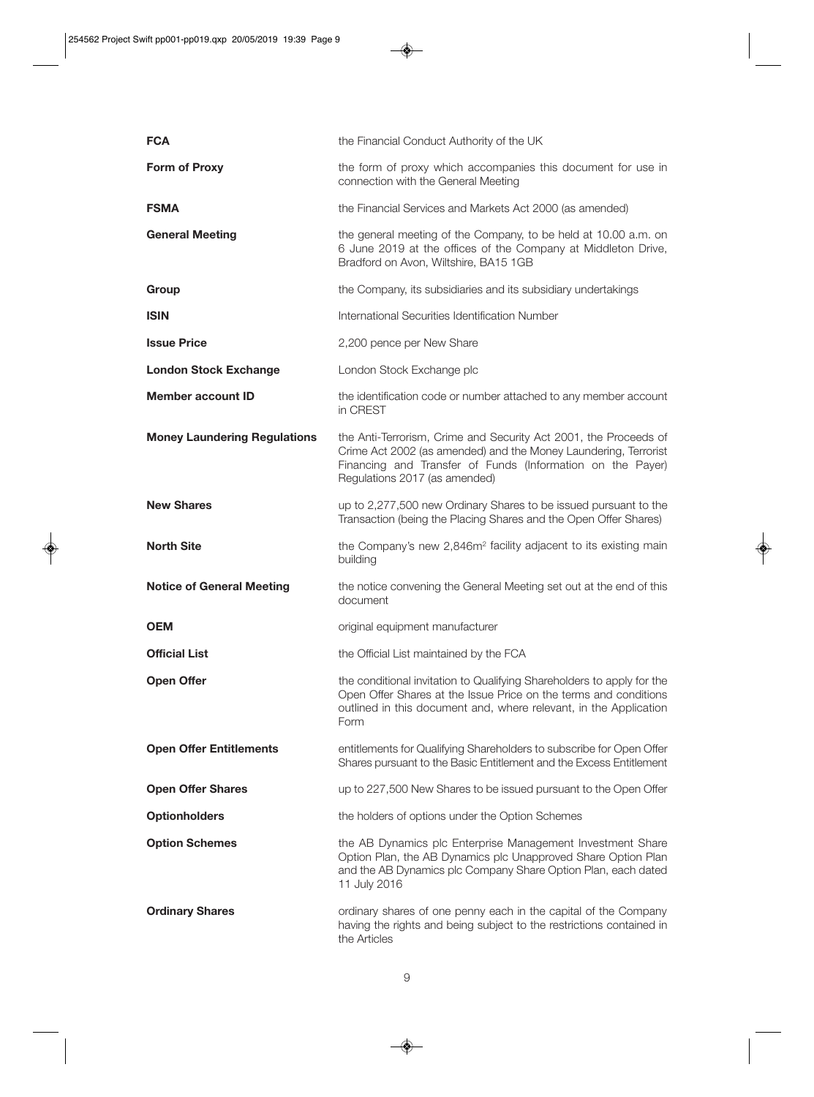| <b>FCA</b>                          | the Financial Conduct Authority of the UK                                                                                                                                                                                          |
|-------------------------------------|------------------------------------------------------------------------------------------------------------------------------------------------------------------------------------------------------------------------------------|
| <b>Form of Proxy</b>                | the form of proxy which accompanies this document for use in<br>connection with the General Meeting                                                                                                                                |
| <b>FSMA</b>                         | the Financial Services and Markets Act 2000 (as amended)                                                                                                                                                                           |
| <b>General Meeting</b>              | the general meeting of the Company, to be held at 10.00 a.m. on<br>6 June 2019 at the offices of the Company at Middleton Drive,<br>Bradford on Avon, Wiltshire, BA15 1GB                                                          |
| Group                               | the Company, its subsidiaries and its subsidiary undertakings                                                                                                                                                                      |
| <b>ISIN</b>                         | International Securities Identification Number                                                                                                                                                                                     |
| <b>Issue Price</b>                  | 2,200 pence per New Share                                                                                                                                                                                                          |
| <b>London Stock Exchange</b>        | London Stock Exchange plc                                                                                                                                                                                                          |
| <b>Member account ID</b>            | the identification code or number attached to any member account<br>in CREST                                                                                                                                                       |
| <b>Money Laundering Regulations</b> | the Anti-Terrorism, Crime and Security Act 2001, the Proceeds of<br>Crime Act 2002 (as amended) and the Money Laundering, Terrorist<br>Financing and Transfer of Funds (Information on the Payer)<br>Regulations 2017 (as amended) |
| <b>New Shares</b>                   | up to 2,277,500 new Ordinary Shares to be issued pursuant to the<br>Transaction (being the Placing Shares and the Open Offer Shares)                                                                                               |
| <b>North Site</b>                   | the Company's new 2,846m <sup>2</sup> facility adjacent to its existing main<br>building                                                                                                                                           |
| <b>Notice of General Meeting</b>    | the notice convening the General Meeting set out at the end of this<br>document                                                                                                                                                    |
| <b>OEM</b>                          | original equipment manufacturer                                                                                                                                                                                                    |
| <b>Official List</b>                | the Official List maintained by the FCA                                                                                                                                                                                            |
| <b>Open Offer</b>                   | the conditional invitation to Qualifying Shareholders to apply for the<br>Open Offer Shares at the Issue Price on the terms and conditions<br>outlined in this document and, where relevant, in the Application<br>Form            |
| <b>Open Offer Entitlements</b>      | entitlements for Qualifying Shareholders to subscribe for Open Offer<br>Shares pursuant to the Basic Entitlement and the Excess Entitlement                                                                                        |
| <b>Open Offer Shares</b>            | up to 227,500 New Shares to be issued pursuant to the Open Offer                                                                                                                                                                   |
| <b>Optionholders</b>                | the holders of options under the Option Schemes                                                                                                                                                                                    |
| <b>Option Schemes</b>               | the AB Dynamics plc Enterprise Management Investment Share<br>Option Plan, the AB Dynamics plc Unapproved Share Option Plan<br>and the AB Dynamics plc Company Share Option Plan, each dated<br>11 July 2016                       |
| <b>Ordinary Shares</b>              | ordinary shares of one penny each in the capital of the Company<br>having the rights and being subject to the restrictions contained in<br>the Articles                                                                            |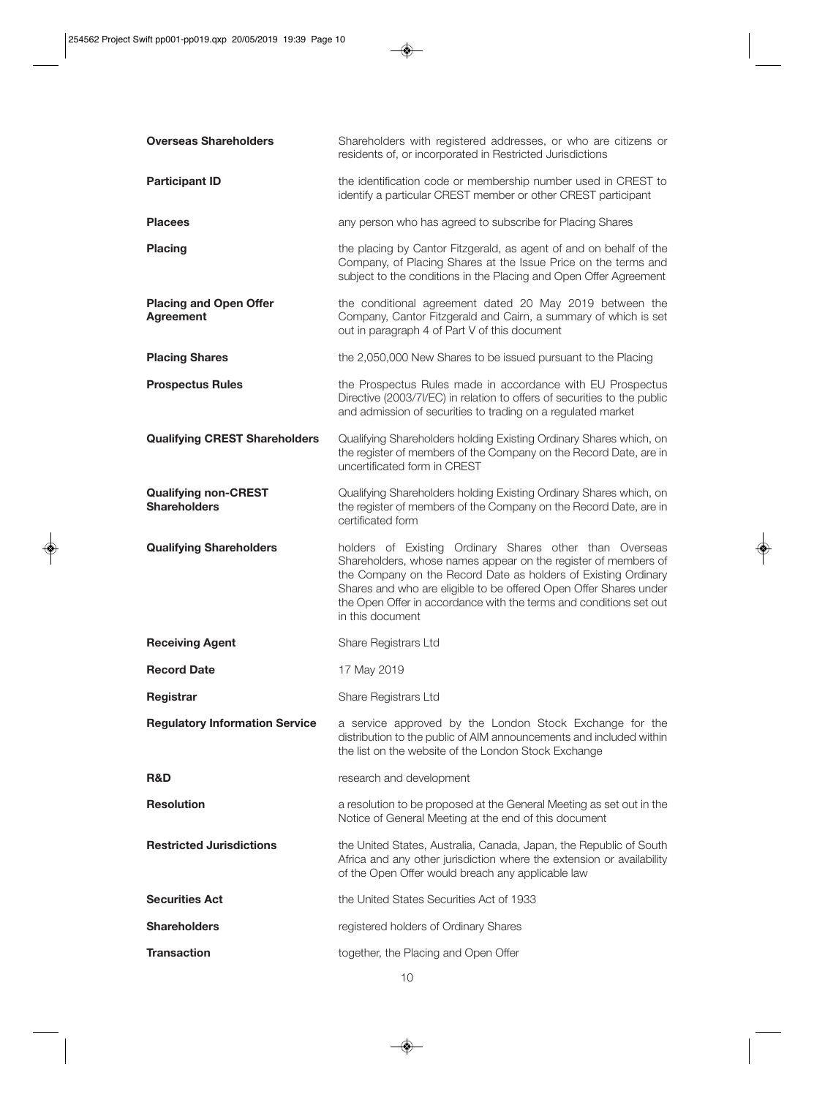| <b>Overseas Shareholders</b>                       | Shareholders with registered addresses, or who are citizens or<br>residents of, or incorporated in Restricted Jurisdictions                                                                                                                                                                                                                                |
|----------------------------------------------------|------------------------------------------------------------------------------------------------------------------------------------------------------------------------------------------------------------------------------------------------------------------------------------------------------------------------------------------------------------|
| <b>Participant ID</b>                              | the identification code or membership number used in CREST to<br>identify a particular CREST member or other CREST participant                                                                                                                                                                                                                             |
| <b>Placees</b>                                     | any person who has agreed to subscribe for Placing Shares                                                                                                                                                                                                                                                                                                  |
| <b>Placing</b>                                     | the placing by Cantor Fitzgerald, as agent of and on behalf of the<br>Company, of Placing Shares at the Issue Price on the terms and<br>subject to the conditions in the Placing and Open Offer Agreement                                                                                                                                                  |
| <b>Placing and Open Offer</b><br><b>Agreement</b>  | the conditional agreement dated 20 May 2019 between the<br>Company, Cantor Fitzgerald and Cairn, a summary of which is set<br>out in paragraph 4 of Part V of this document                                                                                                                                                                                |
| <b>Placing Shares</b>                              | the 2,050,000 New Shares to be issued pursuant to the Placing                                                                                                                                                                                                                                                                                              |
| <b>Prospectus Rules</b>                            | the Prospectus Rules made in accordance with EU Prospectus<br>Directive (2003/7I/EC) in relation to offers of securities to the public<br>and admission of securities to trading on a regulated market                                                                                                                                                     |
| <b>Qualifying CREST Shareholders</b>               | Qualifying Shareholders holding Existing Ordinary Shares which, on<br>the register of members of the Company on the Record Date, are in<br>uncertificated form in CREST                                                                                                                                                                                    |
| <b>Qualifying non-CREST</b><br><b>Shareholders</b> | Qualifying Shareholders holding Existing Ordinary Shares which, on<br>the register of members of the Company on the Record Date, are in<br>certificated form                                                                                                                                                                                               |
| <b>Qualifying Shareholders</b>                     | holders of Existing Ordinary Shares other than Overseas<br>Shareholders, whose names appear on the register of members of<br>the Company on the Record Date as holders of Existing Ordinary<br>Shares and who are eligible to be offered Open Offer Shares under<br>the Open Offer in accordance with the terms and conditions set out<br>in this document |
| <b>Receiving Agent</b>                             | Share Registrars Ltd                                                                                                                                                                                                                                                                                                                                       |
| <b>Record Date</b>                                 | 17 May 2019                                                                                                                                                                                                                                                                                                                                                |
| <b>Registrar</b>                                   | Share Registrars Ltd                                                                                                                                                                                                                                                                                                                                       |
| <b>Regulatory Information Service</b>              | a service approved by the London Stock Exchange for the<br>distribution to the public of AIM announcements and included within<br>the list on the website of the London Stock Exchange                                                                                                                                                                     |
| <b>R&amp;D</b>                                     | research and development                                                                                                                                                                                                                                                                                                                                   |
| <b>Resolution</b>                                  | a resolution to be proposed at the General Meeting as set out in the<br>Notice of General Meeting at the end of this document                                                                                                                                                                                                                              |
| <b>Restricted Jurisdictions</b>                    | the United States, Australia, Canada, Japan, the Republic of South<br>Africa and any other jurisdiction where the extension or availability<br>of the Open Offer would breach any applicable law                                                                                                                                                           |
| <b>Securities Act</b>                              | the United States Securities Act of 1933                                                                                                                                                                                                                                                                                                                   |
| <b>Shareholders</b>                                | registered holders of Ordinary Shares                                                                                                                                                                                                                                                                                                                      |
| <b>Transaction</b>                                 | together, the Placing and Open Offer                                                                                                                                                                                                                                                                                                                       |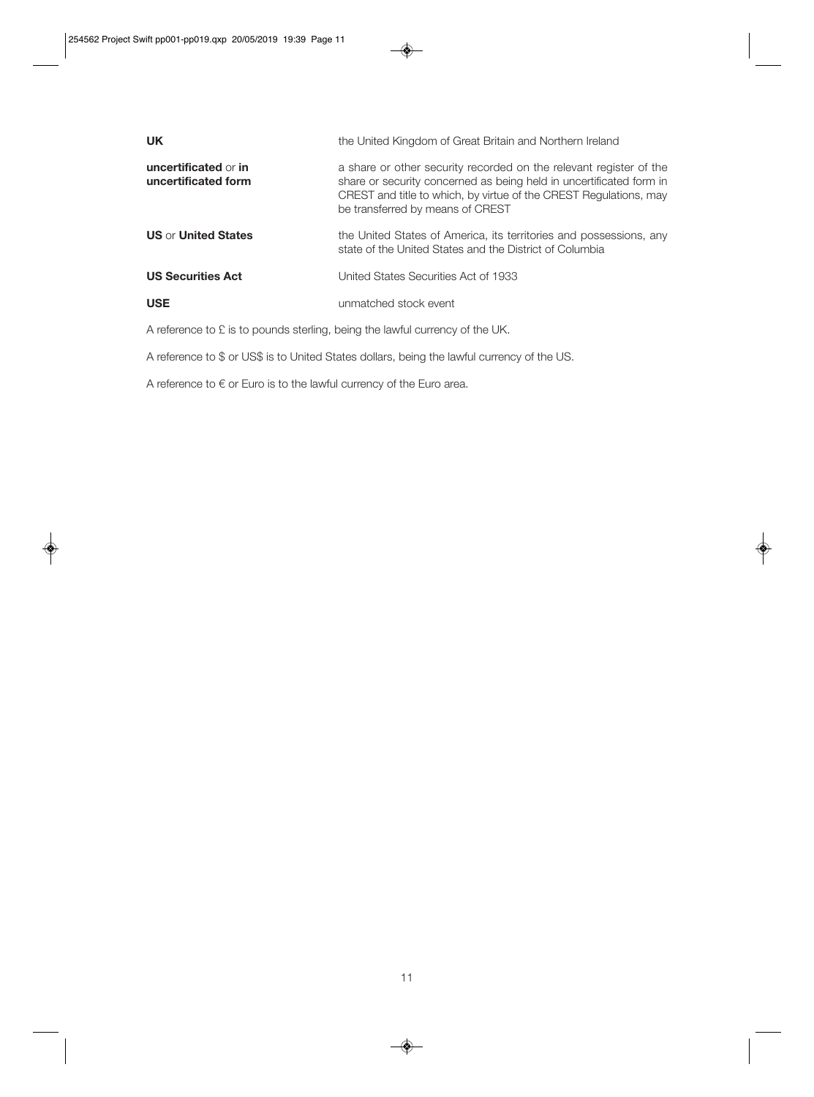| <b>UK</b>                                          | the United Kingdom of Great Britain and Northern Ireland                                                                                                                                                                                           |
|----------------------------------------------------|----------------------------------------------------------------------------------------------------------------------------------------------------------------------------------------------------------------------------------------------------|
| <b>uncertificated</b> or in<br>uncertificated form | a share or other security recorded on the relevant register of the<br>share or security concerned as being held in uncertificated form in<br>CREST and title to which, by virtue of the CREST Regulations, may<br>be transferred by means of CREST |
| <b>US or United States</b>                         | the United States of America, its territories and possessions, any<br>state of the United States and the District of Columbia                                                                                                                      |
| <b>US Securities Act</b>                           | United States Securities Act of 1933                                                                                                                                                                                                               |
| <b>USE</b>                                         | unmatched stock event                                                                                                                                                                                                                              |
|                                                    |                                                                                                                                                                                                                                                    |

A reference to £ is to pounds sterling, being the lawful currency of the UK.

A reference to \$ or US\$ is to United States dollars, being the lawful currency of the US.

A reference to  $\epsilon$  or Euro is to the lawful currency of the Euro area.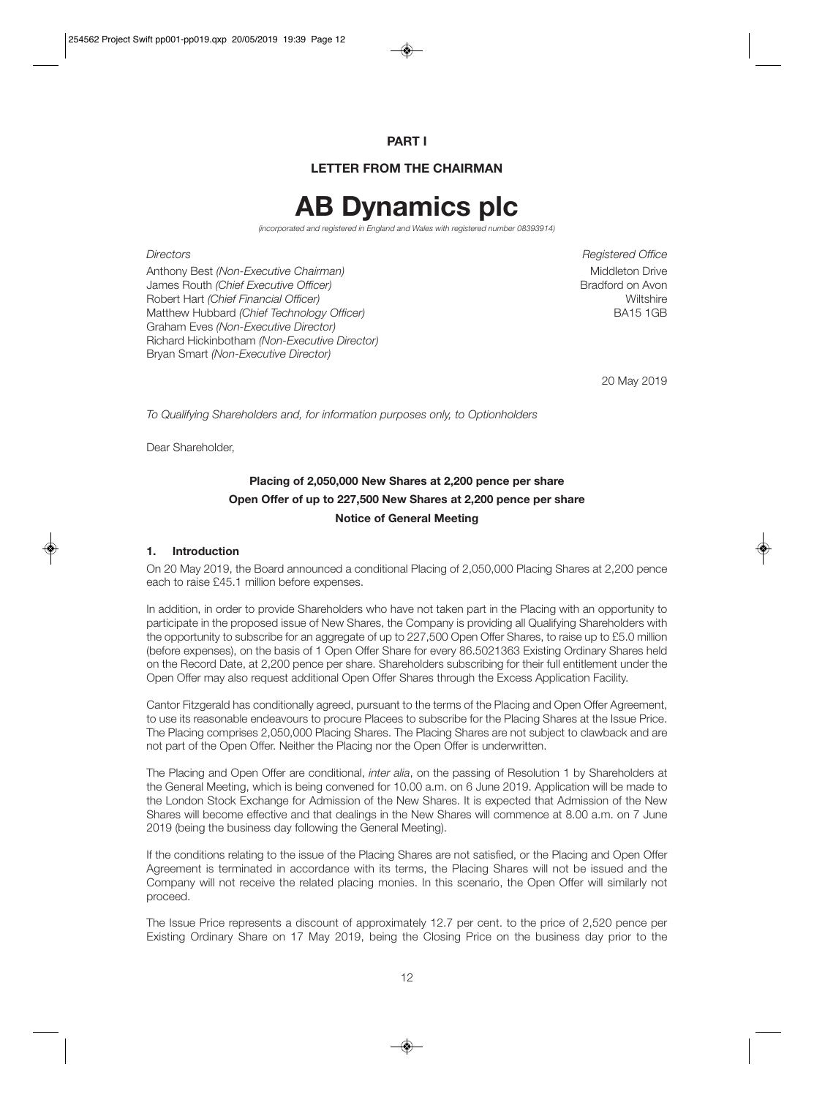#### **PART I**

#### **LETTER FROM THE CHAIRMAN**

# **AB Dynamics plc**

*(incorporated and registered in England and Wales with registered number 08393914)* 

Anthony Best *(Non-Executive Chairman)* and the state of the matter of the Middleton Drive James Routh *(Chief Executive Officer)* **Bradford on Avon** Robert Hart *(Chief Financial Officer)* **Wiltshire Wiltshire** Matthew Hubbard *(Chief Technology Officer)* BA15 1GB Graham Eves *(Non-Executive Director)* Richard Hickinbotham *(Non-Executive Director)* Bryan Smart *(Non-Executive Director)*

*Directors Registered Office* 

20 May 2019

*To Qualifying Shareholders and, for information purposes only, to Optionholders* 

Dear Shareholder,

# **Placing of 2,050,000 New Shares at 2,200 pence per share Open Offer of up to 227,500 New Shares at 2,200 pence per share Notice of General Meeting**

#### **1. Introduction**

On 20 May 2019, the Board announced a conditional Placing of 2,050,000 Placing Shares at 2,200 pence each to raise £45.1 million before expenses.

In addition, in order to provide Shareholders who have not taken part in the Placing with an opportunity to participate in the proposed issue of New Shares, the Company is providing all Qualifying Shareholders with the opportunity to subscribe for an aggregate of up to 227,500 Open Offer Shares, to raise up to £5.0 million (before expenses), on the basis of 1 Open Offer Share for every 86.5021363 Existing Ordinary Shares held on the Record Date, at 2,200 pence per share. Shareholders subscribing for their full entitlement under the Open Offer may also request additional Open Offer Shares through the Excess Application Facility.

Cantor Fitzgerald has conditionally agreed, pursuant to the terms of the Placing and Open Offer Agreement, to use its reasonable endeavours to procure Placees to subscribe for the Placing Shares at the Issue Price. The Placing comprises 2,050,000 Placing Shares. The Placing Shares are not subject to clawback and are not part of the Open Offer. Neither the Placing nor the Open Offer is underwritten.

The Placing and Open Offer are conditional, *inter alia*, on the passing of Resolution 1 by Shareholders at the General Meeting, which is being convened for 10.00 a.m. on 6 June 2019. Application will be made to the London Stock Exchange for Admission of the New Shares. It is expected that Admission of the New Shares will become effective and that dealings in the New Shares will commence at 8.00 a.m. on 7 June 2019 (being the business day following the General Meeting).

If the conditions relating to the issue of the Placing Shares are not satisfied, or the Placing and Open Offer Agreement is terminated in accordance with its terms, the Placing Shares will not be issued and the Company will not receive the related placing monies. In this scenario, the Open Offer will similarly not proceed.

The Issue Price represents a discount of approximately 12.7 per cent. to the price of 2,520 pence per Existing Ordinary Share on 17 May 2019, being the Closing Price on the business day prior to the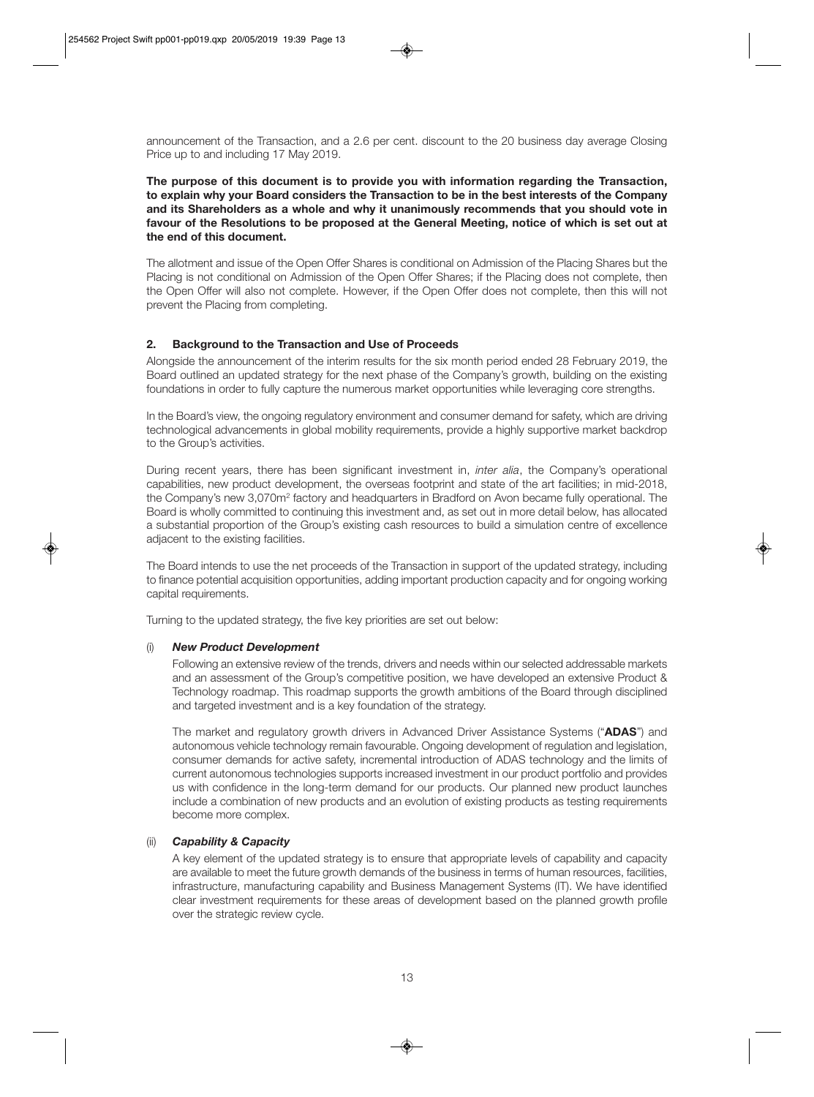announcement of the Transaction, and a 2.6 per cent. discount to the 20 business day average Closing Price up to and including 17 May 2019.

#### **The purpose of this document is to provide you with information regarding the Transaction, to explain why your Board considers the Transaction to be in the best interests of the Company and its Shareholders as a whole and why it unanimously recommends that you should vote in favour of the Resolutions to be proposed at the General Meeting, notice of which is set out at the end of this document.**

The allotment and issue of the Open Offer Shares is conditional on Admission of the Placing Shares but the Placing is not conditional on Admission of the Open Offer Shares; if the Placing does not complete, then the Open Offer will also not complete. However, if the Open Offer does not complete, then this will not prevent the Placing from completing.

#### **2. Background to the Transaction and Use of Proceeds**

Alongside the announcement of the interim results for the six month period ended 28 February 2019, the Board outlined an updated strategy for the next phase of the Company's growth, building on the existing foundations in order to fully capture the numerous market opportunities while leveraging core strengths.

In the Board's view, the ongoing regulatory environment and consumer demand for safety, which are driving technological advancements in global mobility requirements, provide a highly supportive market backdrop to the Group's activities.

During recent years, there has been significant investment in, *inter alia*, the Company's operational capabilities, new product development, the overseas footprint and state of the art facilities; in mid-2018, the Company's new 3,070m2 factory and headquarters in Bradford on Avon became fully operational. The Board is wholly committed to continuing this investment and, as set out in more detail below, has allocated a substantial proportion of the Group's existing cash resources to build a simulation centre of excellence adjacent to the existing facilities.

The Board intends to use the net proceeds of the Transaction in support of the updated strategy, including to finance potential acquisition opportunities, adding important production capacity and for ongoing working capital requirements.

Turning to the updated strategy, the five key priorities are set out below:

#### (i) *New Product Development*

Following an extensive review of the trends, drivers and needs within our selected addressable markets and an assessment of the Group's competitive position, we have developed an extensive Product & Technology roadmap. This roadmap supports the growth ambitions of the Board through disciplined and targeted investment and is a key foundation of the strategy.

The market and regulatory growth drivers in Advanced Driver Assistance Systems ("**ADAS**") and autonomous vehicle technology remain favourable. Ongoing development of regulation and legislation, consumer demands for active safety, incremental introduction of ADAS technology and the limits of current autonomous technologies supports increased investment in our product portfolio and provides us with confidence in the long-term demand for our products. Our planned new product launches include a combination of new products and an evolution of existing products as testing requirements become more complex.

#### (ii) *Capability & Capacity*

A key element of the updated strategy is to ensure that appropriate levels of capability and capacity are available to meet the future growth demands of the business in terms of human resources, facilities, infrastructure, manufacturing capability and Business Management Systems (IT). We have identified clear investment requirements for these areas of development based on the planned growth profile over the strategic review cycle.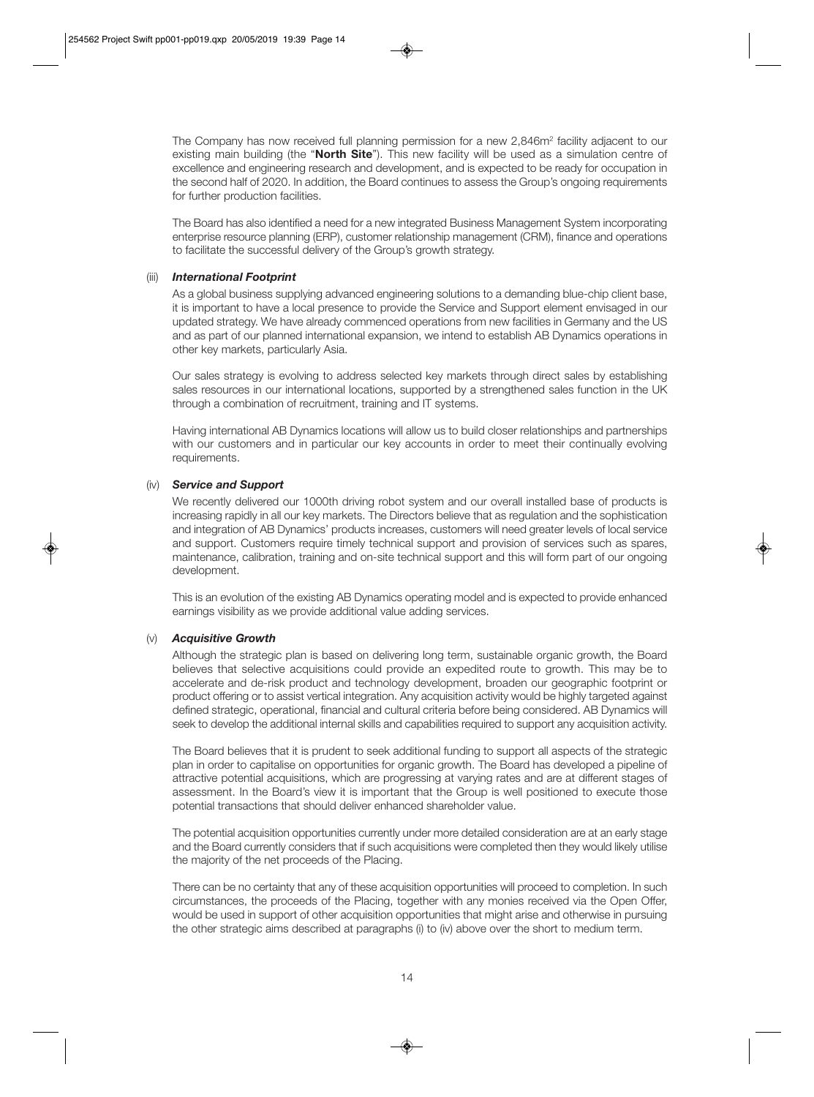The Company has now received full planning permission for a new 2,846m<sup>2</sup> facility adjacent to our existing main building (the "**North Site**"). This new facility will be used as a simulation centre of excellence and engineering research and development, and is expected to be ready for occupation in the second half of 2020. In addition, the Board continues to assess the Group's ongoing requirements for further production facilities.

The Board has also identified a need for a new integrated Business Management System incorporating enterprise resource planning (ERP), customer relationship management (CRM), finance and operations to facilitate the successful delivery of the Group's growth strategy.

#### (iii) *International Footprint*

As a global business supplying advanced engineering solutions to a demanding blue-chip client base, it is important to have a local presence to provide the Service and Support element envisaged in our updated strategy. We have already commenced operations from new facilities in Germany and the US and as part of our planned international expansion, we intend to establish AB Dynamics operations in other key markets, particularly Asia.

Our sales strategy is evolving to address selected key markets through direct sales by establishing sales resources in our international locations, supported by a strengthened sales function in the UK through a combination of recruitment, training and IT systems.

Having international AB Dynamics locations will allow us to build closer relationships and partnerships with our customers and in particular our key accounts in order to meet their continually evolving requirements.

#### (iv) *Service and Support*

We recently delivered our 1000th driving robot system and our overall installed base of products is increasing rapidly in all our key markets. The Directors believe that as regulation and the sophistication and integration of AB Dynamics' products increases, customers will need greater levels of local service and support. Customers require timely technical support and provision of services such as spares, maintenance, calibration, training and on-site technical support and this will form part of our ongoing development.

This is an evolution of the existing AB Dynamics operating model and is expected to provide enhanced earnings visibility as we provide additional value adding services.

#### (v) *Acquisitive Growth*

Although the strategic plan is based on delivering long term, sustainable organic growth, the Board believes that selective acquisitions could provide an expedited route to growth. This may be to accelerate and de-risk product and technology development, broaden our geographic footprint or product offering or to assist vertical integration. Any acquisition activity would be highly targeted against defined strategic, operational, financial and cultural criteria before being considered. AB Dynamics will seek to develop the additional internal skills and capabilities required to support any acquisition activity.

The Board believes that it is prudent to seek additional funding to support all aspects of the strategic plan in order to capitalise on opportunities for organic growth. The Board has developed a pipeline of attractive potential acquisitions, which are progressing at varying rates and are at different stages of assessment. In the Board's view it is important that the Group is well positioned to execute those potential transactions that should deliver enhanced shareholder value.

The potential acquisition opportunities currently under more detailed consideration are at an early stage and the Board currently considers that if such acquisitions were completed then they would likely utilise the majority of the net proceeds of the Placing.

There can be no certainty that any of these acquisition opportunities will proceed to completion. In such circumstances, the proceeds of the Placing, together with any monies received via the Open Offer, would be used in support of other acquisition opportunities that might arise and otherwise in pursuing the other strategic aims described at paragraphs (i) to (iv) above over the short to medium term.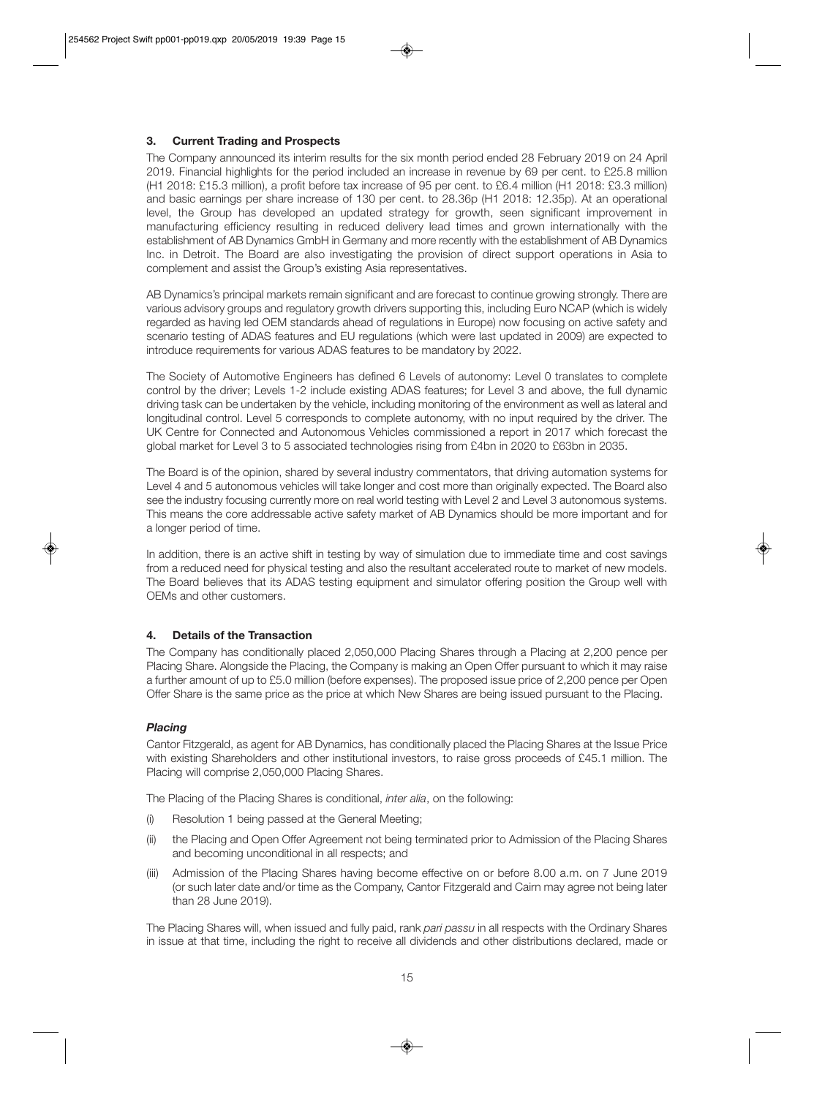#### **3. Current Trading and Prospects**

The Company announced its interim results for the six month period ended 28 February 2019 on 24 April 2019. Financial highlights for the period included an increase in revenue by 69 per cent. to £25.8 million (H1 2018: £15.3 million), a profit before tax increase of 95 per cent. to £6.4 million (H1 2018: £3.3 million) and basic earnings per share increase of 130 per cent. to 28.36p (H1 2018: 12.35p). At an operational level, the Group has developed an updated strategy for growth, seen significant improvement in manufacturing efficiency resulting in reduced delivery lead times and grown internationally with the establishment of AB Dynamics GmbH in Germany and more recently with the establishment of AB Dynamics Inc. in Detroit. The Board are also investigating the provision of direct support operations in Asia to complement and assist the Group's existing Asia representatives.

AB Dynamics's principal markets remain significant and are forecast to continue growing strongly. There are various advisory groups and regulatory growth drivers supporting this, including Euro NCAP (which is widely regarded as having led OEM standards ahead of regulations in Europe) now focusing on active safety and scenario testing of ADAS features and EU regulations (which were last updated in 2009) are expected to introduce requirements for various ADAS features to be mandatory by 2022.

The Society of Automotive Engineers has defined 6 Levels of autonomy: Level 0 translates to complete control by the driver; Levels 1-2 include existing ADAS features; for Level 3 and above, the full dynamic driving task can be undertaken by the vehicle, including monitoring of the environment as well as lateral and longitudinal control. Level 5 corresponds to complete autonomy, with no input required by the driver. The UK Centre for Connected and Autonomous Vehicles commissioned a report in 2017 which forecast the global market for Level 3 to 5 associated technologies rising from £4bn in 2020 to £63bn in 2035.

The Board is of the opinion, shared by several industry commentators, that driving automation systems for Level 4 and 5 autonomous vehicles will take longer and cost more than originally expected. The Board also see the industry focusing currently more on real world testing with Level 2 and Level 3 autonomous systems. This means the core addressable active safety market of AB Dynamics should be more important and for a longer period of time.

In addition, there is an active shift in testing by way of simulation due to immediate time and cost savings from a reduced need for physical testing and also the resultant accelerated route to market of new models. The Board believes that its ADAS testing equipment and simulator offering position the Group well with OEMs and other customers.

#### **4. Details of the Transaction**

The Company has conditionally placed 2,050,000 Placing Shares through a Placing at 2,200 pence per Placing Share. Alongside the Placing, the Company is making an Open Offer pursuant to which it may raise a further amount of up to £5.0 million (before expenses). The proposed issue price of 2,200 pence per Open Offer Share is the same price as the price at which New Shares are being issued pursuant to the Placing.

#### *Placing*

Cantor Fitzgerald, as agent for AB Dynamics, has conditionally placed the Placing Shares at the Issue Price with existing Shareholders and other institutional investors, to raise gross proceeds of £45.1 million. The Placing will comprise 2,050,000 Placing Shares.

The Placing of the Placing Shares is conditional, *inter alia*, on the following:

- (i) Resolution 1 being passed at the General Meeting;
- (ii) the Placing and Open Offer Agreement not being terminated prior to Admission of the Placing Shares and becoming unconditional in all respects; and
- (iii) Admission of the Placing Shares having become effective on or before 8.00 a.m. on 7 June 2019 (or such later date and/or time as the Company, Cantor Fitzgerald and Cairn may agree not being later than 28 June 2019).

The Placing Shares will, when issued and fully paid, rank *pari passu* in all respects with the Ordinary Shares in issue at that time, including the right to receive all dividends and other distributions declared, made or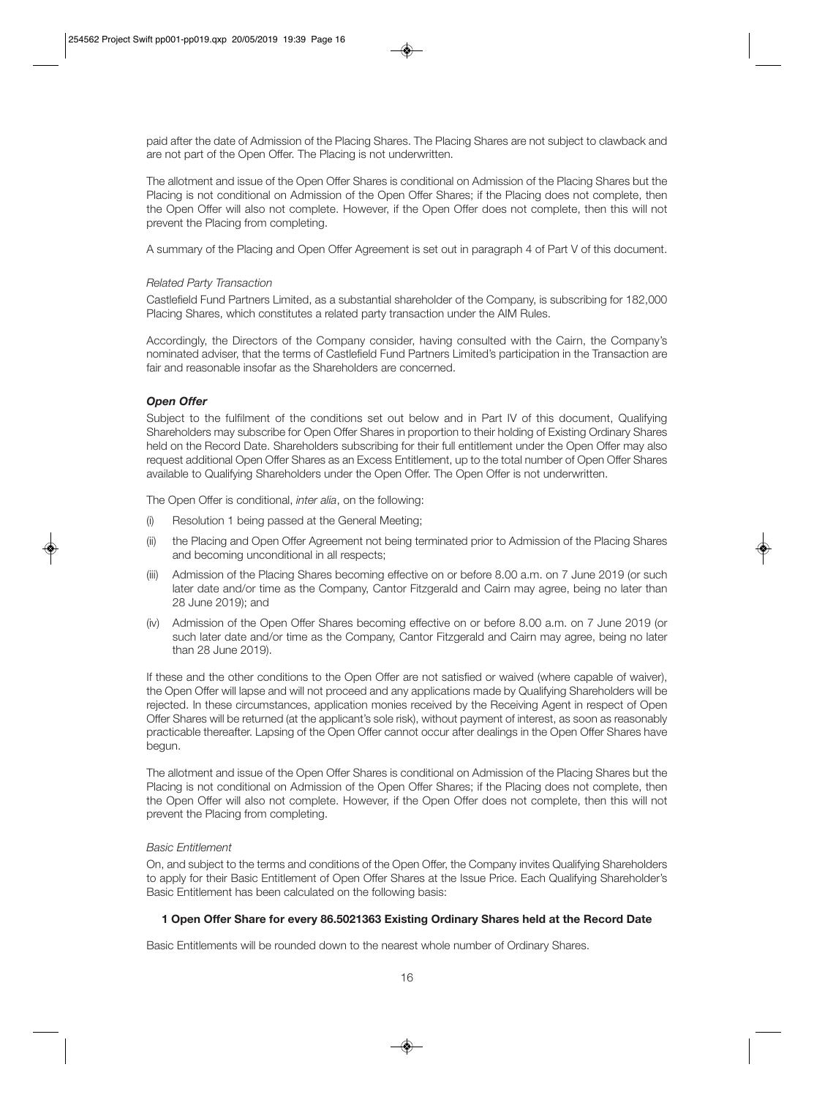paid after the date of Admission of the Placing Shares. The Placing Shares are not subject to clawback and are not part of the Open Offer. The Placing is not underwritten.

The allotment and issue of the Open Offer Shares is conditional on Admission of the Placing Shares but the Placing is not conditional on Admission of the Open Offer Shares; if the Placing does not complete, then the Open Offer will also not complete. However, if the Open Offer does not complete, then this will not prevent the Placing from completing.

A summary of the Placing and Open Offer Agreement is set out in paragraph 4 of Part V of this document.

#### *Related Party Transaction*

Castlefield Fund Partners Limited, as a substantial shareholder of the Company, is subscribing for 182,000 Placing Shares, which constitutes a related party transaction under the AIM Rules.

Accordingly, the Directors of the Company consider, having consulted with the Cairn, the Company's nominated adviser, that the terms of Castlefield Fund Partners Limited's participation in the Transaction are fair and reasonable insofar as the Shareholders are concerned.

#### *Open Offer*

Subject to the fulfilment of the conditions set out below and in Part IV of this document, Qualifying Shareholders may subscribe for Open Offer Shares in proportion to their holding of Existing Ordinary Shares held on the Record Date. Shareholders subscribing for their full entitlement under the Open Offer may also request additional Open Offer Shares as an Excess Entitlement, up to the total number of Open Offer Shares available to Qualifying Shareholders under the Open Offer. The Open Offer is not underwritten.

The Open Offer is conditional, *inter alia*, on the following:

- (i) Resolution 1 being passed at the General Meeting;
- (ii) the Placing and Open Offer Agreement not being terminated prior to Admission of the Placing Shares and becoming unconditional in all respects;
- (iii) Admission of the Placing Shares becoming effective on or before 8.00 a.m. on 7 June 2019 (or such later date and/or time as the Company, Cantor Fitzgerald and Cairn may agree, being no later than 28 June 2019); and
- (iv) Admission of the Open Offer Shares becoming effective on or before 8.00 a.m. on 7 June 2019 (or such later date and/or time as the Company, Cantor Fitzgerald and Cairn may agree, being no later than 28 June 2019).

If these and the other conditions to the Open Offer are not satisfied or waived (where capable of waiver), the Open Offer will lapse and will not proceed and any applications made by Qualifying Shareholders will be rejected. In these circumstances, application monies received by the Receiving Agent in respect of Open Offer Shares will be returned (at the applicant's sole risk), without payment of interest, as soon as reasonably practicable thereafter. Lapsing of the Open Offer cannot occur after dealings in the Open Offer Shares have begun.

The allotment and issue of the Open Offer Shares is conditional on Admission of the Placing Shares but the Placing is not conditional on Admission of the Open Offer Shares; if the Placing does not complete, then the Open Offer will also not complete. However, if the Open Offer does not complete, then this will not prevent the Placing from completing.

#### *Basic Entitlement*

On, and subject to the terms and conditions of the Open Offer, the Company invites Qualifying Shareholders to apply for their Basic Entitlement of Open Offer Shares at the Issue Price. Each Qualifying Shareholder's Basic Entitlement has been calculated on the following basis:

#### **1 Open Offer Share for every 86.5021363 Existing Ordinary Shares held at the Record Date**

Basic Entitlements will be rounded down to the nearest whole number of Ordinary Shares.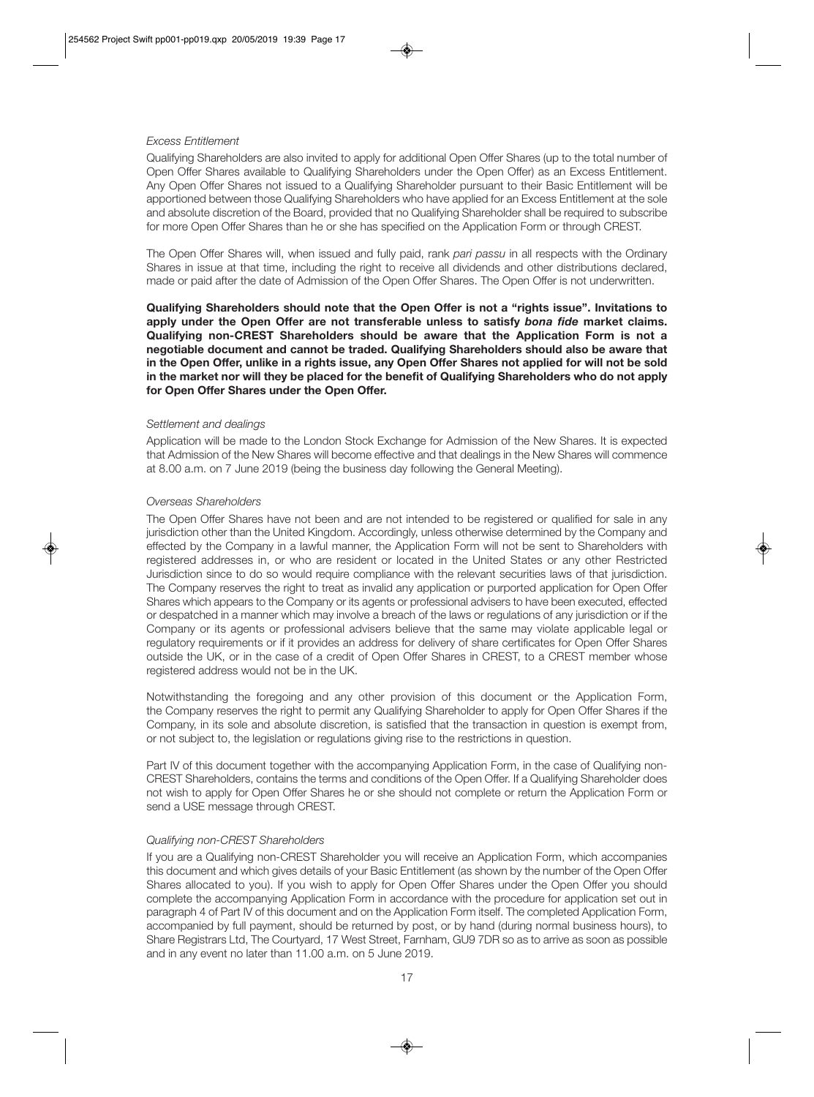#### *Excess Entitlement*

Qualifying Shareholders are also invited to apply for additional Open Offer Shares (up to the total number of Open Offer Shares available to Qualifying Shareholders under the Open Offer) as an Excess Entitlement. Any Open Offer Shares not issued to a Qualifying Shareholder pursuant to their Basic Entitlement will be apportioned between those Qualifying Shareholders who have applied for an Excess Entitlement at the sole and absolute discretion of the Board, provided that no Qualifying Shareholder shall be required to subscribe for more Open Offer Shares than he or she has specified on the Application Form or through CREST.

The Open Offer Shares will, when issued and fully paid, rank *pari passu* in all respects with the Ordinary Shares in issue at that time, including the right to receive all dividends and other distributions declared, made or paid after the date of Admission of the Open Offer Shares. The Open Offer is not underwritten.

**Qualifying Shareholders should note that the Open Offer is not a "rights issue". Invitations to apply under the Open Offer are not transferable unless to satisfy** *bona fide* **market claims. Qualifying non-CREST Shareholders should be aware that the Application Form is not a negotiable document and cannot be traded. Qualifying Shareholders should also be aware that in the Open Offer, unlike in a rights issue, any Open Offer Shares not applied for will not be sold in the market nor will they be placed for the benefit of Qualifying Shareholders who do not apply for Open Offer Shares under the Open Offer.** 

#### *Settlement and dealings*

Application will be made to the London Stock Exchange for Admission of the New Shares. It is expected that Admission of the New Shares will become effective and that dealings in the New Shares will commence at 8.00 a.m. on 7 June 2019 (being the business day following the General Meeting).

#### *Overseas Shareholders*

The Open Offer Shares have not been and are not intended to be registered or qualified for sale in any jurisdiction other than the United Kingdom. Accordingly, unless otherwise determined by the Company and effected by the Company in a lawful manner, the Application Form will not be sent to Shareholders with registered addresses in, or who are resident or located in the United States or any other Restricted Jurisdiction since to do so would require compliance with the relevant securities laws of that jurisdiction. The Company reserves the right to treat as invalid any application or purported application for Open Offer Shares which appears to the Company or its agents or professional advisers to have been executed, effected or despatched in a manner which may involve a breach of the laws or regulations of any jurisdiction or if the Company or its agents or professional advisers believe that the same may violate applicable legal or regulatory requirements or if it provides an address for delivery of share certificates for Open Offer Shares outside the UK, or in the case of a credit of Open Offer Shares in CREST, to a CREST member whose registered address would not be in the UK.

Notwithstanding the foregoing and any other provision of this document or the Application Form, the Company reserves the right to permit any Qualifying Shareholder to apply for Open Offer Shares if the Company, in its sole and absolute discretion, is satisfied that the transaction in question is exempt from, or not subject to, the legislation or regulations giving rise to the restrictions in question.

Part IV of this document together with the accompanying Application Form, in the case of Qualifying non-CREST Shareholders, contains the terms and conditions of the Open Offer. If a Qualifying Shareholder does not wish to apply for Open Offer Shares he or she should not complete or return the Application Form or send a USE message through CREST.

#### *Qualifying non-CREST Shareholders*

If you are a Qualifying non-CREST Shareholder you will receive an Application Form, which accompanies this document and which gives details of your Basic Entitlement (as shown by the number of the Open Offer Shares allocated to you). If you wish to apply for Open Offer Shares under the Open Offer you should complete the accompanying Application Form in accordance with the procedure for application set out in paragraph 4 of Part IV of this document and on the Application Form itself. The completed Application Form, accompanied by full payment, should be returned by post, or by hand (during normal business hours), to Share Registrars Ltd, The Courtyard, 17 West Street, Farnham, GU9 7DR so as to arrive as soon as possible and in any event no later than 11.00 a.m. on 5 June 2019.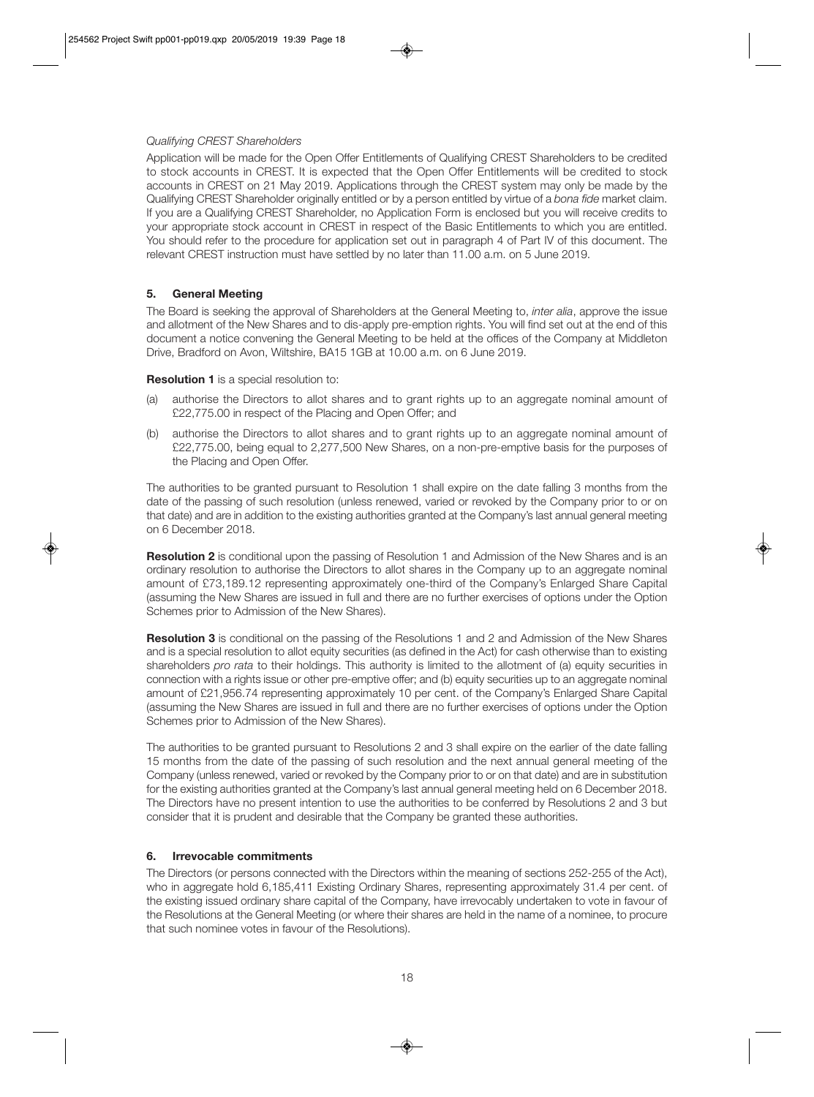#### *Qualifying CREST Shareholders*

Application will be made for the Open Offer Entitlements of Qualifying CREST Shareholders to be credited to stock accounts in CREST. It is expected that the Open Offer Entitlements will be credited to stock accounts in CREST on 21 May 2019. Applications through the CREST system may only be made by the Qualifying CREST Shareholder originally entitled or by a person entitled by virtue of a *bona fide* market claim. If you are a Qualifying CREST Shareholder, no Application Form is enclosed but you will receive credits to your appropriate stock account in CREST in respect of the Basic Entitlements to which you are entitled. You should refer to the procedure for application set out in paragraph 4 of Part IV of this document. The relevant CREST instruction must have settled by no later than 11.00 a.m. on 5 June 2019.

#### **5. General Meeting**

The Board is seeking the approval of Shareholders at the General Meeting to, *inter alia*, approve the issue and allotment of the New Shares and to dis-apply pre-emption rights. You will find set out at the end of this document a notice convening the General Meeting to be held at the offices of the Company at Middleton Drive, Bradford on Avon, Wiltshire, BA15 1GB at 10.00 a.m. on 6 June 2019.

**Resolution 1** is a special resolution to:

- (a) authorise the Directors to allot shares and to grant rights up to an aggregate nominal amount of £22,775.00 in respect of the Placing and Open Offer; and
- (b) authorise the Directors to allot shares and to grant rights up to an aggregate nominal amount of £22,775.00, being equal to 2,277,500 New Shares, on a non-pre-emptive basis for the purposes of the Placing and Open Offer.

The authorities to be granted pursuant to Resolution 1 shall expire on the date falling 3 months from the date of the passing of such resolution (unless renewed, varied or revoked by the Company prior to or on that date) and are in addition to the existing authorities granted at the Company's last annual general meeting on 6 December 2018.

**Resolution 2** is conditional upon the passing of Resolution 1 and Admission of the New Shares and is an ordinary resolution to authorise the Directors to allot shares in the Company up to an aggregate nominal amount of £73,189.12 representing approximately one-third of the Company's Enlarged Share Capital (assuming the New Shares are issued in full and there are no further exercises of options under the Option Schemes prior to Admission of the New Shares).

**Resolution 3** is conditional on the passing of the Resolutions 1 and 2 and Admission of the New Shares and is a special resolution to allot equity securities (as defined in the Act) for cash otherwise than to existing shareholders *pro rata* to their holdings. This authority is limited to the allotment of (a) equity securities in connection with a rights issue or other pre-emptive offer; and (b) equity securities up to an aggregate nominal amount of £21,956.74 representing approximately 10 per cent. of the Company's Enlarged Share Capital (assuming the New Shares are issued in full and there are no further exercises of options under the Option Schemes prior to Admission of the New Shares).

The authorities to be granted pursuant to Resolutions 2 and 3 shall expire on the earlier of the date falling 15 months from the date of the passing of such resolution and the next annual general meeting of the Company (unless renewed, varied or revoked by the Company prior to or on that date) and are in substitution for the existing authorities granted at the Company's last annual general meeting held on 6 December 2018. The Directors have no present intention to use the authorities to be conferred by Resolutions 2 and 3 but consider that it is prudent and desirable that the Company be granted these authorities.

#### **6. Irrevocable commitments**

The Directors (or persons connected with the Directors within the meaning of sections 252-255 of the Act), who in aggregate hold 6,185,411 Existing Ordinary Shares, representing approximately 31.4 per cent. of the existing issued ordinary share capital of the Company, have irrevocably undertaken to vote in favour of the Resolutions at the General Meeting (or where their shares are held in the name of a nominee, to procure that such nominee votes in favour of the Resolutions).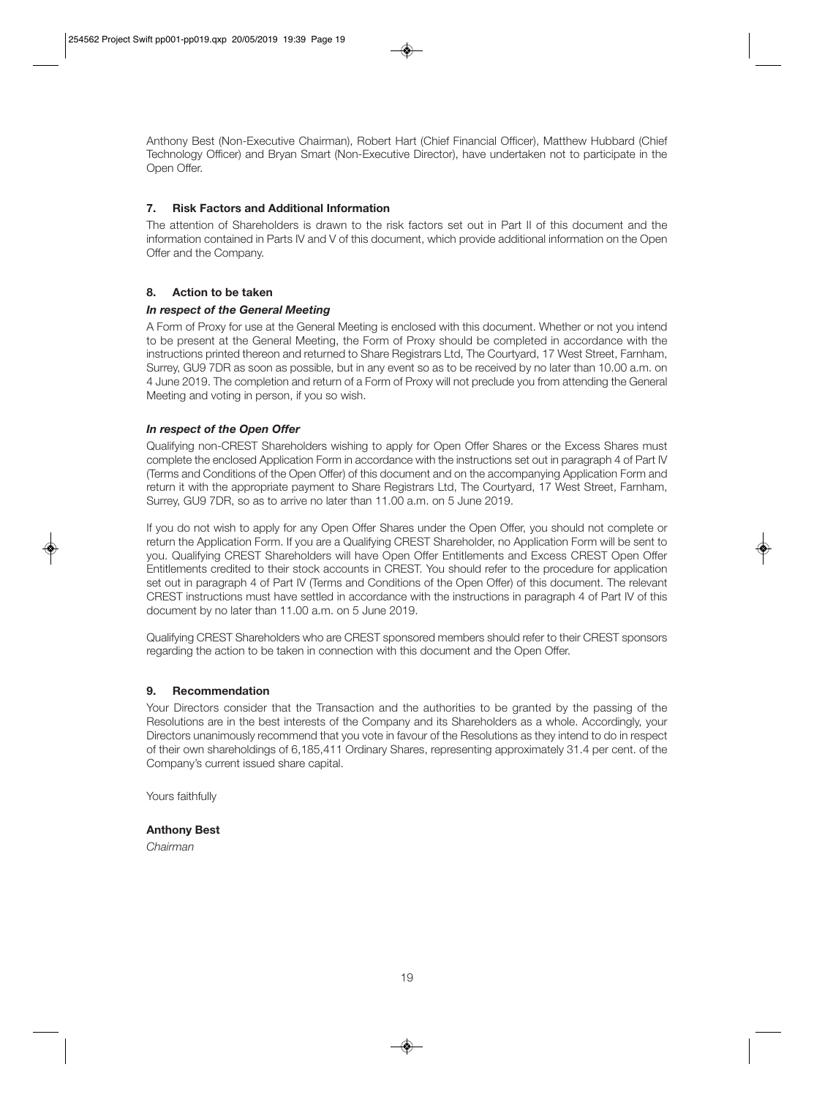Anthony Best (Non-Executive Chairman), Robert Hart (Chief Financial Officer), Matthew Hubbard (Chief Technology Officer) and Bryan Smart (Non-Executive Director), have undertaken not to participate in the Open Offer.

#### **7. Risk Factors and Additional Information**

The attention of Shareholders is drawn to the risk factors set out in Part II of this document and the information contained in Parts IV and V of this document, which provide additional information on the Open Offer and the Company.

#### **8. Action to be taken**

#### *In respect of the General Meeting*

A Form of Proxy for use at the General Meeting is enclosed with this document. Whether or not you intend to be present at the General Meeting, the Form of Proxy should be completed in accordance with the instructions printed thereon and returned to Share Registrars Ltd, The Courtyard, 17 West Street, Farnham, Surrey, GU9 7DR as soon as possible, but in any event so as to be received by no later than 10.00 a.m. on 4 June 2019. The completion and return of a Form of Proxy will not preclude you from attending the General Meeting and voting in person, if you so wish.

#### *In respect of the Open Offer*

Qualifying non-CREST Shareholders wishing to apply for Open Offer Shares or the Excess Shares must complete the enclosed Application Form in accordance with the instructions set out in paragraph 4 of Part IV (Terms and Conditions of the Open Offer) of this document and on the accompanying Application Form and return it with the appropriate payment to Share Registrars Ltd, The Courtyard, 17 West Street, Farnham, Surrey, GU9 7DR, so as to arrive no later than 11.00 a.m. on 5 June 2019.

If you do not wish to apply for any Open Offer Shares under the Open Offer, you should not complete or return the Application Form. If you are a Qualifying CREST Shareholder, no Application Form will be sent to you. Qualifying CREST Shareholders will have Open Offer Entitlements and Excess CREST Open Offer Entitlements credited to their stock accounts in CREST. You should refer to the procedure for application set out in paragraph 4 of Part IV (Terms and Conditions of the Open Offer) of this document. The relevant CREST instructions must have settled in accordance with the instructions in paragraph 4 of Part IV of this document by no later than 11.00 a.m. on 5 June 2019.

Qualifying CREST Shareholders who are CREST sponsored members should refer to their CREST sponsors regarding the action to be taken in connection with this document and the Open Offer.

#### **9. Recommendation**

Your Directors consider that the Transaction and the authorities to be granted by the passing of the Resolutions are in the best interests of the Company and its Shareholders as a whole. Accordingly, your Directors unanimously recommend that you vote in favour of the Resolutions as they intend to do in respect of their own shareholdings of 6,185,411 Ordinary Shares, representing approximately 31.4 per cent. of the Company's current issued share capital.

Yours faithfully

#### **Anthony Best**

*Chairman*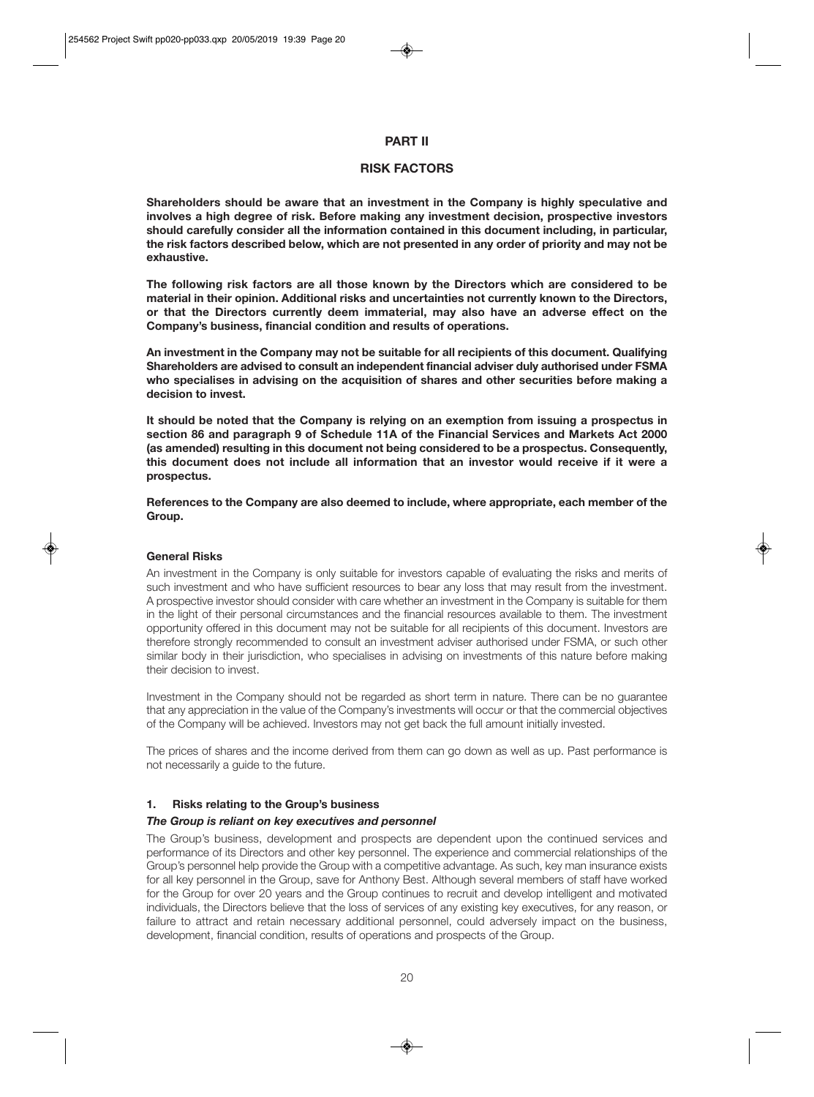#### **PART II**

#### **RISK FACTORS**

**Shareholders should be aware that an investment in the Company is highly speculative and involves a high degree of risk. Before making any investment decision, prospective investors should carefully consider all the information contained in this document including, in particular, the risk factors described below, which are not presented in any order of priority and may not be exhaustive.** 

**The following risk factors are all those known by the Directors which are considered to be material in their opinion. Additional risks and uncertainties not currently known to the Directors, or that the Directors currently deem immaterial, may also have an adverse effect on the Company's business, financial condition and results of operations.** 

**An investment in the Company may not be suitable for all recipients of this document. Qualifying Shareholders are advised to consult an independent financial adviser duly authorised under FSMA who specialises in advising on the acquisition of shares and other securities before making a decision to invest.** 

**It should be noted that the Company is relying on an exemption from issuing a prospectus in section 86 and paragraph 9 of Schedule 11A of the Financial Services and Markets Act 2000 (as amended) resulting in this document not being considered to be a prospectus. Consequently, this document does not include all information that an investor would receive if it were a prospectus.** 

**References to the Company are also deemed to include, where appropriate, each member of the Group.** 

#### **General Risks**

An investment in the Company is only suitable for investors capable of evaluating the risks and merits of such investment and who have sufficient resources to bear any loss that may result from the investment. A prospective investor should consider with care whether an investment in the Company is suitable for them in the light of their personal circumstances and the financial resources available to them. The investment opportunity offered in this document may not be suitable for all recipients of this document. Investors are therefore strongly recommended to consult an investment adviser authorised under FSMA, or such other similar body in their jurisdiction, who specialises in advising on investments of this nature before making their decision to invest.

Investment in the Company should not be regarded as short term in nature. There can be no guarantee that any appreciation in the value of the Company's investments will occur or that the commercial objectives of the Company will be achieved. Investors may not get back the full amount initially invested.

The prices of shares and the income derived from them can go down as well as up. Past performance is not necessarily a guide to the future.

#### **1. Risks relating to the Group's business**

#### *The Group is reliant on key executives and personnel*

The Group's business, development and prospects are dependent upon the continued services and performance of its Directors and other key personnel. The experience and commercial relationships of the Group's personnel help provide the Group with a competitive advantage. As such, key man insurance exists for all key personnel in the Group, save for Anthony Best. Although several members of staff have worked for the Group for over 20 years and the Group continues to recruit and develop intelligent and motivated individuals, the Directors believe that the loss of services of any existing key executives, for any reason, or failure to attract and retain necessary additional personnel, could adversely impact on the business, development, financial condition, results of operations and prospects of the Group.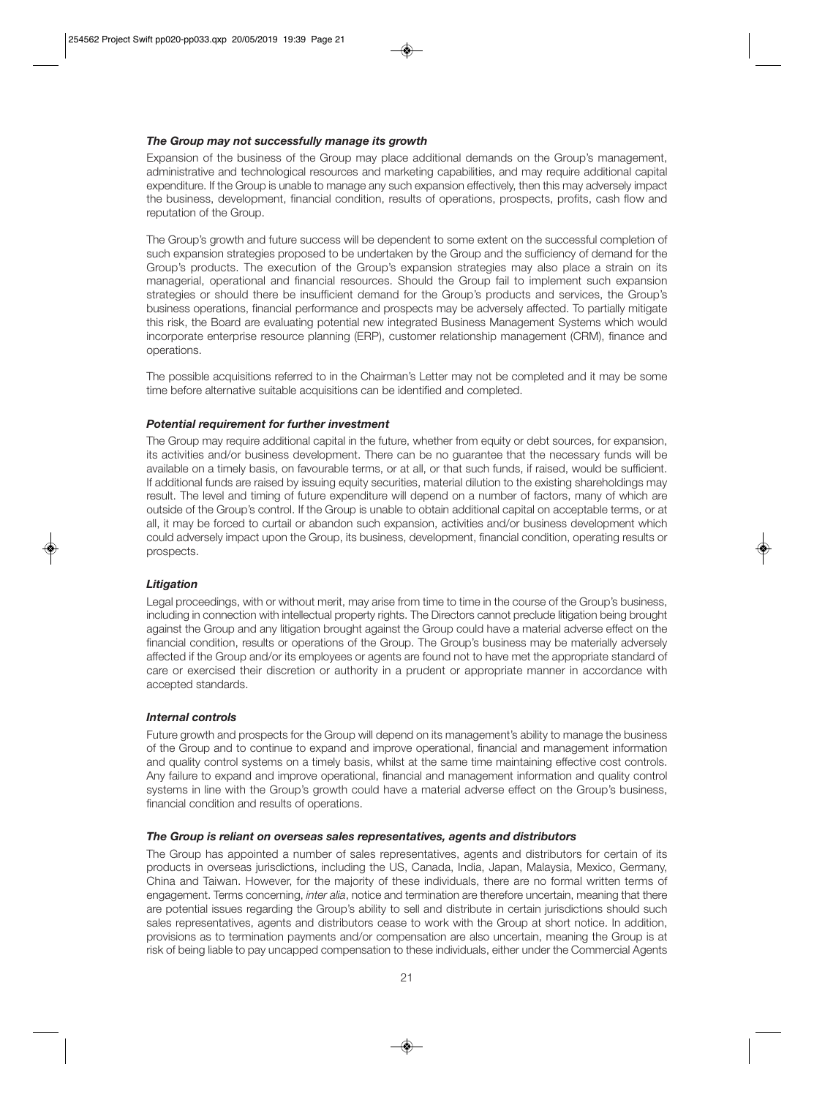#### *The Group may not successfully manage its growth*

Expansion of the business of the Group may place additional demands on the Group's management, administrative and technological resources and marketing capabilities, and may require additional capital expenditure. If the Group is unable to manage any such expansion effectively, then this may adversely impact the business, development, financial condition, results of operations, prospects, profits, cash flow and reputation of the Group.

The Group's growth and future success will be dependent to some extent on the successful completion of such expansion strategies proposed to be undertaken by the Group and the sufficiency of demand for the Group's products. The execution of the Group's expansion strategies may also place a strain on its managerial, operational and financial resources. Should the Group fail to implement such expansion strategies or should there be insufficient demand for the Group's products and services, the Group's business operations, financial performance and prospects may be adversely affected. To partially mitigate this risk, the Board are evaluating potential new integrated Business Management Systems which would incorporate enterprise resource planning (ERP), customer relationship management (CRM), finance and operations.

The possible acquisitions referred to in the Chairman's Letter may not be completed and it may be some time before alternative suitable acquisitions can be identified and completed.

#### *Potential requirement for further investment*

The Group may require additional capital in the future, whether from equity or debt sources, for expansion, its activities and/or business development. There can be no guarantee that the necessary funds will be available on a timely basis, on favourable terms, or at all, or that such funds, if raised, would be sufficient. If additional funds are raised by issuing equity securities, material dilution to the existing shareholdings may result. The level and timing of future expenditure will depend on a number of factors, many of which are outside of the Group's control. If the Group is unable to obtain additional capital on acceptable terms, or at all, it may be forced to curtail or abandon such expansion, activities and/or business development which could adversely impact upon the Group, its business, development, financial condition, operating results or prospects.

#### *Litigation*

Legal proceedings, with or without merit, may arise from time to time in the course of the Group's business, including in connection with intellectual property rights. The Directors cannot preclude litigation being brought against the Group and any litigation brought against the Group could have a material adverse effect on the financial condition, results or operations of the Group. The Group's business may be materially adversely affected if the Group and/or its employees or agents are found not to have met the appropriate standard of care or exercised their discretion or authority in a prudent or appropriate manner in accordance with accepted standards.

#### *Internal controls*

Future growth and prospects for the Group will depend on its management's ability to manage the business of the Group and to continue to expand and improve operational, financial and management information and quality control systems on a timely basis, whilst at the same time maintaining effective cost controls. Any failure to expand and improve operational, financial and management information and quality control systems in line with the Group's growth could have a material adverse effect on the Group's business, financial condition and results of operations.

#### *The Group is reliant on overseas sales representatives, agents and distributors*

The Group has appointed a number of sales representatives, agents and distributors for certain of its products in overseas jurisdictions, including the US, Canada, India, Japan, Malaysia, Mexico, Germany, China and Taiwan. However, for the majority of these individuals, there are no formal written terms of engagement. Terms concerning, *inter alia*, notice and termination are therefore uncertain, meaning that there are potential issues regarding the Group's ability to sell and distribute in certain jurisdictions should such sales representatives, agents and distributors cease to work with the Group at short notice. In addition, provisions as to termination payments and/or compensation are also uncertain, meaning the Group is at risk of being liable to pay uncapped compensation to these individuals, either under the Commercial Agents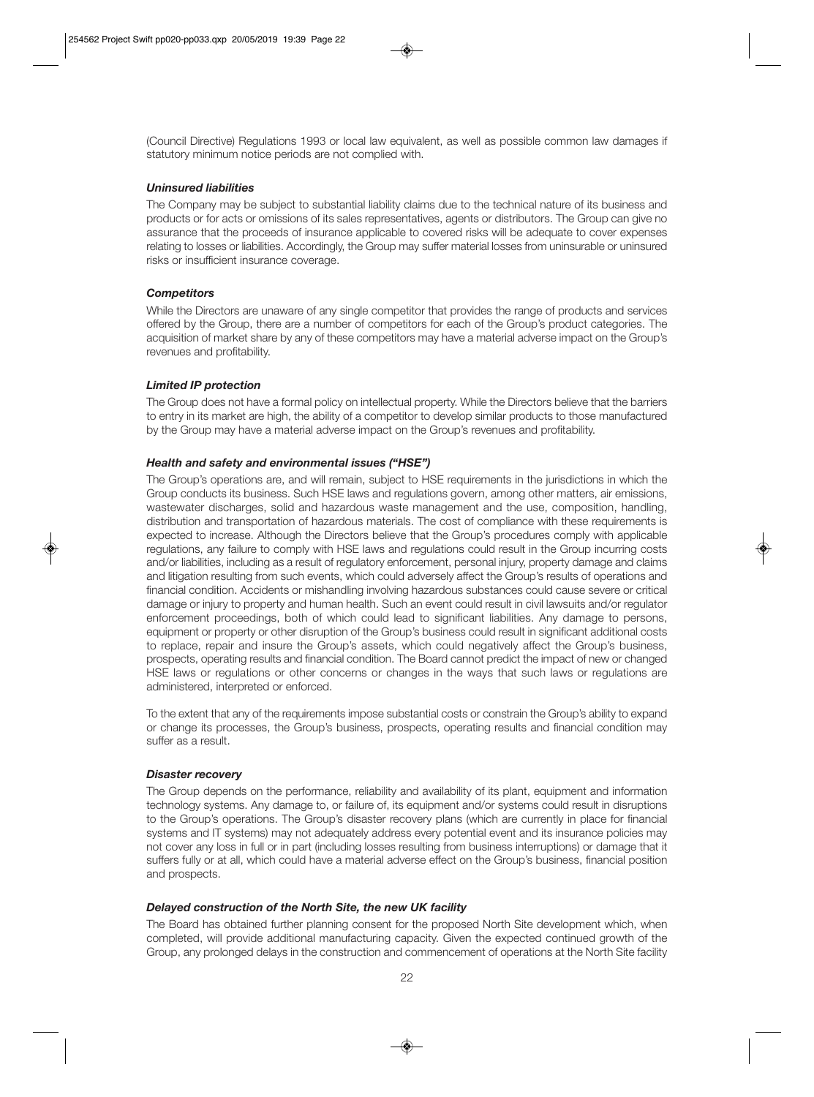(Council Directive) Regulations 1993 or local law equivalent, as well as possible common law damages if statutory minimum notice periods are not complied with.

#### *Uninsured liabilities*

The Company may be subject to substantial liability claims due to the technical nature of its business and products or for acts or omissions of its sales representatives, agents or distributors. The Group can give no assurance that the proceeds of insurance applicable to covered risks will be adequate to cover expenses relating to losses or liabilities. Accordingly, the Group may suffer material losses from uninsurable or uninsured risks or insufficient insurance coverage.

#### *Competitors*

While the Directors are unaware of any single competitor that provides the range of products and services offered by the Group, there are a number of competitors for each of the Group's product categories. The acquisition of market share by any of these competitors may have a material adverse impact on the Group's revenues and profitability.

#### *Limited IP protection*

The Group does not have a formal policy on intellectual property. While the Directors believe that the barriers to entry in its market are high, the ability of a competitor to develop similar products to those manufactured by the Group may have a material adverse impact on the Group's revenues and profitability.

#### *Health and safety and environmental issues ("HSE")*

The Group's operations are, and will remain, subject to HSE requirements in the jurisdictions in which the Group conducts its business. Such HSE laws and regulations govern, among other matters, air emissions, wastewater discharges, solid and hazardous waste management and the use, composition, handling, distribution and transportation of hazardous materials. The cost of compliance with these requirements is expected to increase. Although the Directors believe that the Group's procedures comply with applicable regulations, any failure to comply with HSE laws and regulations could result in the Group incurring costs and/or liabilities, including as a result of regulatory enforcement, personal injury, property damage and claims and litigation resulting from such events, which could adversely affect the Group's results of operations and financial condition. Accidents or mishandling involving hazardous substances could cause severe or critical damage or injury to property and human health. Such an event could result in civil lawsuits and/or regulator enforcement proceedings, both of which could lead to significant liabilities. Any damage to persons, equipment or property or other disruption of the Group's business could result in significant additional costs to replace, repair and insure the Group's assets, which could negatively affect the Group's business, prospects, operating results and financial condition. The Board cannot predict the impact of new or changed HSE laws or regulations or other concerns or changes in the ways that such laws or regulations are administered, interpreted or enforced.

To the extent that any of the requirements impose substantial costs or constrain the Group's ability to expand or change its processes, the Group's business, prospects, operating results and financial condition may suffer as a result.

#### *Disaster recovery*

The Group depends on the performance, reliability and availability of its plant, equipment and information technology systems. Any damage to, or failure of, its equipment and/or systems could result in disruptions to the Group's operations. The Group's disaster recovery plans (which are currently in place for financial systems and IT systems) may not adequately address every potential event and its insurance policies may not cover any loss in full or in part (including losses resulting from business interruptions) or damage that it suffers fully or at all, which could have a material adverse effect on the Group's business, financial position and prospects.

#### *Delayed construction of the North Site, the new UK facility*

The Board has obtained further planning consent for the proposed North Site development which, when completed, will provide additional manufacturing capacity. Given the expected continued growth of the Group, any prolonged delays in the construction and commencement of operations at the North Site facility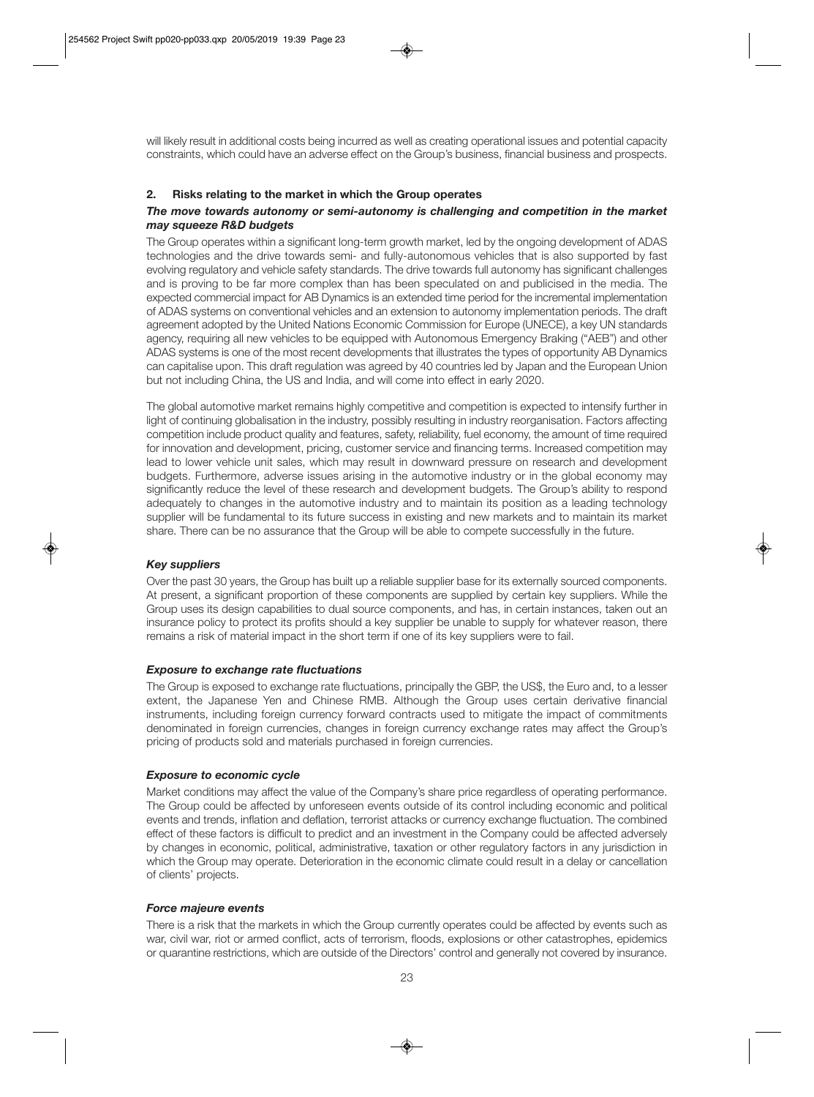will likely result in additional costs being incurred as well as creating operational issues and potential capacity constraints, which could have an adverse effect on the Group's business, financial business and prospects.

#### **2. Risks relating to the market in which the Group operates**

#### *The move towards autonomy or semi-autonomy is challenging and competition in the market may squeeze R&D budgets*

The Group operates within a significant long-term growth market, led by the ongoing development of ADAS technologies and the drive towards semi- and fully-autonomous vehicles that is also supported by fast evolving regulatory and vehicle safety standards. The drive towards full autonomy has significant challenges and is proving to be far more complex than has been speculated on and publicised in the media. The expected commercial impact for AB Dynamics is an extended time period for the incremental implementation of ADAS systems on conventional vehicles and an extension to autonomy implementation periods. The draft agreement adopted by the United Nations Economic Commission for Europe (UNECE), a key UN standards agency, requiring all new vehicles to be equipped with Autonomous Emergency Braking ("AEB") and other ADAS systems is one of the most recent developments that illustrates the types of opportunity AB Dynamics can capitalise upon. This draft regulation was agreed by 40 countries led by Japan and the European Union but not including China, the US and India, and will come into effect in early 2020.

The global automotive market remains highly competitive and competition is expected to intensify further in light of continuing globalisation in the industry, possibly resulting in industry reorganisation. Factors affecting competition include product quality and features, safety, reliability, fuel economy, the amount of time required for innovation and development, pricing, customer service and financing terms. Increased competition may lead to lower vehicle unit sales, which may result in downward pressure on research and development budgets. Furthermore, adverse issues arising in the automotive industry or in the global economy may significantly reduce the level of these research and development budgets. The Group's ability to respond adequately to changes in the automotive industry and to maintain its position as a leading technology supplier will be fundamental to its future success in existing and new markets and to maintain its market share. There can be no assurance that the Group will be able to compete successfully in the future.

#### *Key suppliers*

Over the past 30 years, the Group has built up a reliable supplier base for its externally sourced components. At present, a significant proportion of these components are supplied by certain key suppliers. While the Group uses its design capabilities to dual source components, and has, in certain instances, taken out an insurance policy to protect its profits should a key supplier be unable to supply for whatever reason, there remains a risk of material impact in the short term if one of its key suppliers were to fail.

#### *Exposure to exchange rate fluctuations*

The Group is exposed to exchange rate fluctuations, principally the GBP, the US\$, the Euro and, to a lesser extent, the Japanese Yen and Chinese RMB. Although the Group uses certain derivative financial instruments, including foreign currency forward contracts used to mitigate the impact of commitments denominated in foreign currencies, changes in foreign currency exchange rates may affect the Group's pricing of products sold and materials purchased in foreign currencies.

#### *Exposure to economic cycle*

Market conditions may affect the value of the Company's share price regardless of operating performance. The Group could be affected by unforeseen events outside of its control including economic and political events and trends, inflation and deflation, terrorist attacks or currency exchange fluctuation. The combined effect of these factors is difficult to predict and an investment in the Company could be affected adversely by changes in economic, political, administrative, taxation or other regulatory factors in any jurisdiction in which the Group may operate. Deterioration in the economic climate could result in a delay or cancellation of clients' projects.

#### *Force majeure events*

There is a risk that the markets in which the Group currently operates could be affected by events such as war, civil war, riot or armed conflict, acts of terrorism, floods, explosions or other catastrophes, epidemics or quarantine restrictions, which are outside of the Directors' control and generally not covered by insurance.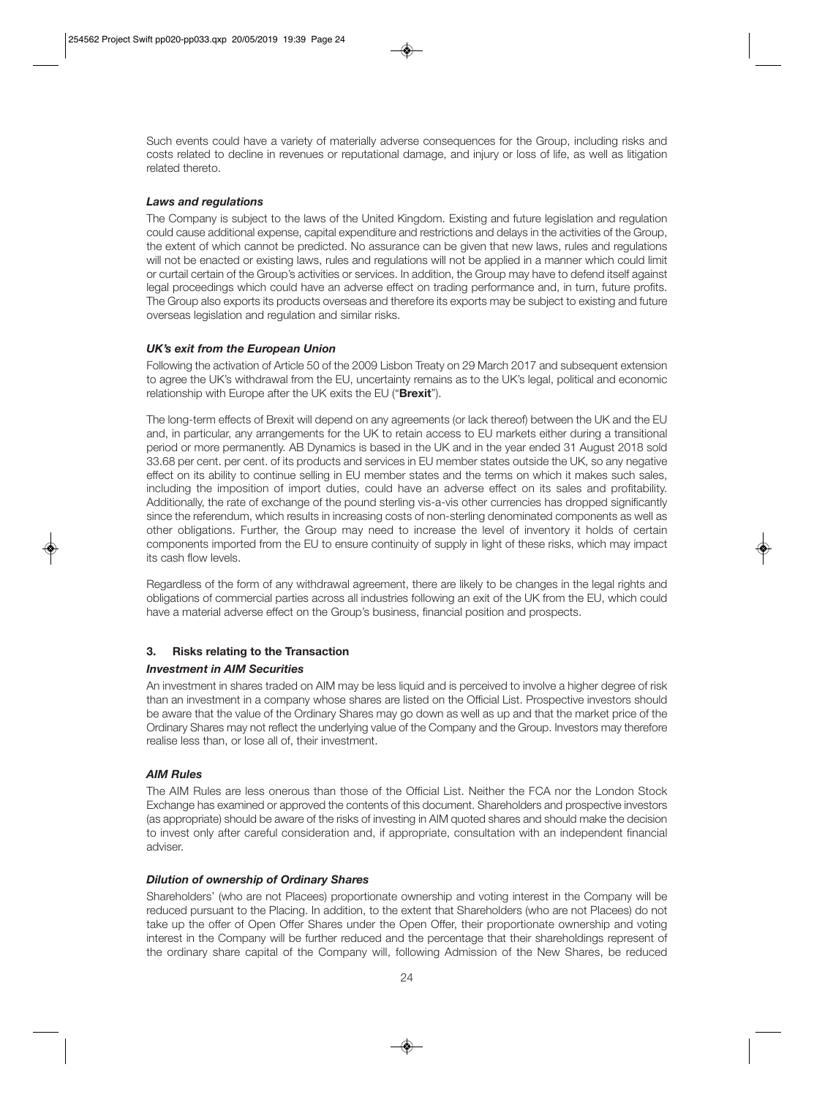Such events could have a variety of materially adverse consequences for the Group, including risks and costs related to decline in revenues or reputational damage, and injury or loss of life, as well as litigation related thereto.

#### *Laws and regulations*

The Company is subject to the laws of the United Kingdom. Existing and future legislation and regulation could cause additional expense, capital expenditure and restrictions and delays in the activities of the Group, the extent of which cannot be predicted. No assurance can be given that new laws, rules and regulations will not be enacted or existing laws, rules and regulations will not be applied in a manner which could limit or curtail certain of the Group's activities or services. In addition, the Group may have to defend itself against legal proceedings which could have an adverse effect on trading performance and, in turn, future profits. The Group also exports its products overseas and therefore its exports may be subject to existing and future overseas legislation and regulation and similar risks.

#### *UK's exit from the European Union*

Following the activation of Article 50 of the 2009 Lisbon Treaty on 29 March 2017 and subsequent extension to agree the UK's withdrawal from the EU, uncertainty remains as to the UK's legal, political and economic relationship with Europe after the UK exits the EU ("**Brexit**").

The long-term effects of Brexit will depend on any agreements (or lack thereof) between the UK and the EU and, in particular, any arrangements for the UK to retain access to EU markets either during a transitional period or more permanently. AB Dynamics is based in the UK and in the year ended 31 August 2018 sold 33.68 per cent. per cent. of its products and services in EU member states outside the UK, so any negative effect on its ability to continue selling in EU member states and the terms on which it makes such sales, including the imposition of import duties, could have an adverse effect on its sales and profitability. Additionally, the rate of exchange of the pound sterling vis-a-vis other currencies has dropped significantly since the referendum, which results in increasing costs of non-sterling denominated components as well as other obligations. Further, the Group may need to increase the level of inventory it holds of certain components imported from the EU to ensure continuity of supply in light of these risks, which may impact its cash flow levels.

Regardless of the form of any withdrawal agreement, there are likely to be changes in the legal rights and obligations of commercial parties across all industries following an exit of the UK from the EU, which could have a material adverse effect on the Group's business, financial position and prospects.

#### **3. Risks relating to the Transaction**

#### *Investment in AIM Securities*

An investment in shares traded on AIM may be less liquid and is perceived to involve a higher degree of risk than an investment in a company whose shares are listed on the Official List. Prospective investors should be aware that the value of the Ordinary Shares may go down as well as up and that the market price of the Ordinary Shares may not reflect the underlying value of the Company and the Group. Investors may therefore realise less than, or lose all of, their investment.

#### *AIM Rules*

The AIM Rules are less onerous than those of the Official List. Neither the FCA nor the London Stock Exchange has examined or approved the contents of this document. Shareholders and prospective investors (as appropriate) should be aware of the risks of investing in AIM quoted shares and should make the decision to invest only after careful consideration and, if appropriate, consultation with an independent financial adviser.

#### *Dilution of ownership of Ordinary Shares*

Shareholders' (who are not Placees) proportionate ownership and voting interest in the Company will be reduced pursuant to the Placing. In addition, to the extent that Shareholders (who are not Placees) do not take up the offer of Open Offer Shares under the Open Offer, their proportionate ownership and voting interest in the Company will be further reduced and the percentage that their shareholdings represent of the ordinary share capital of the Company will, following Admission of the New Shares, be reduced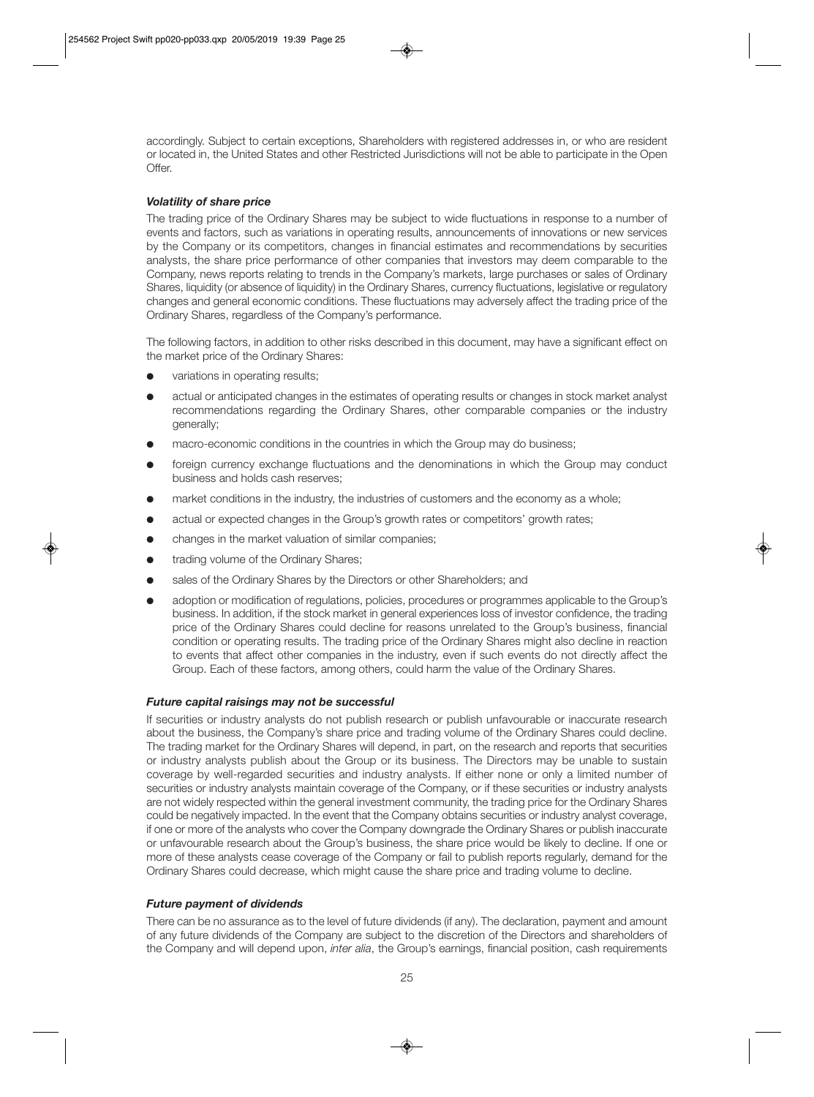accordingly. Subject to certain exceptions, Shareholders with registered addresses in, or who are resident or located in, the United States and other Restricted Jurisdictions will not be able to participate in the Open Offer.

#### *Volatility of share price*

The trading price of the Ordinary Shares may be subject to wide fluctuations in response to a number of events and factors, such as variations in operating results, announcements of innovations or new services by the Company or its competitors, changes in financial estimates and recommendations by securities analysts, the share price performance of other companies that investors may deem comparable to the Company, news reports relating to trends in the Company's markets, large purchases or sales of Ordinary Shares, liquidity (or absence of liquidity) in the Ordinary Shares, currency fluctuations, legislative or regulatory changes and general economic conditions. These fluctuations may adversely affect the trading price of the Ordinary Shares, regardless of the Company's performance.

The following factors, in addition to other risks described in this document, may have a significant effect on the market price of the Ordinary Shares:

- $\bullet$  variations in operating results;
- actual or anticipated changes in the estimates of operating results or changes in stock market analyst recommendations regarding the Ordinary Shares, other comparable companies or the industry generally;
- macro-economic conditions in the countries in which the Group may do business;
- foreign currency exchange fluctuations and the denominations in which the Group may conduct business and holds cash reserves;
- market conditions in the industry, the industries of customers and the economy as a whole;
- actual or expected changes in the Group's growth rates or competitors' growth rates;
- changes in the market valuation of similar companies;
- **•** trading volume of the Ordinary Shares;
- sales of the Ordinary Shares by the Directors or other Shareholders; and
- adoption or modification of regulations, policies, procedures or programmes applicable to the Group's business. In addition, if the stock market in general experiences loss of investor confidence, the trading price of the Ordinary Shares could decline for reasons unrelated to the Group's business, financial condition or operating results. The trading price of the Ordinary Shares might also decline in reaction to events that affect other companies in the industry, even if such events do not directly affect the Group. Each of these factors, among others, could harm the value of the Ordinary Shares.

#### *Future capital raisings may not be successful*

If securities or industry analysts do not publish research or publish unfavourable or inaccurate research about the business, the Company's share price and trading volume of the Ordinary Shares could decline. The trading market for the Ordinary Shares will depend, in part, on the research and reports that securities or industry analysts publish about the Group or its business. The Directors may be unable to sustain coverage by well-regarded securities and industry analysts. If either none or only a limited number of securities or industry analysts maintain coverage of the Company, or if these securities or industry analysts are not widely respected within the general investment community, the trading price for the Ordinary Shares could be negatively impacted. In the event that the Company obtains securities or industry analyst coverage, if one or more of the analysts who cover the Company downgrade the Ordinary Shares or publish inaccurate or unfavourable research about the Group's business, the share price would be likely to decline. If one or more of these analysts cease coverage of the Company or fail to publish reports regularly, demand for the Ordinary Shares could decrease, which might cause the share price and trading volume to decline.

#### *Future payment of dividends*

There can be no assurance as to the level of future dividends (if any). The declaration, payment and amount of any future dividends of the Company are subject to the discretion of the Directors and shareholders of the Company and will depend upon, *inter alia*, the Group's earnings, financial position, cash requirements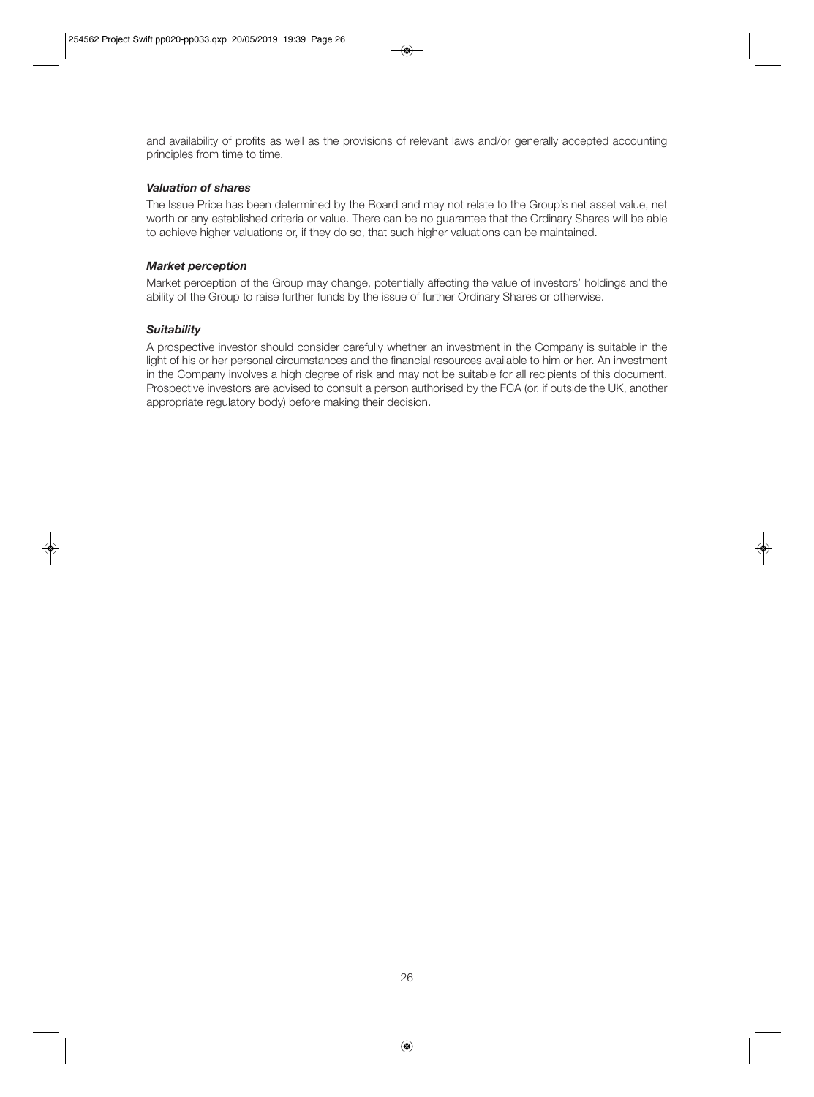and availability of profits as well as the provisions of relevant laws and/or generally accepted accounting principles from time to time.

#### *Valuation of shares*

The Issue Price has been determined by the Board and may not relate to the Group's net asset value, net worth or any established criteria or value. There can be no guarantee that the Ordinary Shares will be able to achieve higher valuations or, if they do so, that such higher valuations can be maintained.

#### *Market perception*

Market perception of the Group may change, potentially affecting the value of investors' holdings and the ability of the Group to raise further funds by the issue of further Ordinary Shares or otherwise.

#### *Suitability*

A prospective investor should consider carefully whether an investment in the Company is suitable in the light of his or her personal circumstances and the financial resources available to him or her. An investment in the Company involves a high degree of risk and may not be suitable for all recipients of this document. Prospective investors are advised to consult a person authorised by the FCA (or, if outside the UK, another appropriate regulatory body) before making their decision.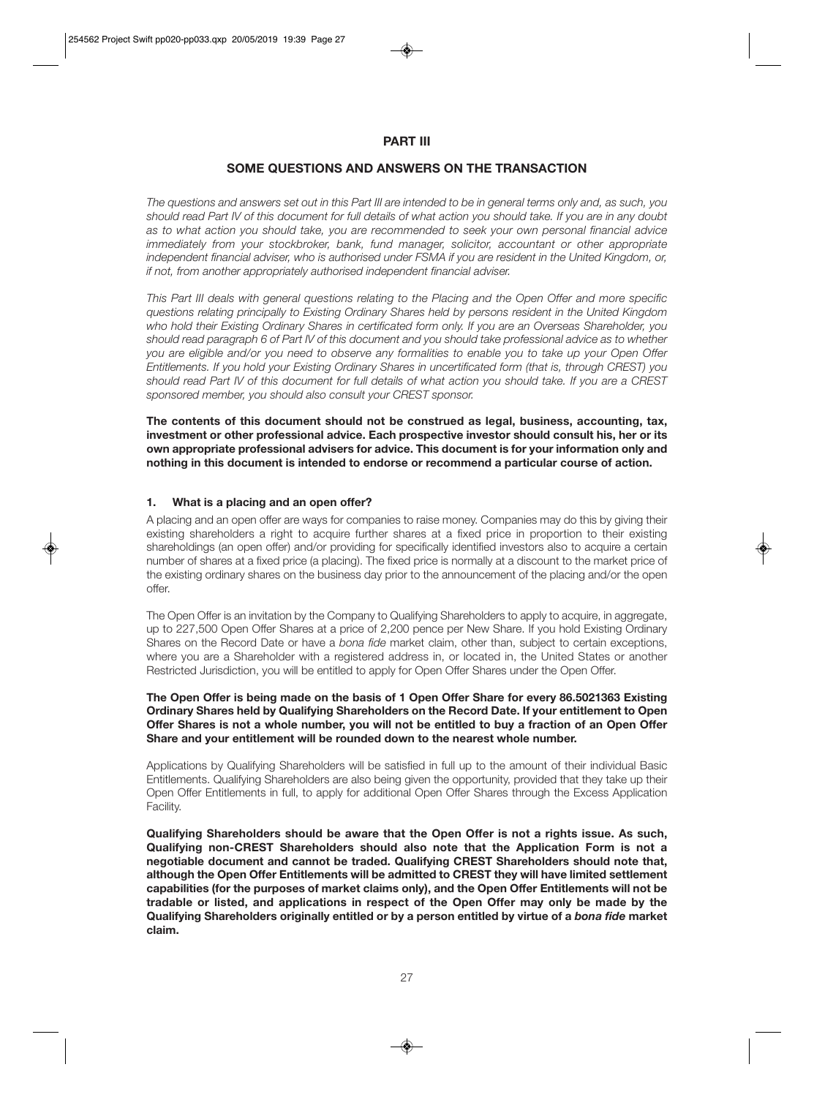#### **PART III**

#### **SOME QUESTIONS AND ANSWERS ON THE TRANSACTION**

*The questions and answers set out in this Part III are intended to be in general terms only and, as such, you should read Part IV of this document for full details of what action you should take. If you are in any doubt as to what action you should take, you are recommended to seek your own personal financial advice immediately from your stockbroker, bank, fund manager, solicitor, accountant or other appropriate independent financial adviser, who is authorised under FSMA if you are resident in the United Kingdom, or, if not, from another appropriately authorised independent financial adviser.* 

*This Part III deals with general questions relating to the Placing and the Open Offer and more specific questions relating principally to Existing Ordinary Shares held by persons resident in the United Kingdom who hold their Existing Ordinary Shares in certificated form only. If you are an Overseas Shareholder, you should read paragraph 6 of Part IV of this document and you should take professional advice as to whether you are eligible and/or you need to observe any formalities to enable you to take up your Open Offer Entitlements. If you hold your Existing Ordinary Shares in uncertificated form (that is, through CREST) you should read Part IV of this document for full details of what action you should take. If you are a CREST sponsored member, you should also consult your CREST sponsor.* 

**The contents of this document should not be construed as legal, business, accounting, tax, investment or other professional advice. Each prospective investor should consult his, her or its own appropriate professional advisers for advice. This document is for your information only and nothing in this document is intended to endorse or recommend a particular course of action.** 

#### **1. What is a placing and an open offer?**

A placing and an open offer are ways for companies to raise money. Companies may do this by giving their existing shareholders a right to acquire further shares at a fixed price in proportion to their existing shareholdings (an open offer) and/or providing for specifically identified investors also to acquire a certain number of shares at a fixed price (a placing). The fixed price is normally at a discount to the market price of the existing ordinary shares on the business day prior to the announcement of the placing and/or the open offer.

The Open Offer is an invitation by the Company to Qualifying Shareholders to apply to acquire, in aggregate, up to 227,500 Open Offer Shares at a price of 2,200 pence per New Share. If you hold Existing Ordinary Shares on the Record Date or have a *bona fide* market claim, other than, subject to certain exceptions, where you are a Shareholder with a registered address in, or located in, the United States or another Restricted Jurisdiction, you will be entitled to apply for Open Offer Shares under the Open Offer.

#### **The Open Offer is being made on the basis of 1 Open Offer Share for every 86.5021363 Existing Ordinary Shares held by Qualifying Shareholders on the Record Date. If your entitlement to Open Offer Shares is not a whole number, you will not be entitled to buy a fraction of an Open Offer Share and your entitlement will be rounded down to the nearest whole number.**

Applications by Qualifying Shareholders will be satisfied in full up to the amount of their individual Basic Entitlements. Qualifying Shareholders are also being given the opportunity, provided that they take up their Open Offer Entitlements in full, to apply for additional Open Offer Shares through the Excess Application Facility.

**Qualifying Shareholders should be aware that the Open Offer is not a rights issue. As such, Qualifying non-CREST Shareholders should also note that the Application Form is not a negotiable document and cannot be traded. Qualifying CREST Shareholders should note that, although the Open Offer Entitlements will be admitted to CREST they will have limited settlement capabilities (for the purposes of market claims only), and the Open Offer Entitlements will not be tradable or listed, and applications in respect of the Open Offer may only be made by the Qualifying Shareholders originally entitled or by a person entitled by virtue of a** *bona fide* **market claim.**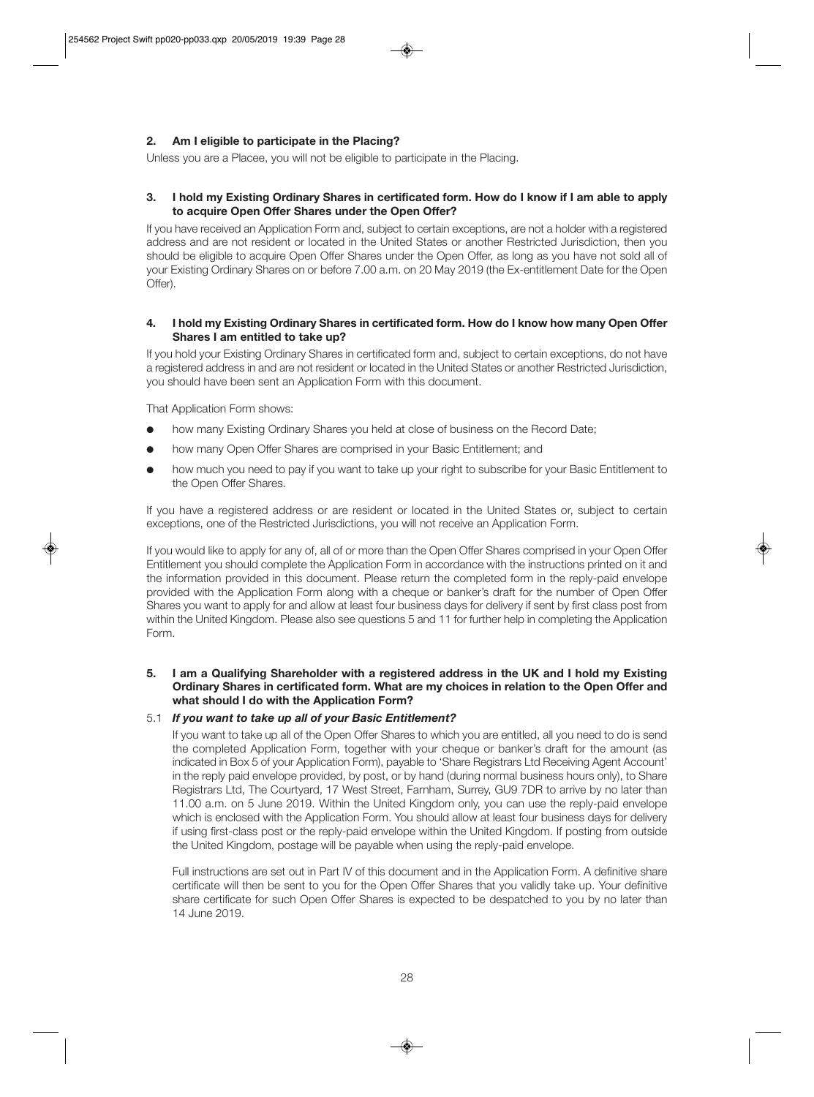#### **2. Am I eligible to participate in the Placing?**

Unless you are a Placee, you will not be eligible to participate in the Placing.

#### **3. I hold my Existing Ordinary Shares in certificated form. How do I know if I am able to apply to acquire Open Offer Shares under the Open Offer?**

If you have received an Application Form and, subject to certain exceptions, are not a holder with a registered address and are not resident or located in the United States or another Restricted Jurisdiction, then you should be eligible to acquire Open Offer Shares under the Open Offer, as long as you have not sold all of your Existing Ordinary Shares on or before 7.00 a.m. on 20 May 2019 (the Ex-entitlement Date for the Open Offer).

#### **4. I hold my Existing Ordinary Shares in certificated form. How do I know how many Open Offer Shares I am entitled to take up?**

If you hold your Existing Ordinary Shares in certificated form and, subject to certain exceptions, do not have a registered address in and are not resident or located in the United States or another Restricted Jurisdiction, you should have been sent an Application Form with this document.

That Application Form shows:

- how many Existing Ordinary Shares you held at close of business on the Record Date;
- how many Open Offer Shares are comprised in your Basic Entitlement; and
- how much you need to pay if you want to take up your right to subscribe for your Basic Entitlement to the Open Offer Shares.

If you have a registered address or are resident or located in the United States or, subject to certain exceptions, one of the Restricted Jurisdictions, you will not receive an Application Form.

If you would like to apply for any of, all of or more than the Open Offer Shares comprised in your Open Offer Entitlement you should complete the Application Form in accordance with the instructions printed on it and the information provided in this document. Please return the completed form in the reply-paid envelope provided with the Application Form along with a cheque or banker's draft for the number of Open Offer Shares you want to apply for and allow at least four business days for delivery if sent by first class post from within the United Kingdom. Please also see questions 5 and 11 for further help in completing the Application Form.

#### **5. I am a Qualifying Shareholder with a registered address in the UK and I hold my Existing Ordinary Shares in certificated form. What are my choices in relation to the Open Offer and what should I do with the Application Form?**

#### 5.1 *If you want to take up all of your Basic Entitlement?*

If you want to take up all of the Open Offer Shares to which you are entitled, all you need to do is send the completed Application Form, together with your cheque or banker's draft for the amount (as indicated in Box 5 of your Application Form), payable to 'Share Registrars Ltd Receiving Agent Account' in the reply paid envelope provided, by post, or by hand (during normal business hours only), to Share Registrars Ltd, The Courtyard, 17 West Street, Farnham, Surrey, GU9 7DR to arrive by no later than 11.00 a.m. on 5 June 2019. Within the United Kingdom only, you can use the reply-paid envelope which is enclosed with the Application Form. You should allow at least four business days for delivery if using first-class post or the reply-paid envelope within the United Kingdom. If posting from outside the United Kingdom, postage will be payable when using the reply-paid envelope.

Full instructions are set out in Part IV of this document and in the Application Form. A definitive share certificate will then be sent to you for the Open Offer Shares that you validly take up. Your definitive share certificate for such Open Offer Shares is expected to be despatched to you by no later than 14 June 2019.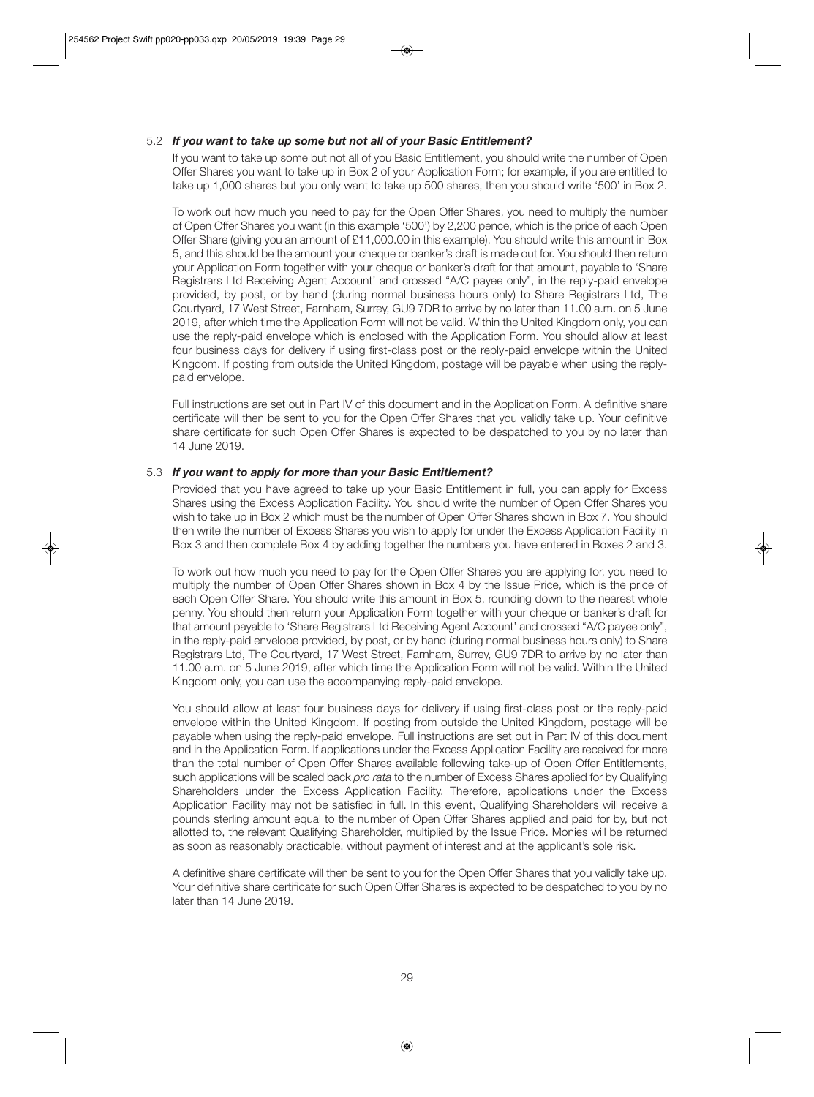#### 5.2 *If you want to take up some but not all of your Basic Entitlement?*

If you want to take up some but not all of you Basic Entitlement, you should write the number of Open Offer Shares you want to take up in Box 2 of your Application Form; for example, if you are entitled to take up 1,000 shares but you only want to take up 500 shares, then you should write '500' in Box 2.

To work out how much you need to pay for the Open Offer Shares, you need to multiply the number of Open Offer Shares you want (in this example '500') by 2,200 pence, which is the price of each Open Offer Share (giving you an amount of £11,000.00 in this example). You should write this amount in Box 5, and this should be the amount your cheque or banker's draft is made out for. You should then return your Application Form together with your cheque or banker's draft for that amount, payable to 'Share Registrars Ltd Receiving Agent Account' and crossed "A/C payee only", in the reply-paid envelope provided, by post, or by hand (during normal business hours only) to Share Registrars Ltd, The Courtyard, 17 West Street, Farnham, Surrey, GU9 7DR to arrive by no later than 11.00 a.m. on 5 June 2019, after which time the Application Form will not be valid. Within the United Kingdom only, you can use the reply-paid envelope which is enclosed with the Application Form. You should allow at least four business days for delivery if using first-class post or the reply-paid envelope within the United Kingdom. If posting from outside the United Kingdom, postage will be payable when using the replypaid envelope.

Full instructions are set out in Part IV of this document and in the Application Form. A definitive share certificate will then be sent to you for the Open Offer Shares that you validly take up. Your definitive share certificate for such Open Offer Shares is expected to be despatched to you by no later than 14 June 2019.

#### 5.3 *If you want to apply for more than your Basic Entitlement?*

Provided that you have agreed to take up your Basic Entitlement in full, you can apply for Excess Shares using the Excess Application Facility. You should write the number of Open Offer Shares you wish to take up in Box 2 which must be the number of Open Offer Shares shown in Box 7. You should then write the number of Excess Shares you wish to apply for under the Excess Application Facility in Box 3 and then complete Box 4 by adding together the numbers you have entered in Boxes 2 and 3.

To work out how much you need to pay for the Open Offer Shares you are applying for, you need to multiply the number of Open Offer Shares shown in Box 4 by the Issue Price, which is the price of each Open Offer Share. You should write this amount in Box 5, rounding down to the nearest whole penny. You should then return your Application Form together with your cheque or banker's draft for that amount payable to 'Share Registrars Ltd Receiving Agent Account' and crossed "A/C payee only", in the reply-paid envelope provided, by post, or by hand (during normal business hours only) to Share Registrars Ltd, The Courtyard, 17 West Street, Farnham, Surrey, GU9 7DR to arrive by no later than 11.00 a.m. on 5 June 2019, after which time the Application Form will not be valid. Within the United Kingdom only, you can use the accompanying reply-paid envelope.

You should allow at least four business days for delivery if using first-class post or the reply-paid envelope within the United Kingdom. If posting from outside the United Kingdom, postage will be payable when using the reply-paid envelope. Full instructions are set out in Part IV of this document and in the Application Form. If applications under the Excess Application Facility are received for more than the total number of Open Offer Shares available following take-up of Open Offer Entitlements, such applications will be scaled back *pro rata* to the number of Excess Shares applied for by Qualifying Shareholders under the Excess Application Facility. Therefore, applications under the Excess Application Facility may not be satisfied in full. In this event, Qualifying Shareholders will receive a pounds sterling amount equal to the number of Open Offer Shares applied and paid for by, but not allotted to, the relevant Qualifying Shareholder, multiplied by the Issue Price. Monies will be returned as soon as reasonably practicable, without payment of interest and at the applicant's sole risk.

A definitive share certificate will then be sent to you for the Open Offer Shares that you validly take up. Your definitive share certificate for such Open Offer Shares is expected to be despatched to you by no later than 14 June 2019.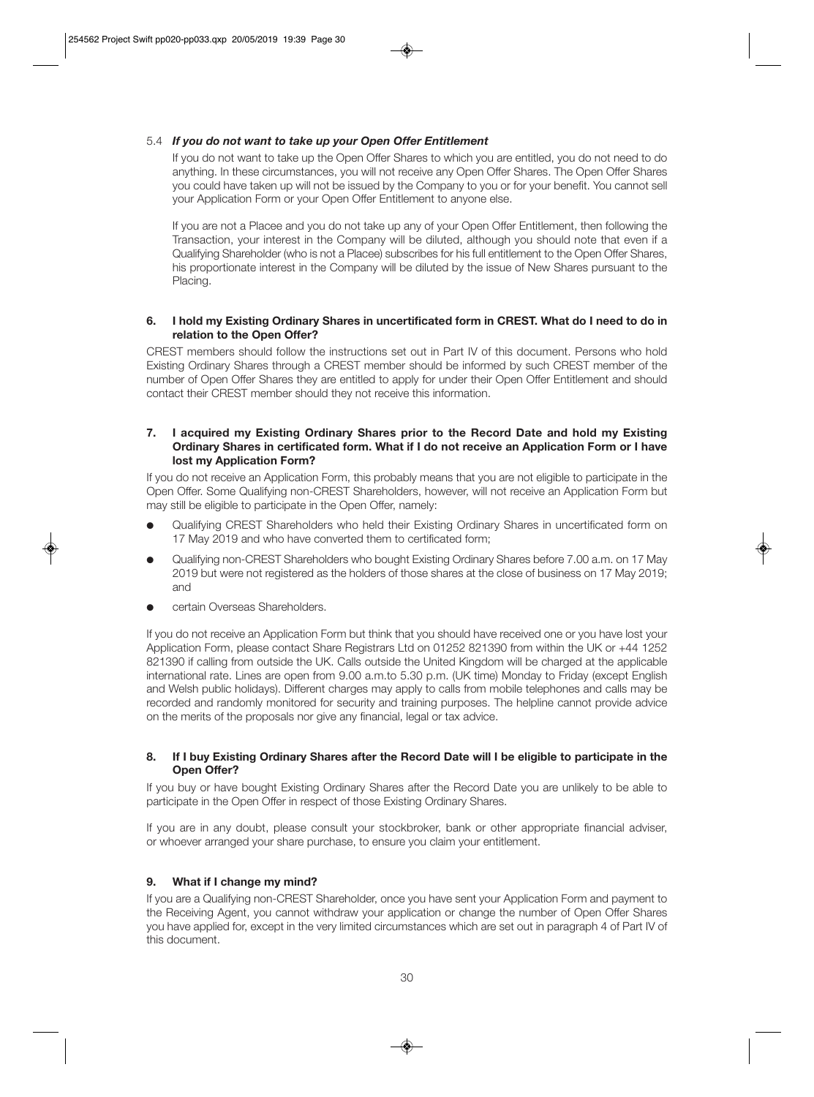#### 5.4 *If you do not want to take up your Open Offer Entitlement*

If you do not want to take up the Open Offer Shares to which you are entitled, you do not need to do anything. In these circumstances, you will not receive any Open Offer Shares. The Open Offer Shares you could have taken up will not be issued by the Company to you or for your benefit. You cannot sell your Application Form or your Open Offer Entitlement to anyone else.

If you are not a Placee and you do not take up any of your Open Offer Entitlement, then following the Transaction, your interest in the Company will be diluted, although you should note that even if a Qualifying Shareholder (who is not a Placee) subscribes for his full entitlement to the Open Offer Shares, his proportionate interest in the Company will be diluted by the issue of New Shares pursuant to the Placing.

#### **6. I hold my Existing Ordinary Shares in uncertificated form in CREST. What do I need to do in relation to the Open Offer?**

CREST members should follow the instructions set out in Part IV of this document. Persons who hold Existing Ordinary Shares through a CREST member should be informed by such CREST member of the number of Open Offer Shares they are entitled to apply for under their Open Offer Entitlement and should contact their CREST member should they not receive this information.

#### **7. I acquired my Existing Ordinary Shares prior to the Record Date and hold my Existing Ordinary Shares in certificated form. What if I do not receive an Application Form or I have lost my Application Form?**

If you do not receive an Application Form, this probably means that you are not eligible to participate in the Open Offer. Some Qualifying non-CREST Shareholders, however, will not receive an Application Form but may still be eligible to participate in the Open Offer, namely:

- l Qualifying CREST Shareholders who held their Existing Ordinary Shares in uncertificated form on 17 May 2019 and who have converted them to certificated form;
- l Qualifying non-CREST Shareholders who bought Existing Ordinary Shares before 7.00 a.m. on 17 May 2019 but were not registered as the holders of those shares at the close of business on 17 May 2019; and
- certain Overseas Shareholders.

If you do not receive an Application Form but think that you should have received one or you have lost your Application Form, please contact Share Registrars Ltd on 01252 821390 from within the UK or +44 1252 821390 if calling from outside the UK. Calls outside the United Kingdom will be charged at the applicable international rate. Lines are open from 9.00 a.m.to 5.30 p.m. (UK time) Monday to Friday (except English and Welsh public holidays). Different charges may apply to calls from mobile telephones and calls may be recorded and randomly monitored for security and training purposes. The helpline cannot provide advice on the merits of the proposals nor give any financial, legal or tax advice.

#### **8. If I buy Existing Ordinary Shares after the Record Date will I be eligible to participate in the Open Offer?**

If you buy or have bought Existing Ordinary Shares after the Record Date you are unlikely to be able to participate in the Open Offer in respect of those Existing Ordinary Shares.

If you are in any doubt, please consult your stockbroker, bank or other appropriate financial adviser, or whoever arranged your share purchase, to ensure you claim your entitlement.

#### **9. What if I change my mind?**

If you are a Qualifying non-CREST Shareholder, once you have sent your Application Form and payment to the Receiving Agent, you cannot withdraw your application or change the number of Open Offer Shares you have applied for, except in the very limited circumstances which are set out in paragraph 4 of Part IV of this document.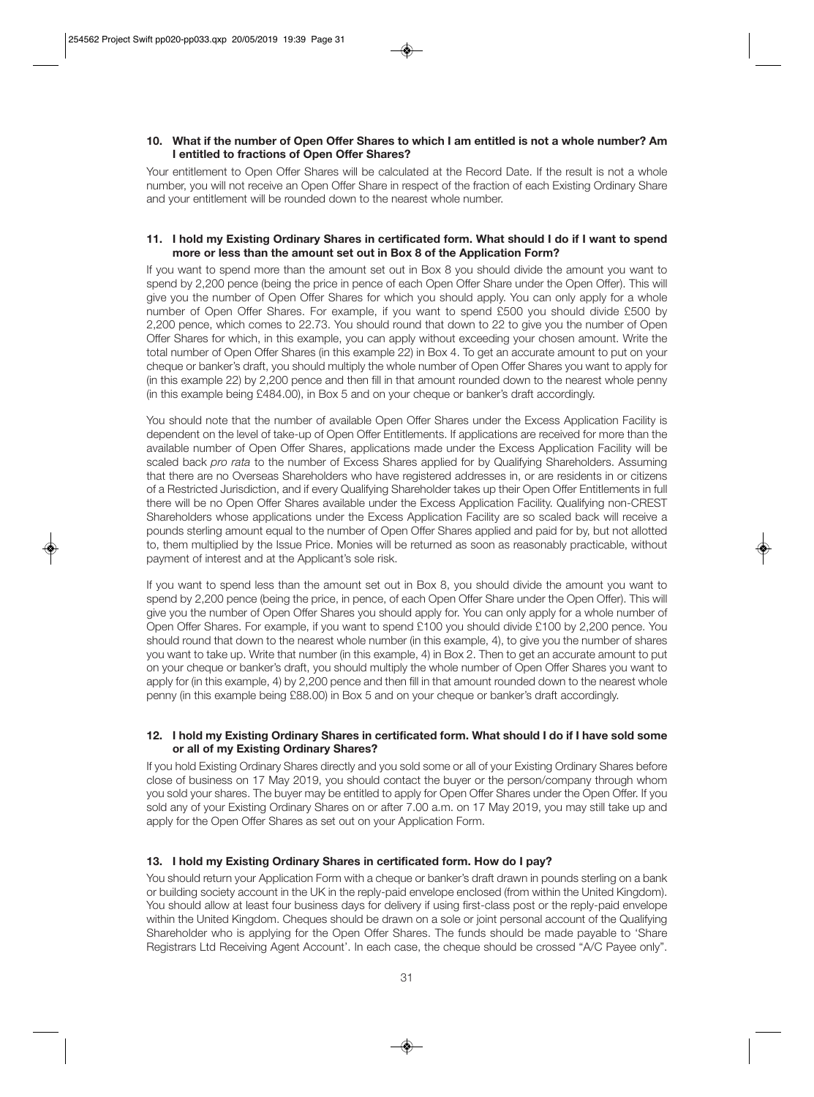#### **10. What if the number of Open Offer Shares to which I am entitled is not a whole number? Am I entitled to fractions of Open Offer Shares?**

Your entitlement to Open Offer Shares will be calculated at the Record Date. If the result is not a whole number, you will not receive an Open Offer Share in respect of the fraction of each Existing Ordinary Share and your entitlement will be rounded down to the nearest whole number.

#### **11. I hold my Existing Ordinary Shares in certificated form. What should I do if I want to spend more or less than the amount set out in Box 8 of the Application Form?**

If you want to spend more than the amount set out in Box 8 you should divide the amount you want to spend by 2,200 pence (being the price in pence of each Open Offer Share under the Open Offer). This will give you the number of Open Offer Shares for which you should apply. You can only apply for a whole number of Open Offer Shares. For example, if you want to spend £500 you should divide £500 by 2,200 pence, which comes to 22.73. You should round that down to 22 to give you the number of Open Offer Shares for which, in this example, you can apply without exceeding your chosen amount. Write the total number of Open Offer Shares (in this example 22) in Box 4. To get an accurate amount to put on your cheque or banker's draft, you should multiply the whole number of Open Offer Shares you want to apply for (in this example 22) by 2,200 pence and then fill in that amount rounded down to the nearest whole penny (in this example being £484.00), in Box 5 and on your cheque or banker's draft accordingly.

You should note that the number of available Open Offer Shares under the Excess Application Facility is dependent on the level of take-up of Open Offer Entitlements. If applications are received for more than the available number of Open Offer Shares, applications made under the Excess Application Facility will be scaled back *pro rata* to the number of Excess Shares applied for by Qualifying Shareholders. Assuming that there are no Overseas Shareholders who have registered addresses in, or are residents in or citizens of a Restricted Jurisdiction, and if every Qualifying Shareholder takes up their Open Offer Entitlements in full there will be no Open Offer Shares available under the Excess Application Facility. Qualifying non-CREST Shareholders whose applications under the Excess Application Facility are so scaled back will receive a pounds sterling amount equal to the number of Open Offer Shares applied and paid for by, but not allotted to, them multiplied by the Issue Price. Monies will be returned as soon as reasonably practicable, without payment of interest and at the Applicant's sole risk.

If you want to spend less than the amount set out in Box 8, you should divide the amount you want to spend by 2,200 pence (being the price, in pence, of each Open Offer Share under the Open Offer). This will give you the number of Open Offer Shares you should apply for. You can only apply for a whole number of Open Offer Shares. For example, if you want to spend £100 you should divide £100 by 2,200 pence. You should round that down to the nearest whole number (in this example, 4), to give you the number of shares you want to take up. Write that number (in this example, 4) in Box 2. Then to get an accurate amount to put on your cheque or banker's draft, you should multiply the whole number of Open Offer Shares you want to apply for (in this example, 4) by 2,200 pence and then fill in that amount rounded down to the nearest whole penny (in this example being £88.00) in Box 5 and on your cheque or banker's draft accordingly.

#### **12. I hold my Existing Ordinary Shares in certificated form. What should I do if I have sold some or all of my Existing Ordinary Shares?**

If you hold Existing Ordinary Shares directly and you sold some or all of your Existing Ordinary Shares before close of business on 17 May 2019, you should contact the buyer or the person/company through whom you sold your shares. The buyer may be entitled to apply for Open Offer Shares under the Open Offer. If you sold any of your Existing Ordinary Shares on or after 7.00 a.m. on 17 May 2019, you may still take up and apply for the Open Offer Shares as set out on your Application Form.

#### **13. I hold my Existing Ordinary Shares in certificated form. How do I pay?**

You should return your Application Form with a cheque or banker's draft drawn in pounds sterling on a bank or building society account in the UK in the reply-paid envelope enclosed (from within the United Kingdom). You should allow at least four business days for delivery if using first-class post or the reply-paid envelope within the United Kingdom. Cheques should be drawn on a sole or joint personal account of the Qualifying Shareholder who is applying for the Open Offer Shares. The funds should be made payable to 'Share Registrars Ltd Receiving Agent Account'. In each case, the cheque should be crossed "A/C Payee only".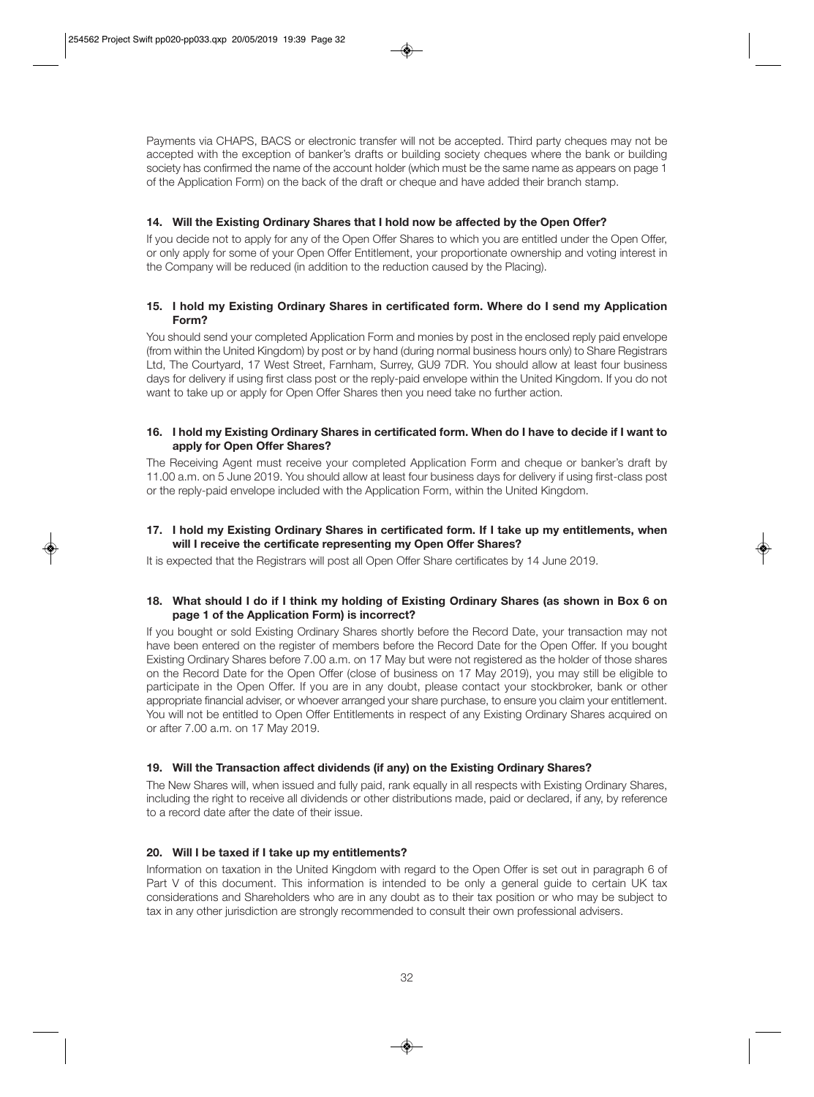Payments via CHAPS, BACS or electronic transfer will not be accepted. Third party cheques may not be accepted with the exception of banker's drafts or building society cheques where the bank or building society has confirmed the name of the account holder (which must be the same name as appears on page 1 of the Application Form) on the back of the draft or cheque and have added their branch stamp.

#### **14. Will the Existing Ordinary Shares that I hold now be affected by the Open Offer?**

If you decide not to apply for any of the Open Offer Shares to which you are entitled under the Open Offer, or only apply for some of your Open Offer Entitlement, your proportionate ownership and voting interest in the Company will be reduced (in addition to the reduction caused by the Placing).

#### **15. I hold my Existing Ordinary Shares in certificated form. Where do I send my Application Form?**

You should send your completed Application Form and monies by post in the enclosed reply paid envelope (from within the United Kingdom) by post or by hand (during normal business hours only) to Share Registrars Ltd, The Courtyard, 17 West Street, Farnham, Surrey, GU9 7DR. You should allow at least four business days for delivery if using first class post or the reply-paid envelope within the United Kingdom. If you do not want to take up or apply for Open Offer Shares then you need take no further action.

#### **16. I hold my Existing Ordinary Shares in certificated form. When do I have to decide if I want to apply for Open Offer Shares?**

The Receiving Agent must receive your completed Application Form and cheque or banker's draft by 11.00 a.m. on 5 June 2019. You should allow at least four business days for delivery if using first-class post or the reply-paid envelope included with the Application Form, within the United Kingdom.

#### **17. I hold my Existing Ordinary Shares in certificated form. If I take up my entitlements, when will I receive the certificate representing my Open Offer Shares?**

It is expected that the Registrars will post all Open Offer Share certificates by 14 June 2019.

#### **18. What should I do if I think my holding of Existing Ordinary Shares (as shown in Box 6 on page 1 of the Application Form) is incorrect?**

If you bought or sold Existing Ordinary Shares shortly before the Record Date, your transaction may not have been entered on the register of members before the Record Date for the Open Offer. If you bought Existing Ordinary Shares before 7.00 a.m. on 17 May but were not registered as the holder of those shares on the Record Date for the Open Offer (close of business on 17 May 2019), you may still be eligible to participate in the Open Offer. If you are in any doubt, please contact your stockbroker, bank or other appropriate financial adviser, or whoever arranged your share purchase, to ensure you claim your entitlement. You will not be entitled to Open Offer Entitlements in respect of any Existing Ordinary Shares acquired on or after 7.00 a.m. on 17 May 2019.

#### **19. Will the Transaction affect dividends (if any) on the Existing Ordinary Shares?**

The New Shares will, when issued and fully paid, rank equally in all respects with Existing Ordinary Shares, including the right to receive all dividends or other distributions made, paid or declared, if any, by reference to a record date after the date of their issue.

#### **20. Will I be taxed if I take up my entitlements?**

Information on taxation in the United Kingdom with regard to the Open Offer is set out in paragraph 6 of Part V of this document. This information is intended to be only a general guide to certain UK tax considerations and Shareholders who are in any doubt as to their tax position or who may be subject to tax in any other jurisdiction are strongly recommended to consult their own professional advisers.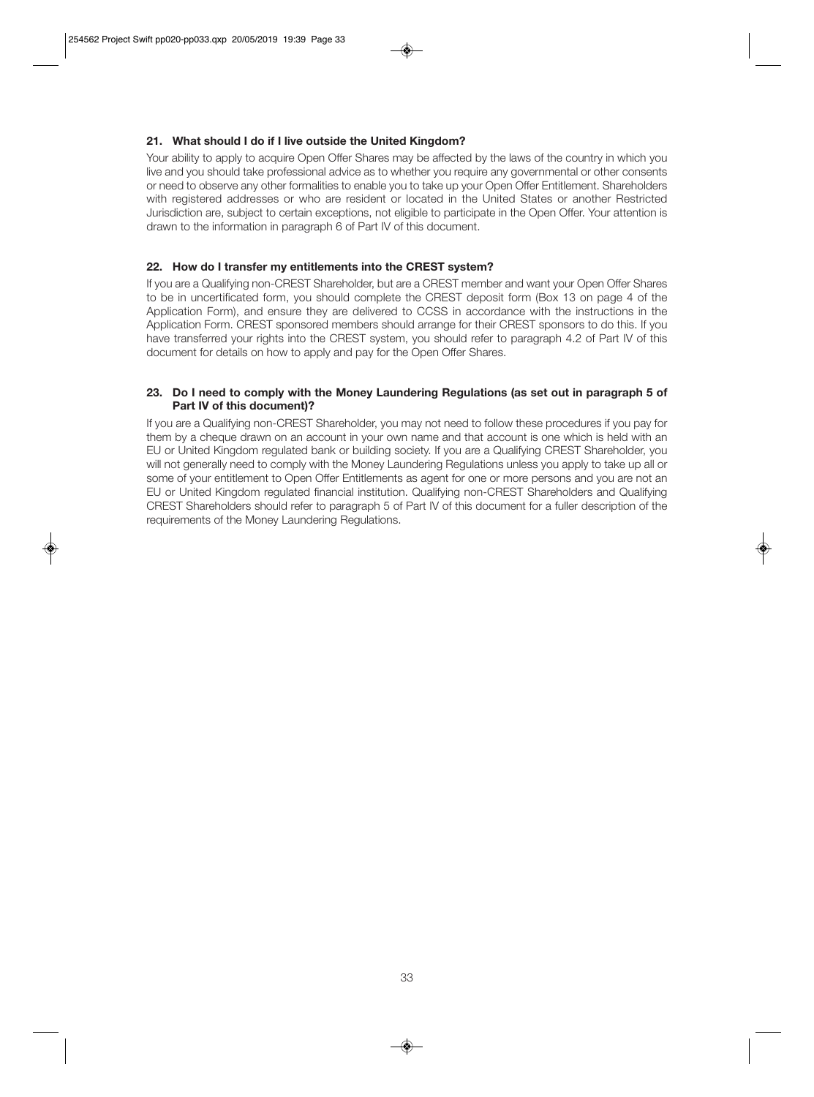#### **21. What should I do if I live outside the United Kingdom?**

Your ability to apply to acquire Open Offer Shares may be affected by the laws of the country in which you live and you should take professional advice as to whether you require any governmental or other consents or need to observe any other formalities to enable you to take up your Open Offer Entitlement. Shareholders with registered addresses or who are resident or located in the United States or another Restricted Jurisdiction are, subject to certain exceptions, not eligible to participate in the Open Offer. Your attention is drawn to the information in paragraph 6 of Part IV of this document.

#### **22. How do I transfer my entitlements into the CREST system?**

If you are a Qualifying non-CREST Shareholder, but are a CREST member and want your Open Offer Shares to be in uncertificated form, you should complete the CREST deposit form (Box 13 on page 4 of the Application Form), and ensure they are delivered to CCSS in accordance with the instructions in the Application Form. CREST sponsored members should arrange for their CREST sponsors to do this. If you have transferred your rights into the CREST system, you should refer to paragraph 4.2 of Part IV of this document for details on how to apply and pay for the Open Offer Shares.

#### **23. Do I need to comply with the Money Laundering Regulations (as set out in paragraph 5 of Part IV of this document)?**

If you are a Qualifying non-CREST Shareholder, you may not need to follow these procedures if you pay for them by a cheque drawn on an account in your own name and that account is one which is held with an EU or United Kingdom regulated bank or building society. If you are a Qualifying CREST Shareholder, you will not generally need to comply with the Money Laundering Regulations unless you apply to take up all or some of your entitlement to Open Offer Entitlements as agent for one or more persons and you are not an EU or United Kingdom regulated financial institution. Qualifying non-CREST Shareholders and Qualifying CREST Shareholders should refer to paragraph 5 of Part IV of this document for a fuller description of the requirements of the Money Laundering Regulations.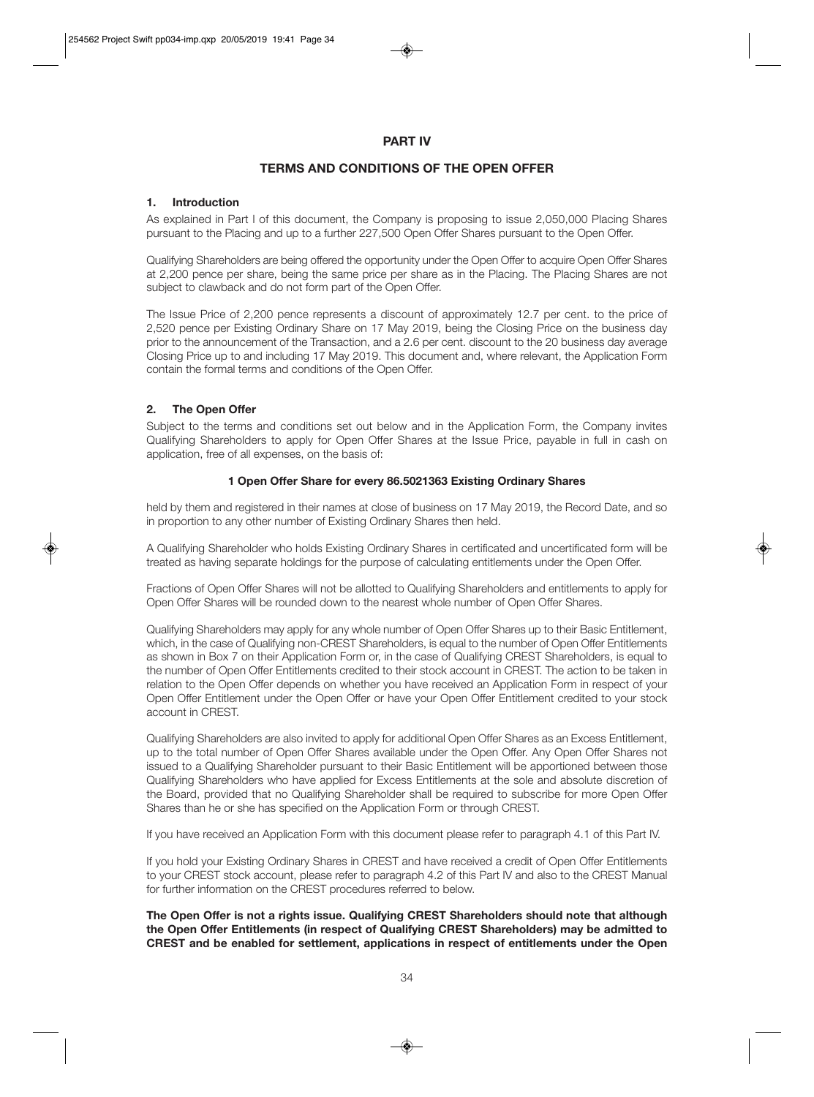#### **PART IV**

#### **TERMS AND CONDITIONS OF THE OPEN OFFER**

#### **1. Introduction**

As explained in Part I of this document, the Company is proposing to issue 2,050,000 Placing Shares pursuant to the Placing and up to a further 227,500 Open Offer Shares pursuant to the Open Offer.

Qualifying Shareholders are being offered the opportunity under the Open Offer to acquire Open Offer Shares at 2,200 pence per share, being the same price per share as in the Placing. The Placing Shares are not subject to clawback and do not form part of the Open Offer.

The Issue Price of 2,200 pence represents a discount of approximately 12.7 per cent. to the price of 2,520 pence per Existing Ordinary Share on 17 May 2019, being the Closing Price on the business day prior to the announcement of the Transaction, and a 2.6 per cent. discount to the 20 business day average Closing Price up to and including 17 May 2019. This document and, where relevant, the Application Form contain the formal terms and conditions of the Open Offer.

#### **2. The Open Offer**

Subject to the terms and conditions set out below and in the Application Form, the Company invites Qualifying Shareholders to apply for Open Offer Shares at the Issue Price, payable in full in cash on application, free of all expenses, on the basis of:

#### **1 Open Offer Share for every 86.5021363 Existing Ordinary Shares**

held by them and registered in their names at close of business on 17 May 2019, the Record Date, and so in proportion to any other number of Existing Ordinary Shares then held.

A Qualifying Shareholder who holds Existing Ordinary Shares in certificated and uncertificated form will be treated as having separate holdings for the purpose of calculating entitlements under the Open Offer.

Fractions of Open Offer Shares will not be allotted to Qualifying Shareholders and entitlements to apply for Open Offer Shares will be rounded down to the nearest whole number of Open Offer Shares.

Qualifying Shareholders may apply for any whole number of Open Offer Shares up to their Basic Entitlement, which, in the case of Qualifying non-CREST Shareholders, is equal to the number of Open Offer Entitlements as shown in Box 7 on their Application Form or, in the case of Qualifying CREST Shareholders, is equal to the number of Open Offer Entitlements credited to their stock account in CREST. The action to be taken in relation to the Open Offer depends on whether you have received an Application Form in respect of your Open Offer Entitlement under the Open Offer or have your Open Offer Entitlement credited to your stock account in CREST.

Qualifying Shareholders are also invited to apply for additional Open Offer Shares as an Excess Entitlement, up to the total number of Open Offer Shares available under the Open Offer. Any Open Offer Shares not issued to a Qualifying Shareholder pursuant to their Basic Entitlement will be apportioned between those Qualifying Shareholders who have applied for Excess Entitlements at the sole and absolute discretion of the Board, provided that no Qualifying Shareholder shall be required to subscribe for more Open Offer Shares than he or she has specified on the Application Form or through CREST.

If you have received an Application Form with this document please refer to paragraph 4.1 of this Part IV.

If you hold your Existing Ordinary Shares in CREST and have received a credit of Open Offer Entitlements to your CREST stock account, please refer to paragraph 4.2 of this Part IV and also to the CREST Manual for further information on the CREST procedures referred to below.

**The Open Offer is not a rights issue. Qualifying CREST Shareholders should note that although the Open Offer Entitlements (in respect of Qualifying CREST Shareholders) may be admitted to CREST and be enabled for settlement, applications in respect of entitlements under the Open**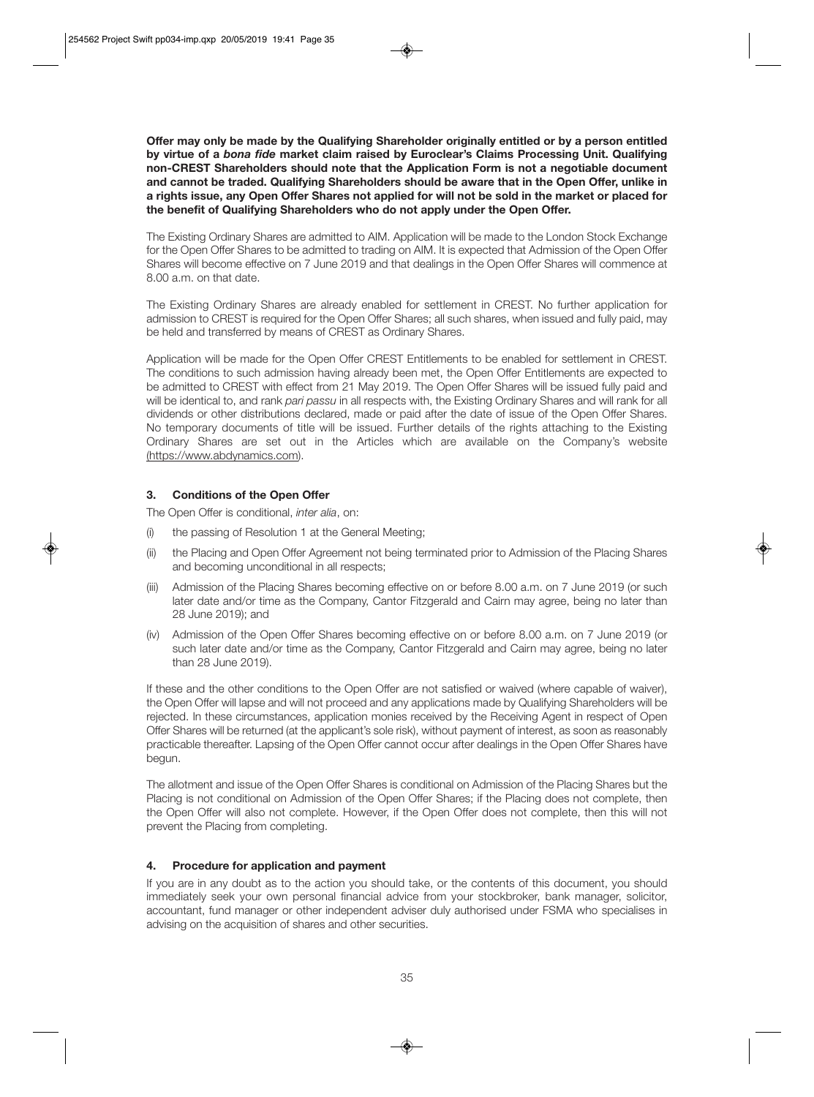**Offer may only be made by the Qualifying Shareholder originally entitled or by a person entitled by virtue of a** *bona fide* **market claim raised by Euroclear's Claims Processing Unit. Qualifying non-CREST Shareholders should note that the Application Form is not a negotiable document and cannot be traded. Qualifying Shareholders should be aware that in the Open Offer, unlike in a rights issue, any Open Offer Shares not applied for will not be sold in the market or placed for the benefit of Qualifying Shareholders who do not apply under the Open Offer.** 

The Existing Ordinary Shares are admitted to AIM. Application will be made to the London Stock Exchange for the Open Offer Shares to be admitted to trading on AIM. It is expected that Admission of the Open Offer Shares will become effective on 7 June 2019 and that dealings in the Open Offer Shares will commence at 8.00 a.m. on that date.

The Existing Ordinary Shares are already enabled for settlement in CREST. No further application for admission to CREST is required for the Open Offer Shares; all such shares, when issued and fully paid, may be held and transferred by means of CREST as Ordinary Shares.

Application will be made for the Open Offer CREST Entitlements to be enabled for settlement in CREST. The conditions to such admission having already been met, the Open Offer Entitlements are expected to be admitted to CREST with effect from 21 May 2019. The Open Offer Shares will be issued fully paid and will be identical to, and rank *pari passu* in all respects with, the Existing Ordinary Shares and will rank for all dividends or other distributions declared, made or paid after the date of issue of the Open Offer Shares. No temporary documents of title will be issued. Further details of the rights attaching to the Existing Ordinary Shares are set out in the Articles which are available on the Company's website (https://www.abdynamics.com).

#### **3. Conditions of the Open Offer**

The Open Offer is conditional, *inter alia*, on:

- (i) the passing of Resolution 1 at the General Meeting;
- (ii) the Placing and Open Offer Agreement not being terminated prior to Admission of the Placing Shares and becoming unconditional in all respects;
- (iii) Admission of the Placing Shares becoming effective on or before 8.00 a.m. on 7 June 2019 (or such later date and/or time as the Company, Cantor Fitzgerald and Cairn may agree, being no later than 28 June 2019); and
- (iv) Admission of the Open Offer Shares becoming effective on or before 8.00 a.m. on 7 June 2019 (or such later date and/or time as the Company, Cantor Fitzgerald and Cairn may agree, being no later than 28 June 2019).

If these and the other conditions to the Open Offer are not satisfied or waived (where capable of waiver), the Open Offer will lapse and will not proceed and any applications made by Qualifying Shareholders will be rejected. In these circumstances, application monies received by the Receiving Agent in respect of Open Offer Shares will be returned (at the applicant's sole risk), without payment of interest, as soon as reasonably practicable thereafter. Lapsing of the Open Offer cannot occur after dealings in the Open Offer Shares have begun.

The allotment and issue of the Open Offer Shares is conditional on Admission of the Placing Shares but the Placing is not conditional on Admission of the Open Offer Shares; if the Placing does not complete, then the Open Offer will also not complete. However, if the Open Offer does not complete, then this will not prevent the Placing from completing.

#### **4. Procedure for application and payment**

If you are in any doubt as to the action you should take, or the contents of this document, you should immediately seek your own personal financial advice from your stockbroker, bank manager, solicitor, accountant, fund manager or other independent adviser duly authorised under FSMA who specialises in advising on the acquisition of shares and other securities.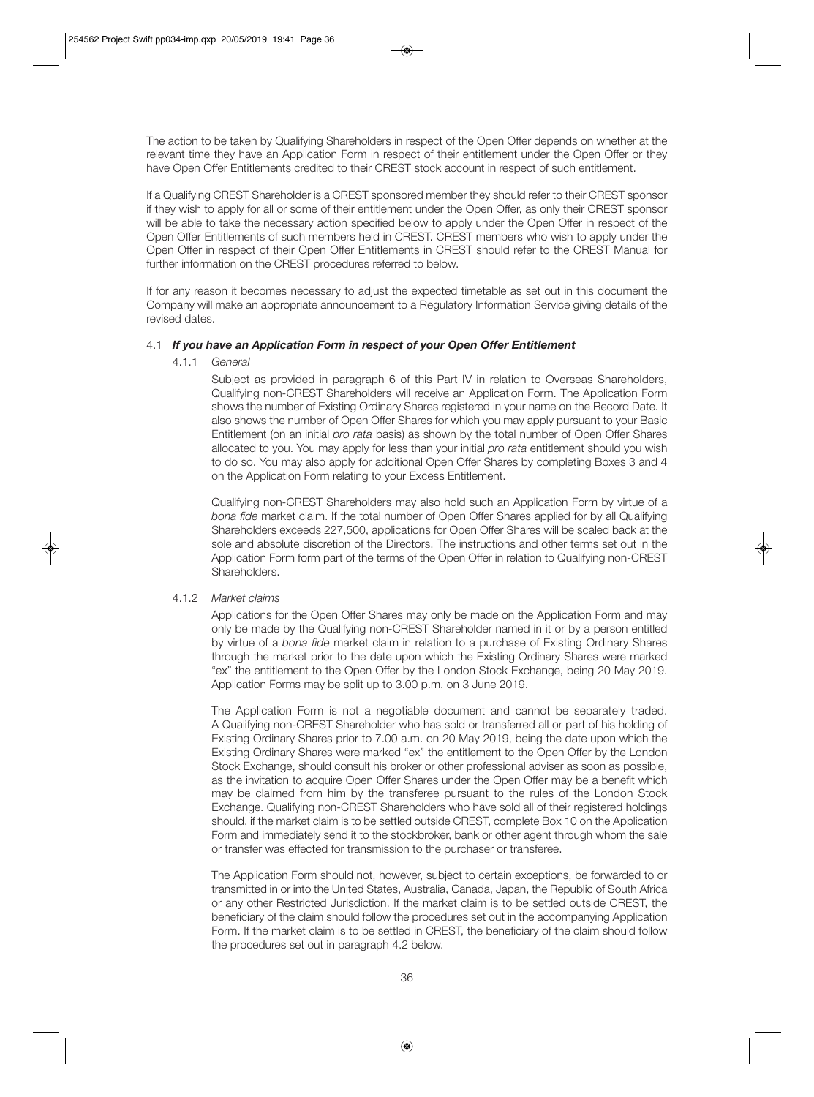The action to be taken by Qualifying Shareholders in respect of the Open Offer depends on whether at the relevant time they have an Application Form in respect of their entitlement under the Open Offer or they have Open Offer Entitlements credited to their CREST stock account in respect of such entitlement.

If a Qualifying CREST Shareholder is a CREST sponsored member they should refer to their CREST sponsor if they wish to apply for all or some of their entitlement under the Open Offer, as only their CREST sponsor will be able to take the necessary action specified below to apply under the Open Offer in respect of the Open Offer Entitlements of such members held in CREST. CREST members who wish to apply under the Open Offer in respect of their Open Offer Entitlements in CREST should refer to the CREST Manual for further information on the CREST procedures referred to below.

If for any reason it becomes necessary to adjust the expected timetable as set out in this document the Company will make an appropriate announcement to a Regulatory Information Service giving details of the revised dates.

#### 4.1 *If you have an Application Form in respect of your Open Offer Entitlement*

4.1.1 *General* 

Subject as provided in paragraph 6 of this Part IV in relation to Overseas Shareholders, Qualifying non-CREST Shareholders will receive an Application Form. The Application Form shows the number of Existing Ordinary Shares registered in your name on the Record Date. It also shows the number of Open Offer Shares for which you may apply pursuant to your Basic Entitlement (on an initial *pro rata* basis) as shown by the total number of Open Offer Shares allocated to you. You may apply for less than your initial *pro rata* entitlement should you wish to do so. You may also apply for additional Open Offer Shares by completing Boxes 3 and 4 on the Application Form relating to your Excess Entitlement.

Qualifying non-CREST Shareholders may also hold such an Application Form by virtue of a *bona fide* market claim. If the total number of Open Offer Shares applied for by all Qualifying Shareholders exceeds 227,500, applications for Open Offer Shares will be scaled back at the sole and absolute discretion of the Directors. The instructions and other terms set out in the Application Form form part of the terms of the Open Offer in relation to Qualifying non-CREST Shareholders.

#### 4.1.2 *Market claims*

Applications for the Open Offer Shares may only be made on the Application Form and may only be made by the Qualifying non-CREST Shareholder named in it or by a person entitled by virtue of a *bona fide* market claim in relation to a purchase of Existing Ordinary Shares through the market prior to the date upon which the Existing Ordinary Shares were marked "ex" the entitlement to the Open Offer by the London Stock Exchange, being 20 May 2019. Application Forms may be split up to 3.00 p.m. on 3 June 2019.

The Application Form is not a negotiable document and cannot be separately traded. A Qualifying non-CREST Shareholder who has sold or transferred all or part of his holding of Existing Ordinary Shares prior to 7.00 a.m. on 20 May 2019, being the date upon which the Existing Ordinary Shares were marked "ex" the entitlement to the Open Offer by the London Stock Exchange, should consult his broker or other professional adviser as soon as possible, as the invitation to acquire Open Offer Shares under the Open Offer may be a benefit which may be claimed from him by the transferee pursuant to the rules of the London Stock Exchange. Qualifying non-CREST Shareholders who have sold all of their registered holdings should, if the market claim is to be settled outside CREST, complete Box 10 on the Application Form and immediately send it to the stockbroker, bank or other agent through whom the sale or transfer was effected for transmission to the purchaser or transferee.

The Application Form should not, however, subject to certain exceptions, be forwarded to or transmitted in or into the United States, Australia, Canada, Japan, the Republic of South Africa or any other Restricted Jurisdiction. If the market claim is to be settled outside CREST, the beneficiary of the claim should follow the procedures set out in the accompanying Application Form. If the market claim is to be settled in CREST, the beneficiary of the claim should follow the procedures set out in paragraph 4.2 below.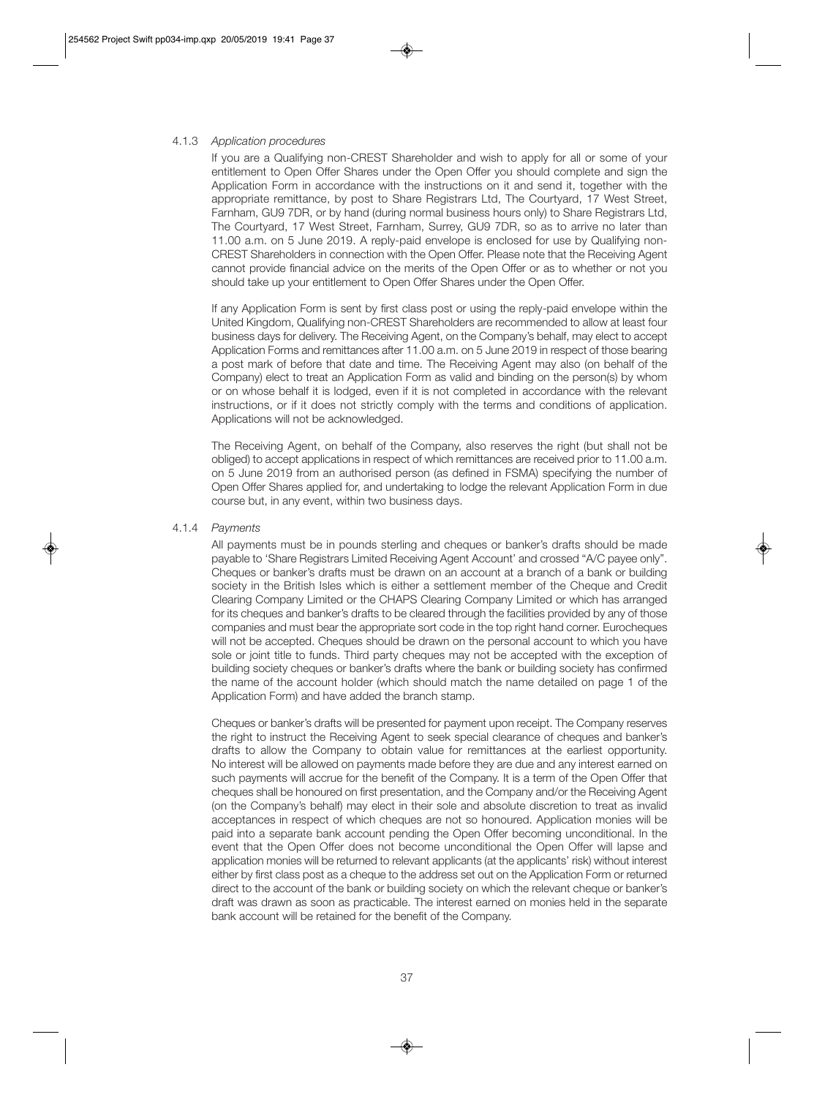#### 4.1.3 *Application procedures*

If you are a Qualifying non-CREST Shareholder and wish to apply for all or some of your entitlement to Open Offer Shares under the Open Offer you should complete and sign the Application Form in accordance with the instructions on it and send it, together with the appropriate remittance, by post to Share Registrars Ltd, The Courtyard, 17 West Street, Farnham, GU9 7DR, or by hand (during normal business hours only) to Share Registrars Ltd, The Courtyard, 17 West Street, Farnham, Surrey, GU9 7DR, so as to arrive no later than 11.00 a.m. on 5 June 2019. A reply-paid envelope is enclosed for use by Qualifying non-CREST Shareholders in connection with the Open Offer. Please note that the Receiving Agent cannot provide financial advice on the merits of the Open Offer or as to whether or not you should take up your entitlement to Open Offer Shares under the Open Offer.

If any Application Form is sent by first class post or using the reply-paid envelope within the United Kingdom, Qualifying non-CREST Shareholders are recommended to allow at least four business days for delivery. The Receiving Agent, on the Company's behalf, may elect to accept Application Forms and remittances after 11.00 a.m. on 5 June 2019 in respect of those bearing a post mark of before that date and time. The Receiving Agent may also (on behalf of the Company) elect to treat an Application Form as valid and binding on the person(s) by whom or on whose behalf it is lodged, even if it is not completed in accordance with the relevant instructions, or if it does not strictly comply with the terms and conditions of application. Applications will not be acknowledged.

The Receiving Agent, on behalf of the Company, also reserves the right (but shall not be obliged) to accept applications in respect of which remittances are received prior to 11.00 a.m. on 5 June 2019 from an authorised person (as defined in FSMA) specifying the number of Open Offer Shares applied for, and undertaking to lodge the relevant Application Form in due course but, in any event, within two business days.

#### 4.1.4 *Payments*

All payments must be in pounds sterling and cheques or banker's drafts should be made payable to 'Share Registrars Limited Receiving Agent Account' and crossed "A/C payee only". Cheques or banker's drafts must be drawn on an account at a branch of a bank or building society in the British Isles which is either a settlement member of the Cheque and Credit Clearing Company Limited or the CHAPS Clearing Company Limited or which has arranged for its cheques and banker's drafts to be cleared through the facilities provided by any of those companies and must bear the appropriate sort code in the top right hand corner. Eurocheques will not be accepted. Cheques should be drawn on the personal account to which you have sole or joint title to funds. Third party cheques may not be accepted with the exception of building society cheques or banker's drafts where the bank or building society has confirmed the name of the account holder (which should match the name detailed on page 1 of the Application Form) and have added the branch stamp.

Cheques or banker's drafts will be presented for payment upon receipt. The Company reserves the right to instruct the Receiving Agent to seek special clearance of cheques and banker's drafts to allow the Company to obtain value for remittances at the earliest opportunity. No interest will be allowed on payments made before they are due and any interest earned on such payments will accrue for the benefit of the Company. It is a term of the Open Offer that cheques shall be honoured on first presentation, and the Company and/or the Receiving Agent (on the Company's behalf) may elect in their sole and absolute discretion to treat as invalid acceptances in respect of which cheques are not so honoured. Application monies will be paid into a separate bank account pending the Open Offer becoming unconditional. In the event that the Open Offer does not become unconditional the Open Offer will lapse and application monies will be returned to relevant applicants (at the applicants' risk) without interest either by first class post as a cheque to the address set out on the Application Form or returned direct to the account of the bank or building society on which the relevant cheque or banker's draft was drawn as soon as practicable. The interest earned on monies held in the separate bank account will be retained for the benefit of the Company.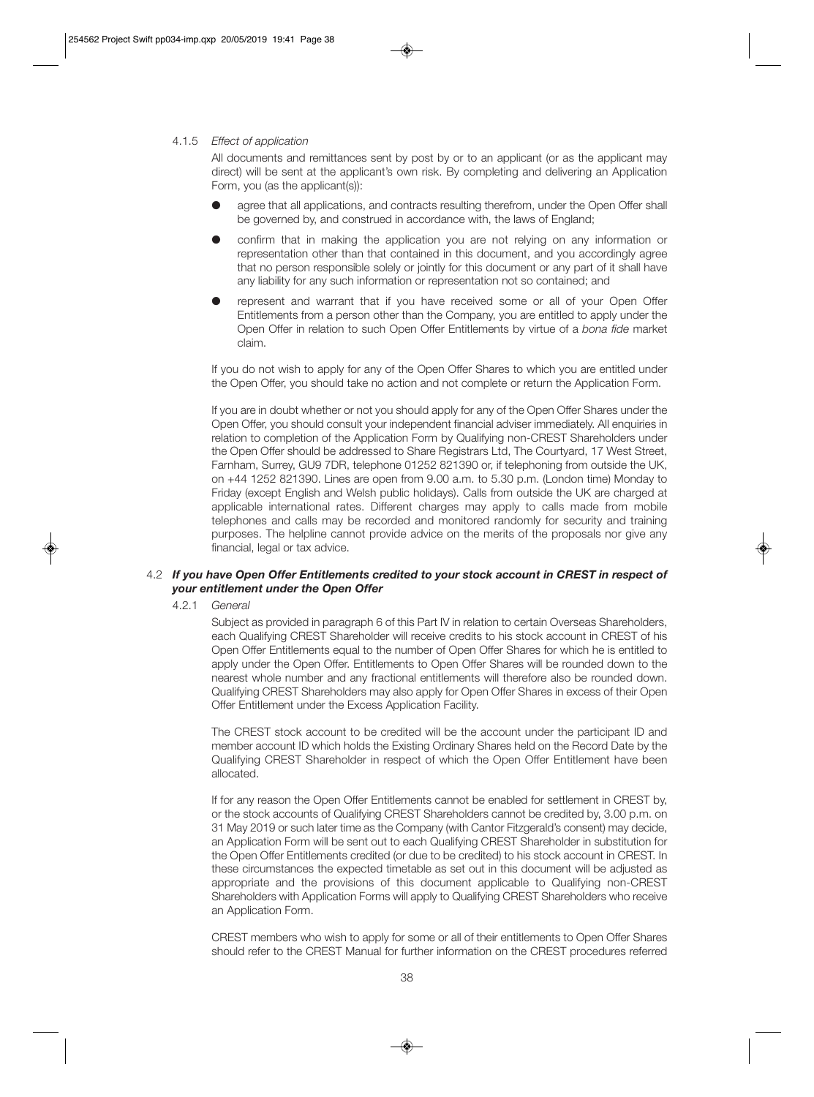#### 4.1.5 *Effect of application*

All documents and remittances sent by post by or to an applicant (or as the applicant may direct) will be sent at the applicant's own risk. By completing and delivering an Application Form, you (as the applicant(s)):

- agree that all applications, and contracts resulting therefrom, under the Open Offer shall be governed by, and construed in accordance with, the laws of England;
- confirm that in making the application you are not relying on any information or representation other than that contained in this document, and you accordingly agree that no person responsible solely or jointly for this document or any part of it shall have any liability for any such information or representation not so contained; and
- represent and warrant that if you have received some or all of your Open Offer Entitlements from a person other than the Company, you are entitled to apply under the Open Offer in relation to such Open Offer Entitlements by virtue of a *bona fide* market claim.

If you do not wish to apply for any of the Open Offer Shares to which you are entitled under the Open Offer, you should take no action and not complete or return the Application Form.

If you are in doubt whether or not you should apply for any of the Open Offer Shares under the Open Offer, you should consult your independent financial adviser immediately. All enquiries in relation to completion of the Application Form by Qualifying non-CREST Shareholders under the Open Offer should be addressed to Share Registrars Ltd, The Courtyard, 17 West Street, Farnham, Surrey, GU9 7DR, telephone 01252 821390 or, if telephoning from outside the UK, on +44 1252 821390. Lines are open from 9.00 a.m. to 5.30 p.m. (London time) Monday to Friday (except English and Welsh public holidays). Calls from outside the UK are charged at applicable international rates. Different charges may apply to calls made from mobile telephones and calls may be recorded and monitored randomly for security and training purposes. The helpline cannot provide advice on the merits of the proposals nor give any financial, legal or tax advice.

#### 4.2 *If you have Open Offer Entitlements credited to your stock account in CREST in respect of your entitlement under the Open Offer*

4.2.1 *General* 

Subject as provided in paragraph 6 of this Part IV in relation to certain Overseas Shareholders, each Qualifying CREST Shareholder will receive credits to his stock account in CREST of his Open Offer Entitlements equal to the number of Open Offer Shares for which he is entitled to apply under the Open Offer. Entitlements to Open Offer Shares will be rounded down to the nearest whole number and any fractional entitlements will therefore also be rounded down. Qualifying CREST Shareholders may also apply for Open Offer Shares in excess of their Open Offer Entitlement under the Excess Application Facility.

The CREST stock account to be credited will be the account under the participant ID and member account ID which holds the Existing Ordinary Shares held on the Record Date by the Qualifying CREST Shareholder in respect of which the Open Offer Entitlement have been allocated.

If for any reason the Open Offer Entitlements cannot be enabled for settlement in CREST by, or the stock accounts of Qualifying CREST Shareholders cannot be credited by, 3.00 p.m. on 31 May 2019 or such later time as the Company (with Cantor Fitzgerald's consent) may decide, an Application Form will be sent out to each Qualifying CREST Shareholder in substitution for the Open Offer Entitlements credited (or due to be credited) to his stock account in CREST. In these circumstances the expected timetable as set out in this document will be adjusted as appropriate and the provisions of this document applicable to Qualifying non-CREST Shareholders with Application Forms will apply to Qualifying CREST Shareholders who receive an Application Form.

CREST members who wish to apply for some or all of their entitlements to Open Offer Shares should refer to the CREST Manual for further information on the CREST procedures referred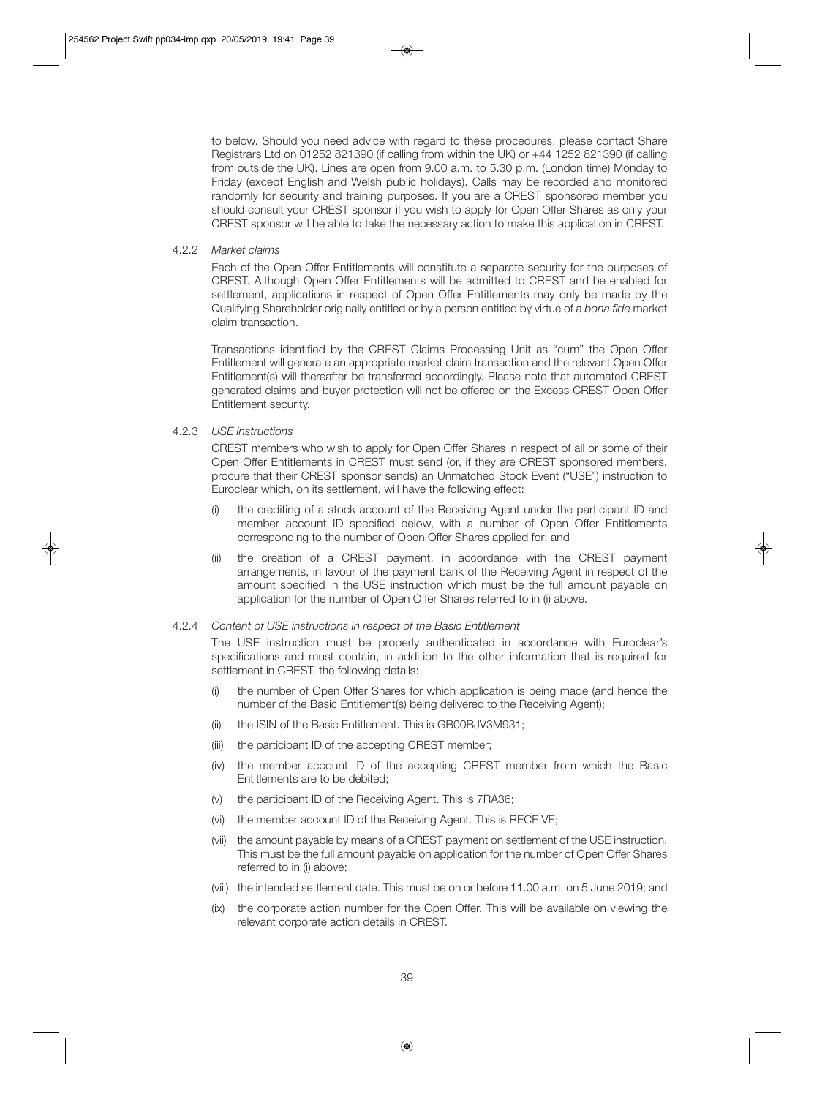to below. Should you need advice with regard to these procedures, please contact Share Registrars Ltd on 01252 821390 (if calling from within the UK) or +44 1252 821390 (if calling from outside the UK). Lines are open from 9.00 a.m. to 5.30 p.m. (London time) Monday to Friday (except English and Welsh public holidays). Calls may be recorded and monitored randomly for security and training purposes. If you are a CREST sponsored member you should consult your CREST sponsor if you wish to apply for Open Offer Shares as only your CREST sponsor will be able to take the necessary action to make this application in CREST.

#### 4.2.2 *Market claims*

Each of the Open Offer Entitlements will constitute a separate security for the purposes of CREST. Although Open Offer Entitlements will be admitted to CREST and be enabled for settlement, applications in respect of Open Offer Entitlements may only be made by the Qualifying Shareholder originally entitled or by a person entitled by virtue of a *bona fide* market claim transaction.

Transactions identified by the CREST Claims Processing Unit as "cum" the Open Offer Entitlement will generate an appropriate market claim transaction and the relevant Open Offer Entitlement(s) will thereafter be transferred accordingly. Please note that automated CREST generated claims and buyer protection will not be offered on the Excess CREST Open Offer Entitlement security.

#### 4.2.3 *USE instructions*

CREST members who wish to apply for Open Offer Shares in respect of all or some of their Open Offer Entitlements in CREST must send (or, if they are CREST sponsored members, procure that their CREST sponsor sends) an Unmatched Stock Event ("USE") instruction to Euroclear which, on its settlement, will have the following effect:

- (i) the crediting of a stock account of the Receiving Agent under the participant ID and member account ID specified below, with a number of Open Offer Entitlements corresponding to the number of Open Offer Shares applied for; and
- (ii) the creation of a CREST payment, in accordance with the CREST payment arrangements, in favour of the payment bank of the Receiving Agent in respect of the amount specified in the USE instruction which must be the full amount payable on application for the number of Open Offer Shares referred to in (i) above.

#### 4.2.4 *Content of USE instructions in respect of the Basic Entitlement*

The USE instruction must be properly authenticated in accordance with Euroclear's specifications and must contain, in addition to the other information that is required for settlement in CREST, the following details:

- (i) the number of Open Offer Shares for which application is being made (and hence the number of the Basic Entitlement(s) being delivered to the Receiving Agent);
- (ii) the ISIN of the Basic Entitlement. This is GB00BJV3M931;
- (iii) the participant ID of the accepting CREST member;
- (iv) the member account ID of the accepting CREST member from which the Basic Entitlements are to be debited;
- (v) the participant ID of the Receiving Agent. This is 7RA36;
- (vi) the member account ID of the Receiving Agent. This is RECEIVE;
- (vii) the amount payable by means of a CREST payment on settlement of the USE instruction. This must be the full amount payable on application for the number of Open Offer Shares referred to in (i) above;
- (viii) the intended settlement date. This must be on or before 11.00 a.m. on 5 June 2019; and
- (ix) the corporate action number for the Open Offer. This will be available on viewing the relevant corporate action details in CREST.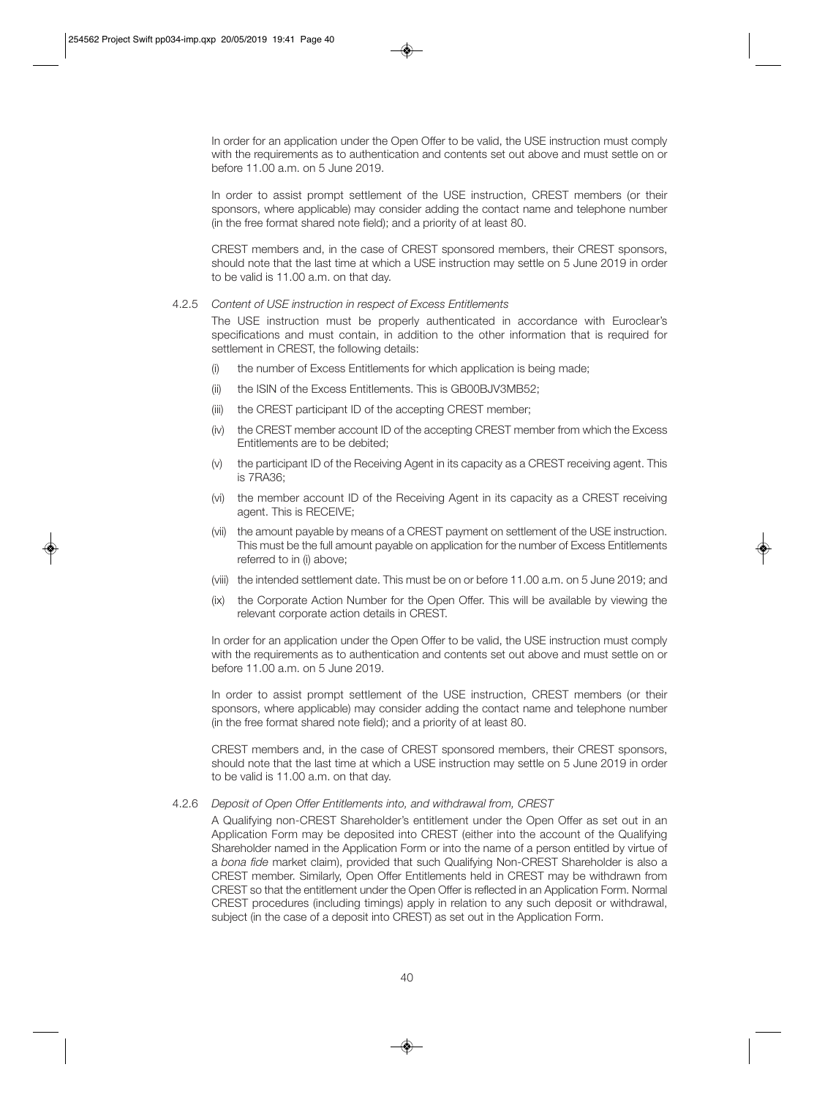In order for an application under the Open Offer to be valid, the USE instruction must comply with the requirements as to authentication and contents set out above and must settle on or before 11.00 a.m. on 5 June 2019.

In order to assist prompt settlement of the USE instruction, CREST members (or their sponsors, where applicable) may consider adding the contact name and telephone number (in the free format shared note field); and a priority of at least 80.

CREST members and, in the case of CREST sponsored members, their CREST sponsors, should note that the last time at which a USE instruction may settle on 5 June 2019 in order to be valid is 11.00 a.m. on that day.

#### 4.2.5 *Content of USE instruction in respect of Excess Entitlements*

The USE instruction must be properly authenticated in accordance with Euroclear's specifications and must contain, in addition to the other information that is required for settlement in CREST, the following details:

- (i) the number of Excess Entitlements for which application is being made;
- (ii) the ISIN of the Excess Entitlements. This is GB00BJV3MB52;
- (iii) the CREST participant ID of the accepting CREST member;
- (iv) the CREST member account ID of the accepting CREST member from which the Excess Entitlements are to be debited;
- (v) the participant ID of the Receiving Agent in its capacity as a CREST receiving agent. This is 7RA36;
- (vi) the member account ID of the Receiving Agent in its capacity as a CREST receiving agent. This is RECEIVE;
- (vii) the amount payable by means of a CREST payment on settlement of the USE instruction. This must be the full amount payable on application for the number of Excess Entitlements referred to in (i) above;
- (viii) the intended settlement date. This must be on or before 11.00 a.m. on 5 June 2019; and
- (ix) the Corporate Action Number for the Open Offer. This will be available by viewing the relevant corporate action details in CREST.

In order for an application under the Open Offer to be valid, the USE instruction must comply with the requirements as to authentication and contents set out above and must settle on or before 11.00 a.m. on 5 June 2019.

In order to assist prompt settlement of the USE instruction, CREST members (or their sponsors, where applicable) may consider adding the contact name and telephone number (in the free format shared note field); and a priority of at least 80.

CREST members and, in the case of CREST sponsored members, their CREST sponsors, should note that the last time at which a USE instruction may settle on 5 June 2019 in order to be valid is 11.00 a.m. on that day.

#### 4.2.6 *Deposit of Open Offer Entitlements into, and withdrawal from, CREST*

A Qualifying non-CREST Shareholder's entitlement under the Open Offer as set out in an Application Form may be deposited into CREST (either into the account of the Qualifying Shareholder named in the Application Form or into the name of a person entitled by virtue of a *bona fide* market claim), provided that such Qualifying Non-CREST Shareholder is also a CREST member. Similarly, Open Offer Entitlements held in CREST may be withdrawn from CREST so that the entitlement under the Open Offer is reflected in an Application Form. Normal CREST procedures (including timings) apply in relation to any such deposit or withdrawal, subject (in the case of a deposit into CREST) as set out in the Application Form.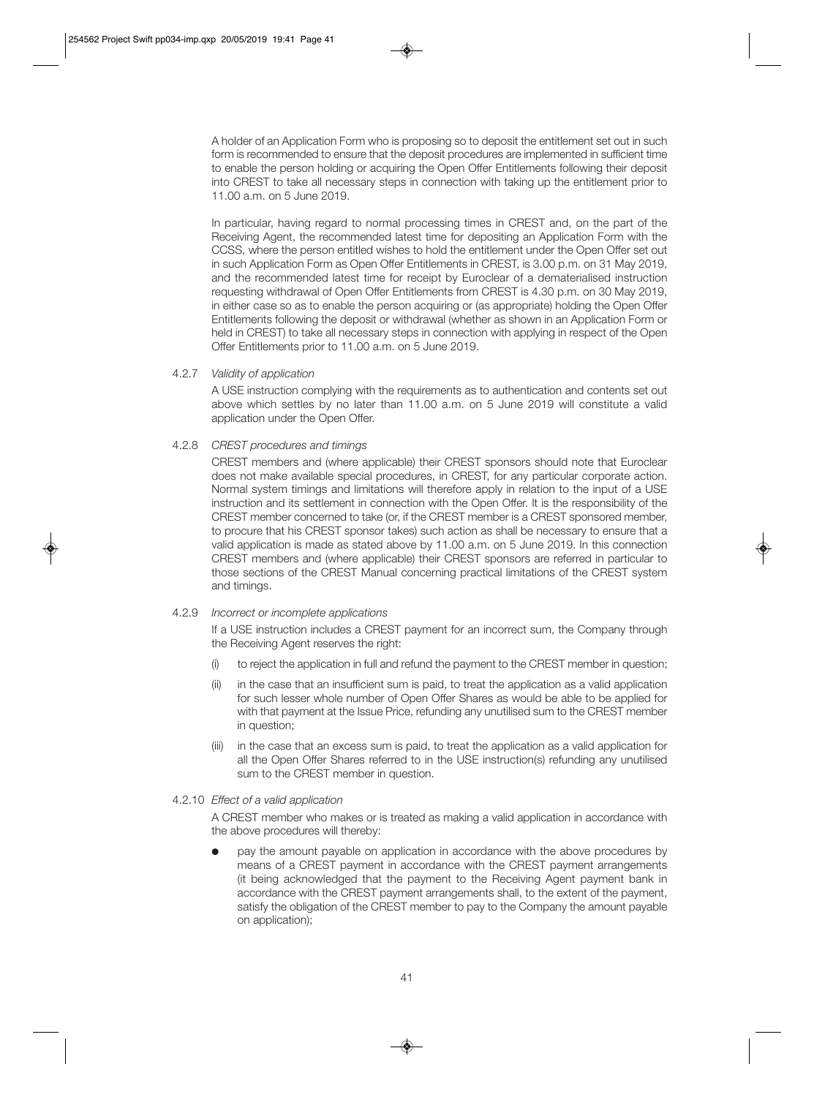A holder of an Application Form who is proposing so to deposit the entitlement set out in such form is recommended to ensure that the deposit procedures are implemented in sufficient time to enable the person holding or acquiring the Open Offer Entitlements following their deposit into CREST to take all necessary steps in connection with taking up the entitlement prior to 11.00 a.m. on 5 June 2019.

In particular, having regard to normal processing times in CREST and, on the part of the Receiving Agent, the recommended latest time for depositing an Application Form with the CCSS, where the person entitled wishes to hold the entitlement under the Open Offer set out in such Application Form as Open Offer Entitlements in CREST, is 3.00 p.m. on 31 May 2019, and the recommended latest time for receipt by Euroclear of a dematerialised instruction requesting withdrawal of Open Offer Entitlements from CREST is 4.30 p.m. on 30 May 2019, in either case so as to enable the person acquiring or (as appropriate) holding the Open Offer Entitlements following the deposit or withdrawal (whether as shown in an Application Form or held in CREST) to take all necessary steps in connection with applying in respect of the Open Offer Entitlements prior to 11.00 a.m. on 5 June 2019.

#### 4.2.7 *Validity of application*

A USE instruction complying with the requirements as to authentication and contents set out above which settles by no later than 11.00 a.m. on 5 June 2019 will constitute a valid application under the Open Offer.

#### 4.2.8 *CREST procedures and timings*

CREST members and (where applicable) their CREST sponsors should note that Euroclear does not make available special procedures, in CREST, for any particular corporate action. Normal system timings and limitations will therefore apply in relation to the input of a USE instruction and its settlement in connection with the Open Offer. It is the responsibility of the CREST member concerned to take (or, if the CREST member is a CREST sponsored member, to procure that his CREST sponsor takes) such action as shall be necessary to ensure that a valid application is made as stated above by 11.00 a.m. on 5 June 2019. In this connection CREST members and (where applicable) their CREST sponsors are referred in particular to those sections of the CREST Manual concerning practical limitations of the CREST system and timings.

#### 4.2.9 *Incorrect or incomplete applications*

If a USE instruction includes a CREST payment for an incorrect sum, the Company through the Receiving Agent reserves the right:

- (i) to reject the application in full and refund the payment to the CREST member in question;
- (ii) in the case that an insufficient sum is paid, to treat the application as a valid application for such lesser whole number of Open Offer Shares as would be able to be applied for with that payment at the Issue Price, refunding any unutilised sum to the CREST member in question;
- (iii) in the case that an excess sum is paid, to treat the application as a valid application for all the Open Offer Shares referred to in the USE instruction(s) refunding any unutilised sum to the CREST member in question.
- 4.2.10 *Effect of a valid application*

A CREST member who makes or is treated as making a valid application in accordance with the above procedures will thereby:

pay the amount payable on application in accordance with the above procedures by means of a CREST payment in accordance with the CREST payment arrangements (it being acknowledged that the payment to the Receiving Agent payment bank in accordance with the CREST payment arrangements shall, to the extent of the payment, satisfy the obligation of the CREST member to pay to the Company the amount payable on application);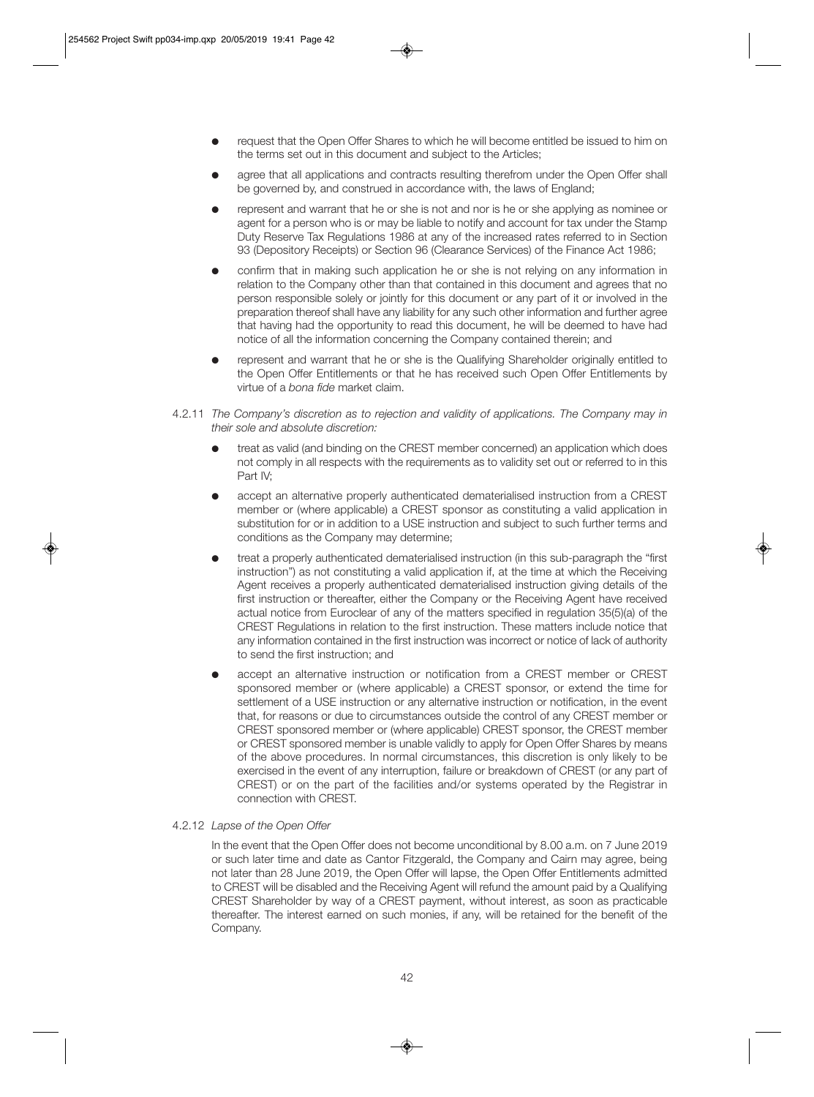- request that the Open Offer Shares to which he will become entitled be issued to him on the terms set out in this document and subject to the Articles;
- agree that all applications and contracts resulting therefrom under the Open Offer shall be governed by, and construed in accordance with, the laws of England;
- represent and warrant that he or she is not and nor is he or she applying as nominee or agent for a person who is or may be liable to notify and account for tax under the Stamp Duty Reserve Tax Regulations 1986 at any of the increased rates referred to in Section 93 (Depository Receipts) or Section 96 (Clearance Services) of the Finance Act 1986;
- confirm that in making such application he or she is not relying on any information in relation to the Company other than that contained in this document and agrees that no person responsible solely or jointly for this document or any part of it or involved in the preparation thereof shall have any liability for any such other information and further agree that having had the opportunity to read this document, he will be deemed to have had notice of all the information concerning the Company contained therein; and
- represent and warrant that he or she is the Qualifying Shareholder originally entitled to the Open Offer Entitlements or that he has received such Open Offer Entitlements by virtue of a *bona fide* market claim.
- 4.2.11 *The Company's discretion as to rejection and validity of applications. The Company may in their sole and absolute discretion:* 
	- treat as valid (and binding on the CREST member concerned) an application which does not comply in all respects with the requirements as to validity set out or referred to in this Part IV;
	- accept an alternative properly authenticated dematerialised instruction from a CREST member or (where applicable) a CREST sponsor as constituting a valid application in substitution for or in addition to a USE instruction and subject to such further terms and conditions as the Company may determine;
	- l treat a properly authenticated dematerialised instruction (in this sub-paragraph the "first instruction") as not constituting a valid application if, at the time at which the Receiving Agent receives a properly authenticated dematerialised instruction giving details of the first instruction or thereafter, either the Company or the Receiving Agent have received actual notice from Euroclear of any of the matters specified in regulation 35(5)(a) of the CREST Regulations in relation to the first instruction. These matters include notice that any information contained in the first instruction was incorrect or notice of lack of authority to send the first instruction; and
	- accept an alternative instruction or notification from a CREST member or CREST sponsored member or (where applicable) a CREST sponsor, or extend the time for settlement of a USE instruction or any alternative instruction or notification, in the event that, for reasons or due to circumstances outside the control of any CREST member or CREST sponsored member or (where applicable) CREST sponsor, the CREST member or CREST sponsored member is unable validly to apply for Open Offer Shares by means of the above procedures. In normal circumstances, this discretion is only likely to be exercised in the event of any interruption, failure or breakdown of CREST (or any part of CREST) or on the part of the facilities and/or systems operated by the Registrar in connection with CREST.

#### 4.2.12 *Lapse of the Open Offer*

In the event that the Open Offer does not become unconditional by 8.00 a.m. on 7 June 2019 or such later time and date as Cantor Fitzgerald, the Company and Cairn may agree, being not later than 28 June 2019, the Open Offer will lapse, the Open Offer Entitlements admitted to CREST will be disabled and the Receiving Agent will refund the amount paid by a Qualifying CREST Shareholder by way of a CREST payment, without interest, as soon as practicable thereafter. The interest earned on such monies, if any, will be retained for the benefit of the Company.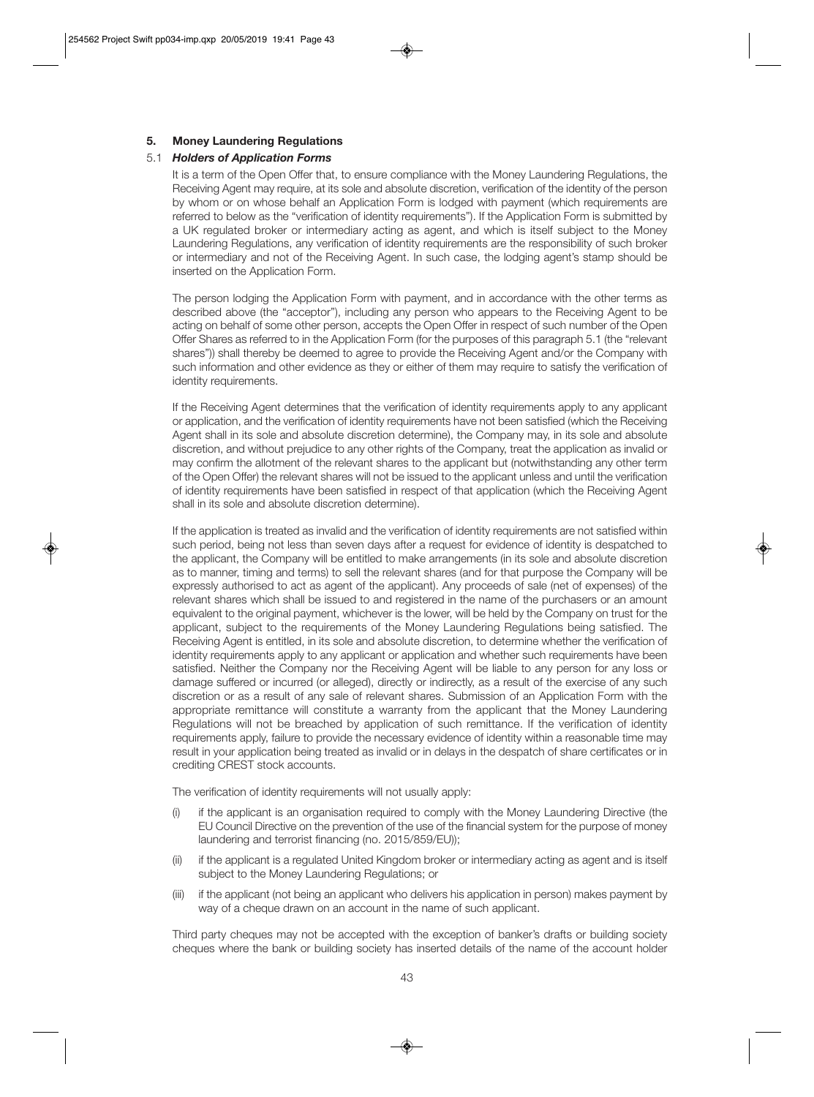#### **5. Money Laundering Regulations**

#### 5.1 *Holders of Application Forms*

It is a term of the Open Offer that, to ensure compliance with the Money Laundering Regulations, the Receiving Agent may require, at its sole and absolute discretion, verification of the identity of the person by whom or on whose behalf an Application Form is lodged with payment (which requirements are referred to below as the "verification of identity requirements"). If the Application Form is submitted by a UK regulated broker or intermediary acting as agent, and which is itself subject to the Money Laundering Regulations, any verification of identity requirements are the responsibility of such broker or intermediary and not of the Receiving Agent. In such case, the lodging agent's stamp should be inserted on the Application Form.

The person lodging the Application Form with payment, and in accordance with the other terms as described above (the "acceptor"), including any person who appears to the Receiving Agent to be acting on behalf of some other person, accepts the Open Offer in respect of such number of the Open Offer Shares as referred to in the Application Form (for the purposes of this paragraph 5.1 (the "relevant shares")) shall thereby be deemed to agree to provide the Receiving Agent and/or the Company with such information and other evidence as they or either of them may require to satisfy the verification of identity requirements.

If the Receiving Agent determines that the verification of identity requirements apply to any applicant or application, and the verification of identity requirements have not been satisfied (which the Receiving Agent shall in its sole and absolute discretion determine), the Company may, in its sole and absolute discretion, and without prejudice to any other rights of the Company, treat the application as invalid or may confirm the allotment of the relevant shares to the applicant but (notwithstanding any other term of the Open Offer) the relevant shares will not be issued to the applicant unless and until the verification of identity requirements have been satisfied in respect of that application (which the Receiving Agent shall in its sole and absolute discretion determine).

If the application is treated as invalid and the verification of identity requirements are not satisfied within such period, being not less than seven days after a request for evidence of identity is despatched to the applicant, the Company will be entitled to make arrangements (in its sole and absolute discretion as to manner, timing and terms) to sell the relevant shares (and for that purpose the Company will be expressly authorised to act as agent of the applicant). Any proceeds of sale (net of expenses) of the relevant shares which shall be issued to and registered in the name of the purchasers or an amount equivalent to the original payment, whichever is the lower, will be held by the Company on trust for the applicant, subject to the requirements of the Money Laundering Regulations being satisfied. The Receiving Agent is entitled, in its sole and absolute discretion, to determine whether the verification of identity requirements apply to any applicant or application and whether such requirements have been satisfied. Neither the Company nor the Receiving Agent will be liable to any person for any loss or damage suffered or incurred (or alleged), directly or indirectly, as a result of the exercise of any such discretion or as a result of any sale of relevant shares. Submission of an Application Form with the appropriate remittance will constitute a warranty from the applicant that the Money Laundering Regulations will not be breached by application of such remittance. If the verification of identity requirements apply, failure to provide the necessary evidence of identity within a reasonable time may result in your application being treated as invalid or in delays in the despatch of share certificates or in crediting CREST stock accounts.

The verification of identity requirements will not usually apply:

- (i) if the applicant is an organisation required to comply with the Money Laundering Directive (the EU Council Directive on the prevention of the use of the financial system for the purpose of money laundering and terrorist financing (no. 2015/859/EU));
- (ii) if the applicant is a regulated United Kingdom broker or intermediary acting as agent and is itself subject to the Money Laundering Regulations; or
- (iii) if the applicant (not being an applicant who delivers his application in person) makes payment by way of a cheque drawn on an account in the name of such applicant.

Third party cheques may not be accepted with the exception of banker's drafts or building society cheques where the bank or building society has inserted details of the name of the account holder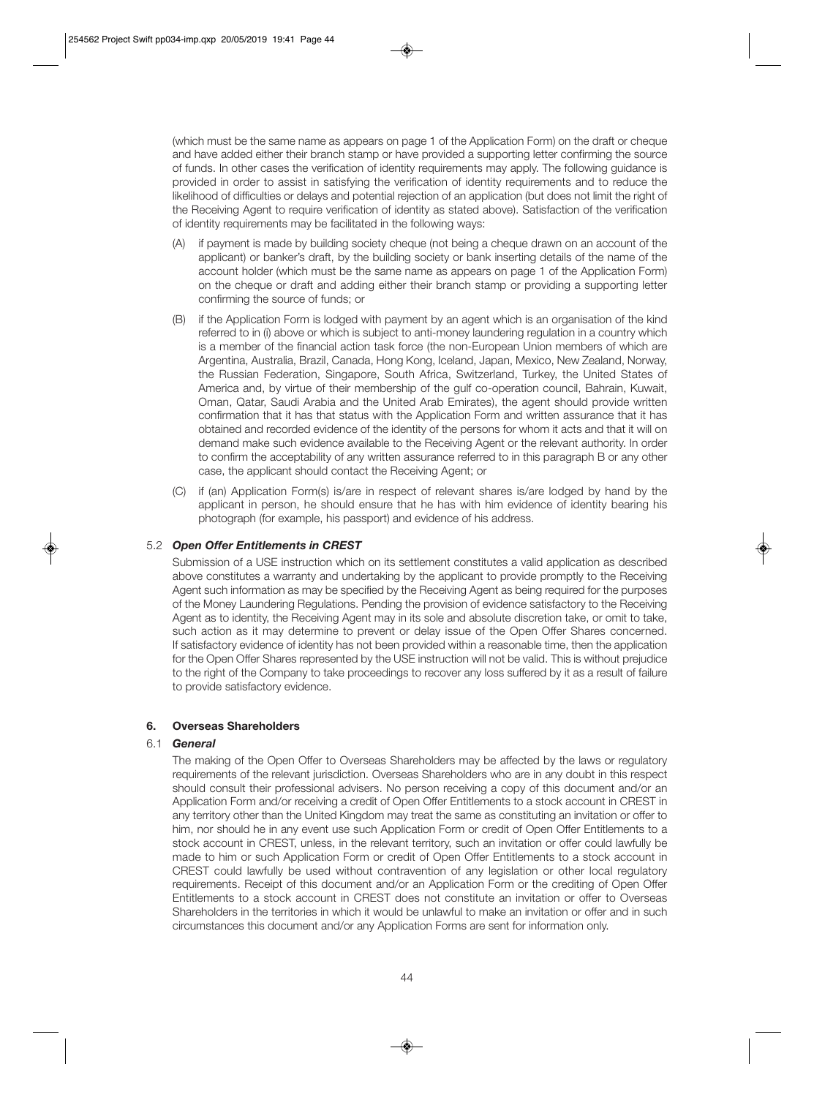(which must be the same name as appears on page 1 of the Application Form) on the draft or cheque and have added either their branch stamp or have provided a supporting letter confirming the source of funds. In other cases the verification of identity requirements may apply. The following guidance is provided in order to assist in satisfying the verification of identity requirements and to reduce the likelihood of difficulties or delays and potential rejection of an application (but does not limit the right of the Receiving Agent to require verification of identity as stated above). Satisfaction of the verification of identity requirements may be facilitated in the following ways:

- (A) if payment is made by building society cheque (not being a cheque drawn on an account of the applicant) or banker's draft, by the building society or bank inserting details of the name of the account holder (which must be the same name as appears on page 1 of the Application Form) on the cheque or draft and adding either their branch stamp or providing a supporting letter confirming the source of funds; or
- (B) if the Application Form is lodged with payment by an agent which is an organisation of the kind referred to in (i) above or which is subject to anti-money laundering regulation in a country which is a member of the financial action task force (the non-European Union members of which are Argentina, Australia, Brazil, Canada, Hong Kong, Iceland, Japan, Mexico, New Zealand, Norway, the Russian Federation, Singapore, South Africa, Switzerland, Turkey, the United States of America and, by virtue of their membership of the gulf co-operation council, Bahrain, Kuwait, Oman, Qatar, Saudi Arabia and the United Arab Emirates), the agent should provide written confirmation that it has that status with the Application Form and written assurance that it has obtained and recorded evidence of the identity of the persons for whom it acts and that it will on demand make such evidence available to the Receiving Agent or the relevant authority. In order to confirm the acceptability of any written assurance referred to in this paragraph B or any other case, the applicant should contact the Receiving Agent; or
- (C) if (an) Application Form(s) is/are in respect of relevant shares is/are lodged by hand by the applicant in person, he should ensure that he has with him evidence of identity bearing his photograph (for example, his passport) and evidence of his address.

#### 5.2 *Open Offer Entitlements in CREST*

Submission of a USE instruction which on its settlement constitutes a valid application as described above constitutes a warranty and undertaking by the applicant to provide promptly to the Receiving Agent such information as may be specified by the Receiving Agent as being required for the purposes of the Money Laundering Regulations. Pending the provision of evidence satisfactory to the Receiving Agent as to identity, the Receiving Agent may in its sole and absolute discretion take, or omit to take, such action as it may determine to prevent or delay issue of the Open Offer Shares concerned. If satisfactory evidence of identity has not been provided within a reasonable time, then the application for the Open Offer Shares represented by the USE instruction will not be valid. This is without prejudice to the right of the Company to take proceedings to recover any loss suffered by it as a result of failure to provide satisfactory evidence.

#### **6. Overseas Shareholders**

#### 6.1 *General*

The making of the Open Offer to Overseas Shareholders may be affected by the laws or regulatory requirements of the relevant jurisdiction. Overseas Shareholders who are in any doubt in this respect should consult their professional advisers. No person receiving a copy of this document and/or an Application Form and/or receiving a credit of Open Offer Entitlements to a stock account in CREST in any territory other than the United Kingdom may treat the same as constituting an invitation or offer to him, nor should he in any event use such Application Form or credit of Open Offer Entitlements to a stock account in CREST, unless, in the relevant territory, such an invitation or offer could lawfully be made to him or such Application Form or credit of Open Offer Entitlements to a stock account in CREST could lawfully be used without contravention of any legislation or other local regulatory requirements. Receipt of this document and/or an Application Form or the crediting of Open Offer Entitlements to a stock account in CREST does not constitute an invitation or offer to Overseas Shareholders in the territories in which it would be unlawful to make an invitation or offer and in such circumstances this document and/or any Application Forms are sent for information only.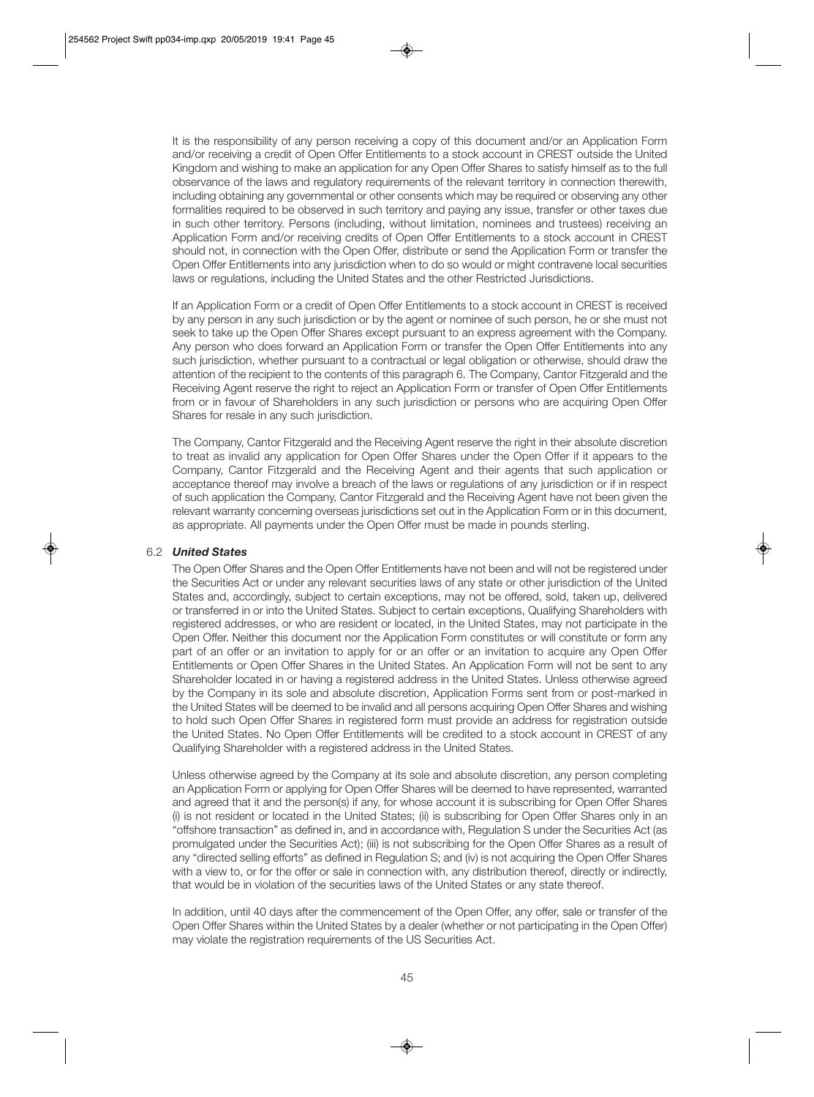It is the responsibility of any person receiving a copy of this document and/or an Application Form and/or receiving a credit of Open Offer Entitlements to a stock account in CREST outside the United Kingdom and wishing to make an application for any Open Offer Shares to satisfy himself as to the full observance of the laws and regulatory requirements of the relevant territory in connection therewith, including obtaining any governmental or other consents which may be required or observing any other formalities required to be observed in such territory and paying any issue, transfer or other taxes due in such other territory. Persons (including, without limitation, nominees and trustees) receiving an Application Form and/or receiving credits of Open Offer Entitlements to a stock account in CREST should not, in connection with the Open Offer, distribute or send the Application Form or transfer the Open Offer Entitlements into any jurisdiction when to do so would or might contravene local securities laws or regulations, including the United States and the other Restricted Jurisdictions.

If an Application Form or a credit of Open Offer Entitlements to a stock account in CREST is received by any person in any such jurisdiction or by the agent or nominee of such person, he or she must not seek to take up the Open Offer Shares except pursuant to an express agreement with the Company. Any person who does forward an Application Form or transfer the Open Offer Entitlements into any such jurisdiction, whether pursuant to a contractual or legal obligation or otherwise, should draw the attention of the recipient to the contents of this paragraph 6. The Company, Cantor Fitzgerald and the Receiving Agent reserve the right to reject an Application Form or transfer of Open Offer Entitlements from or in favour of Shareholders in any such jurisdiction or persons who are acquiring Open Offer Shares for resale in any such jurisdiction.

The Company, Cantor Fitzgerald and the Receiving Agent reserve the right in their absolute discretion to treat as invalid any application for Open Offer Shares under the Open Offer if it appears to the Company, Cantor Fitzgerald and the Receiving Agent and their agents that such application or acceptance thereof may involve a breach of the laws or regulations of any jurisdiction or if in respect of such application the Company, Cantor Fitzgerald and the Receiving Agent have not been given the relevant warranty concerning overseas jurisdictions set out in the Application Form or in this document, as appropriate. All payments under the Open Offer must be made in pounds sterling.

#### 6.2 *United States*

The Open Offer Shares and the Open Offer Entitlements have not been and will not be registered under the Securities Act or under any relevant securities laws of any state or other jurisdiction of the United States and, accordingly, subject to certain exceptions, may not be offered, sold, taken up, delivered or transferred in or into the United States. Subject to certain exceptions, Qualifying Shareholders with registered addresses, or who are resident or located, in the United States, may not participate in the Open Offer. Neither this document nor the Application Form constitutes or will constitute or form any part of an offer or an invitation to apply for or an offer or an invitation to acquire any Open Offer Entitlements or Open Offer Shares in the United States. An Application Form will not be sent to any Shareholder located in or having a registered address in the United States. Unless otherwise agreed by the Company in its sole and absolute discretion, Application Forms sent from or post-marked in the United States will be deemed to be invalid and all persons acquiring Open Offer Shares and wishing to hold such Open Offer Shares in registered form must provide an address for registration outside the United States. No Open Offer Entitlements will be credited to a stock account in CREST of any Qualifying Shareholder with a registered address in the United States.

Unless otherwise agreed by the Company at its sole and absolute discretion, any person completing an Application Form or applying for Open Offer Shares will be deemed to have represented, warranted and agreed that it and the person(s) if any, for whose account it is subscribing for Open Offer Shares (i) is not resident or located in the United States; (ii) is subscribing for Open Offer Shares only in an "offshore transaction" as defined in, and in accordance with, Regulation S under the Securities Act (as promulgated under the Securities Act); (iii) is not subscribing for the Open Offer Shares as a result of any "directed selling efforts" as defined in Regulation S; and (iv) is not acquiring the Open Offer Shares with a view to, or for the offer or sale in connection with, any distribution thereof, directly or indirectly, that would be in violation of the securities laws of the United States or any state thereof.

In addition, until 40 days after the commencement of the Open Offer, any offer, sale or transfer of the Open Offer Shares within the United States by a dealer (whether or not participating in the Open Offer) may violate the registration requirements of the US Securities Act.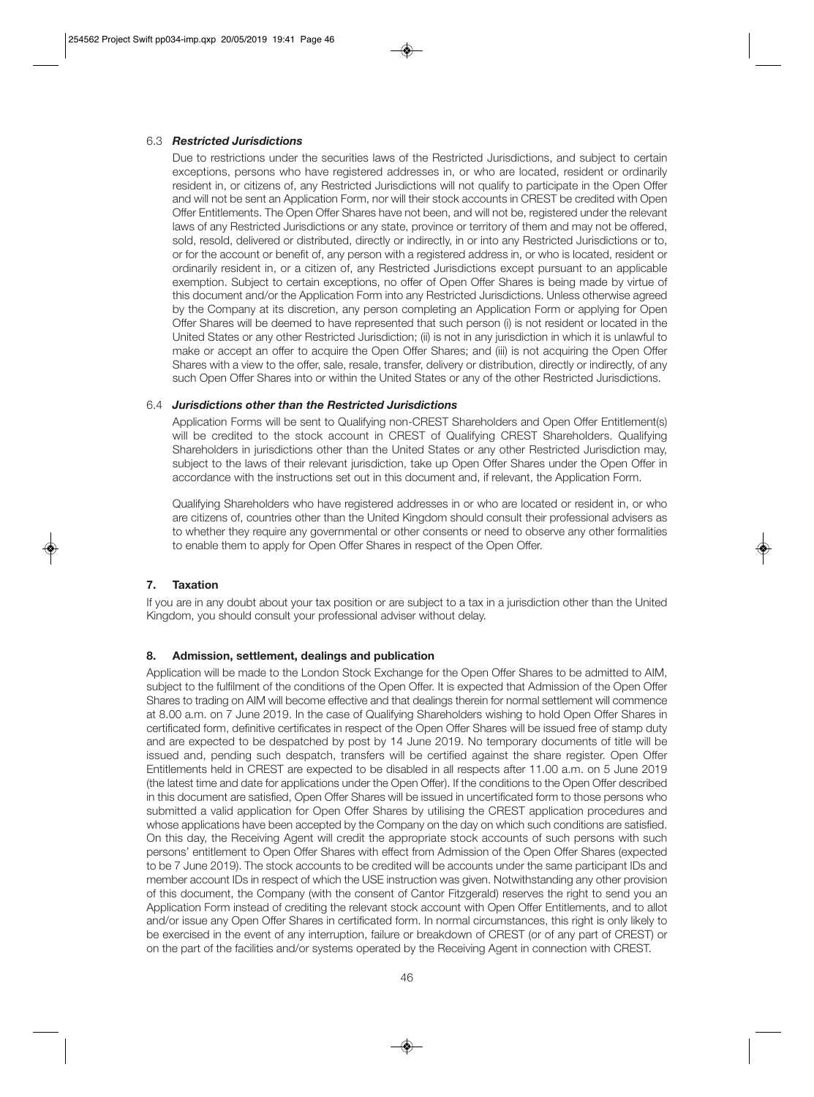#### 6.3 *Restricted Jurisdictions*

Due to restrictions under the securities laws of the Restricted Jurisdictions, and subject to certain exceptions, persons who have registered addresses in, or who are located, resident or ordinarily resident in, or citizens of, any Restricted Jurisdictions will not qualify to participate in the Open Offer and will not be sent an Application Form, nor will their stock accounts in CREST be credited with Open Offer Entitlements. The Open Offer Shares have not been, and will not be, registered under the relevant laws of any Restricted Jurisdictions or any state, province or territory of them and may not be offered, sold, resold, delivered or distributed, directly or indirectly, in or into any Restricted Jurisdictions or to, or for the account or benefit of, any person with a registered address in, or who is located, resident or ordinarily resident in, or a citizen of, any Restricted Jurisdictions except pursuant to an applicable exemption. Subject to certain exceptions, no offer of Open Offer Shares is being made by virtue of this document and/or the Application Form into any Restricted Jurisdictions. Unless otherwise agreed by the Company at its discretion, any person completing an Application Form or applying for Open Offer Shares will be deemed to have represented that such person (i) is not resident or located in the United States or any other Restricted Jurisdiction; (ii) is not in any jurisdiction in which it is unlawful to make or accept an offer to acquire the Open Offer Shares; and (iii) is not acquiring the Open Offer Shares with a view to the offer, sale, resale, transfer, delivery or distribution, directly or indirectly, of any such Open Offer Shares into or within the United States or any of the other Restricted Jurisdictions.

#### 6.4 *Jurisdictions other than the Restricted Jurisdictions*

Application Forms will be sent to Qualifying non-CREST Shareholders and Open Offer Entitlement(s) will be credited to the stock account in CREST of Qualifying CREST Shareholders. Qualifying Shareholders in jurisdictions other than the United States or any other Restricted Jurisdiction may, subject to the laws of their relevant jurisdiction, take up Open Offer Shares under the Open Offer in accordance with the instructions set out in this document and, if relevant, the Application Form.

Qualifying Shareholders who have registered addresses in or who are located or resident in, or who are citizens of, countries other than the United Kingdom should consult their professional advisers as to whether they require any governmental or other consents or need to observe any other formalities to enable them to apply for Open Offer Shares in respect of the Open Offer.

#### **7. Taxation**

If you are in any doubt about your tax position or are subject to a tax in a jurisdiction other than the United Kingdom, you should consult your professional adviser without delay.

#### **8. Admission, settlement, dealings and publication**

Application will be made to the London Stock Exchange for the Open Offer Shares to be admitted to AIM, subject to the fulfilment of the conditions of the Open Offer. It is expected that Admission of the Open Offer Shares to trading on AIM will become effective and that dealings therein for normal settlement will commence at 8.00 a.m. on 7 June 2019. In the case of Qualifying Shareholders wishing to hold Open Offer Shares in certificated form, definitive certificates in respect of the Open Offer Shares will be issued free of stamp duty and are expected to be despatched by post by 14 June 2019. No temporary documents of title will be issued and, pending such despatch, transfers will be certified against the share register. Open Offer Entitlements held in CREST are expected to be disabled in all respects after 11.00 a.m. on 5 June 2019 (the latest time and date for applications under the Open Offer). If the conditions to the Open Offer described in this document are satisfied, Open Offer Shares will be issued in uncertificated form to those persons who submitted a valid application for Open Offer Shares by utilising the CREST application procedures and whose applications have been accepted by the Company on the day on which such conditions are satisfied. On this day, the Receiving Agent will credit the appropriate stock accounts of such persons with such persons' entitlement to Open Offer Shares with effect from Admission of the Open Offer Shares (expected to be 7 June 2019). The stock accounts to be credited will be accounts under the same participant IDs and member account IDs in respect of which the USE instruction was given. Notwithstanding any other provision of this document, the Company (with the consent of Cantor Fitzgerald) reserves the right to send you an Application Form instead of crediting the relevant stock account with Open Offer Entitlements, and to allot and/or issue any Open Offer Shares in certificated form. In normal circumstances, this right is only likely to be exercised in the event of any interruption, failure or breakdown of CREST (or of any part of CREST) or on the part of the facilities and/or systems operated by the Receiving Agent in connection with CREST.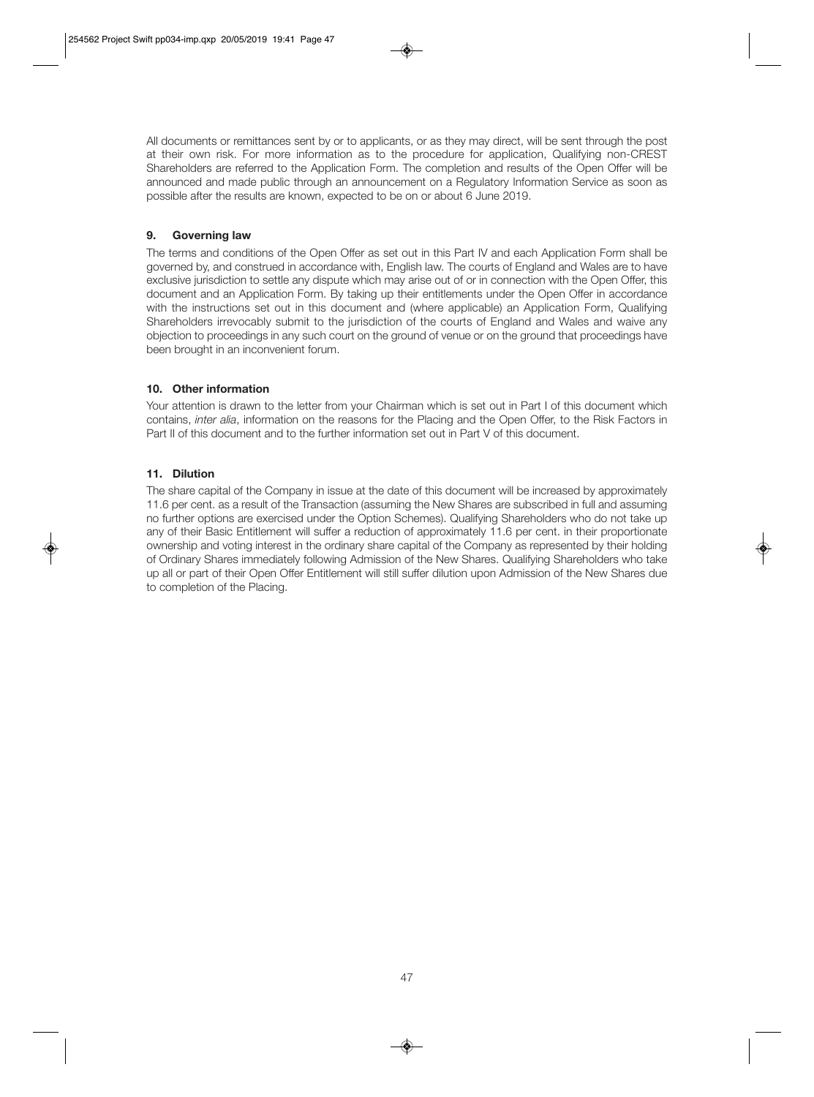All documents or remittances sent by or to applicants, or as they may direct, will be sent through the post at their own risk. For more information as to the procedure for application, Qualifying non-CREST Shareholders are referred to the Application Form. The completion and results of the Open Offer will be announced and made public through an announcement on a Regulatory Information Service as soon as possible after the results are known, expected to be on or about 6 June 2019.

#### **9. Governing law**

The terms and conditions of the Open Offer as set out in this Part IV and each Application Form shall be governed by, and construed in accordance with, English law. The courts of England and Wales are to have exclusive jurisdiction to settle any dispute which may arise out of or in connection with the Open Offer, this document and an Application Form. By taking up their entitlements under the Open Offer in accordance with the instructions set out in this document and (where applicable) an Application Form, Qualifying Shareholders irrevocably submit to the jurisdiction of the courts of England and Wales and waive any objection to proceedings in any such court on the ground of venue or on the ground that proceedings have been brought in an inconvenient forum.

#### **10. Other information**

Your attention is drawn to the letter from your Chairman which is set out in Part I of this document which contains, *inter alia*, information on the reasons for the Placing and the Open Offer, to the Risk Factors in Part II of this document and to the further information set out in Part V of this document.

#### **11. Dilution**

The share capital of the Company in issue at the date of this document will be increased by approximately 11.6 per cent. as a result of the Transaction (assuming the New Shares are subscribed in full and assuming no further options are exercised under the Option Schemes). Qualifying Shareholders who do not take up any of their Basic Entitlement will suffer a reduction of approximately 11.6 per cent. in their proportionate ownership and voting interest in the ordinary share capital of the Company as represented by their holding of Ordinary Shares immediately following Admission of the New Shares. Qualifying Shareholders who take up all or part of their Open Offer Entitlement will still suffer dilution upon Admission of the New Shares due to completion of the Placing.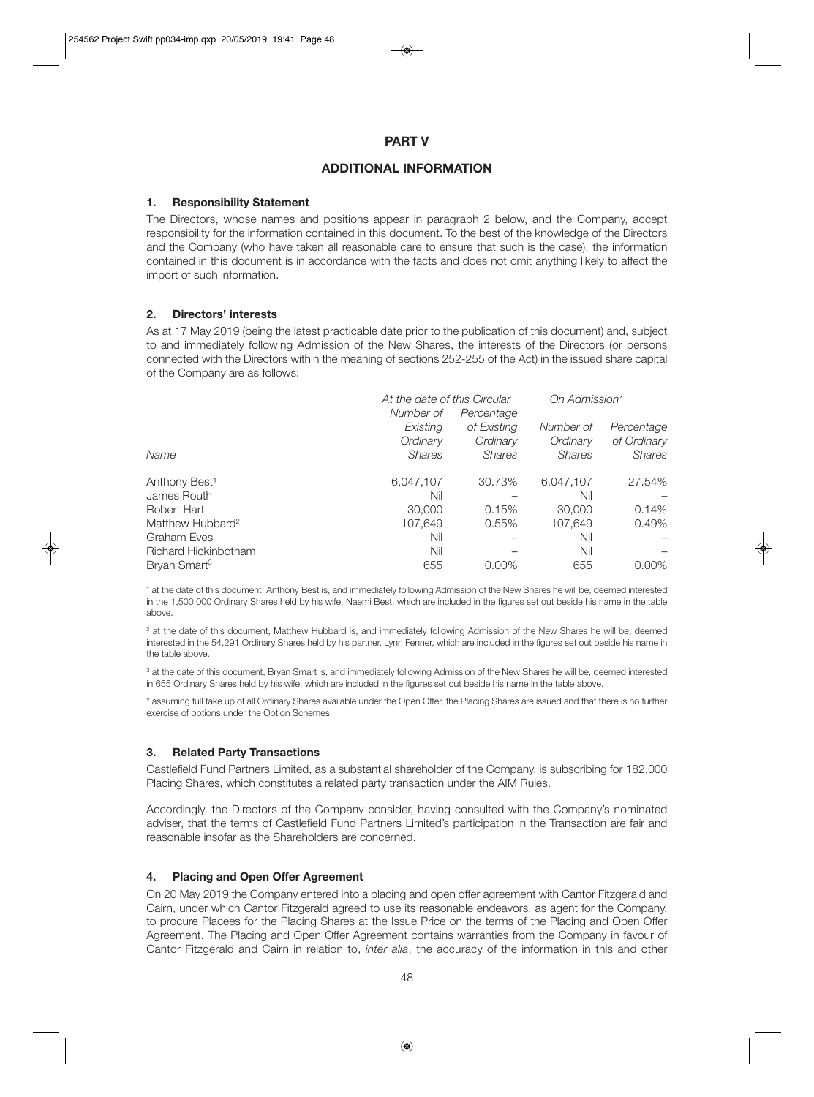#### **PART V**

#### **ADDITIONAL INFORMATION**

#### **1. Responsibility Statement**

The Directors, whose names and positions appear in paragraph 2 below, and the Company, accept responsibility for the information contained in this document. To the best of the knowledge of the Directors and the Company (who have taken all reasonable care to ensure that such is the case), the information contained in this document is in accordance with the facts and does not omit anything likely to affect the import of such information.

#### **2. Directors' interests**

As at 17 May 2019 (being the latest practicable date prior to the publication of this document) and, subject to and immediately following Admission of the New Shares, the interests of the Directors (or persons connected with the Directors within the meaning of sections 252-255 of the Act) in the issued share capital of the Company are as follows:

|                              | At the date of this Circular |               | On Admission* |               |
|------------------------------|------------------------------|---------------|---------------|---------------|
|                              | Number of                    | Percentage    |               |               |
|                              | Existing                     | of Existing   | Number of     | Percentage    |
|                              | Ordinary                     | Ordinary      | Ordinary      | of Ordinary   |
| Name                         | <b>Shares</b>                | <b>Shares</b> | <b>Shares</b> | <b>Shares</b> |
| Anthony Best <sup>1</sup>    | 6,047,107                    | 30.73%        | 6,047,107     | 27.54%        |
| James Routh                  | Nil                          |               | Nil           |               |
| Robert Hart                  | 30,000                       | 0.15%         | 30,000        | 0.14%         |
| Matthew Hubbard <sup>2</sup> | 107,649                      | 0.55%         | 107,649       | 0.49%         |
| <b>Graham Eves</b>           | Nil                          |               | Nil           |               |
| <b>Richard Hickinbotham</b>  | Nil                          |               | Nil           |               |
| Bryan Smart <sup>3</sup>     | 655                          | $0.00\%$      | 655           | $0.00\%$      |

<sup>1</sup> at the date of this document, Anthony Best is, and immediately following Admission of the New Shares he will be, deemed interested in the 1,500,000 Ordinary Shares held by his wife, Naemi Best, which are included in the figures set out beside his name in the table above.

<sup>2</sup> at the date of this document, Matthew Hubbard is, and immediately following Admission of the New Shares he will be, deemed interested in the 54,291 Ordinary Shares held by his partner, Lynn Fenner, which are included in the figures set out beside his name in the table above.

<sup>3</sup> at the date of this document, Bryan Smart is, and immediately following Admission of the New Shares he will be, deemed interested in 655 Ordinary Shares held by his wife, which are included in the figures set out beside his name in the table above.

\* assuming full take up of all Ordinary Shares available under the Open Offer, the Placing Shares are issued and that there is no further exercise of options under the Option Schemes.

#### **3. Related Party Transactions**

Castlefield Fund Partners Limited, as a substantial shareholder of the Company, is subscribing for 182,000 Placing Shares, which constitutes a related party transaction under the AIM Rules.

Accordingly, the Directors of the Company consider, having consulted with the Company's nominated adviser, that the terms of Castlefield Fund Partners Limited's participation in the Transaction are fair and reasonable insofar as the Shareholders are concerned.

#### **4. Placing and Open Offer Agreement**

On 20 May 2019 the Company entered into a placing and open offer agreement with Cantor Fitzgerald and Cairn, under which Cantor Fitzgerald agreed to use its reasonable endeavors, as agent for the Company, to procure Placees for the Placing Shares at the Issue Price on the terms of the Placing and Open Offer Agreement. The Placing and Open Offer Agreement contains warranties from the Company in favour of Cantor Fitzgerald and Cairn in relation to, *inter alia*, the accuracy of the information in this and other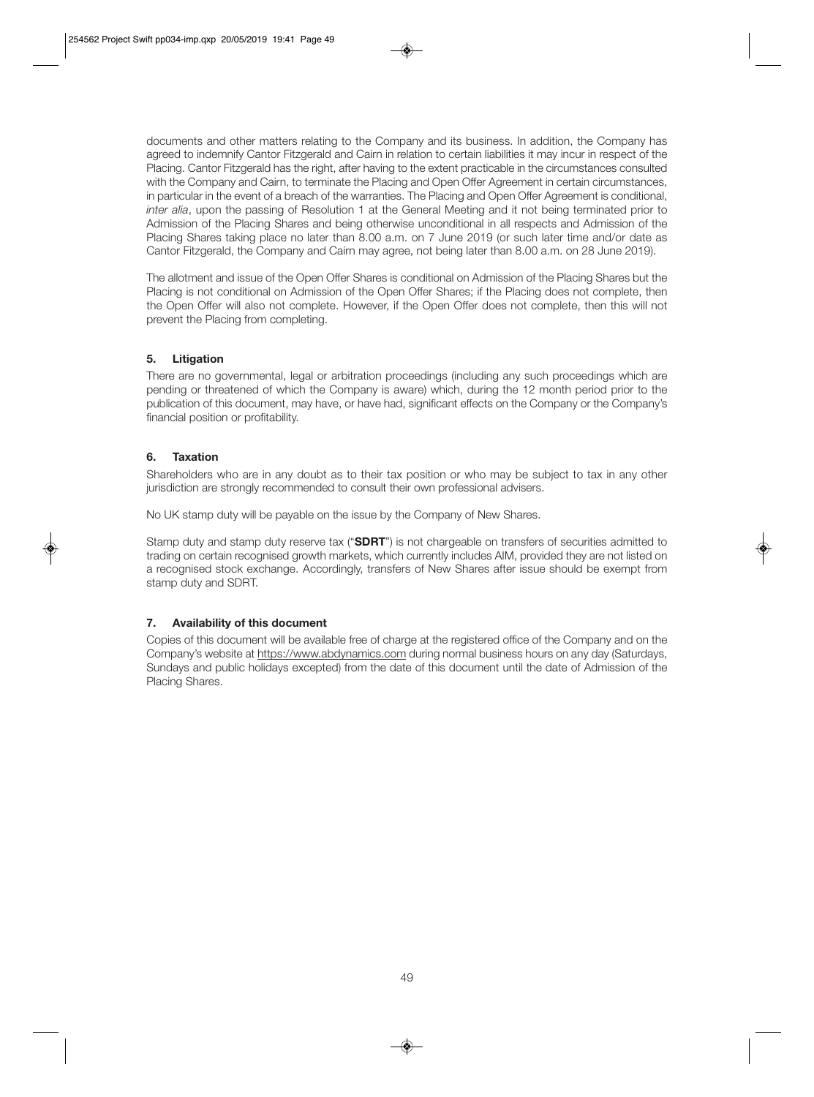documents and other matters relating to the Company and its business. In addition, the Company has agreed to indemnify Cantor Fitzgerald and Cairn in relation to certain liabilities it may incur in respect of the Placing. Cantor Fitzgerald has the right, after having to the extent practicable in the circumstances consulted with the Company and Cairn, to terminate the Placing and Open Offer Agreement in certain circumstances, in particular in the event of a breach of the warranties. The Placing and Open Offer Agreement is conditional, *inter alia*, upon the passing of Resolution 1 at the General Meeting and it not being terminated prior to Admission of the Placing Shares and being otherwise unconditional in all respects and Admission of the Placing Shares taking place no later than 8.00 a.m. on 7 June 2019 (or such later time and/or date as Cantor Fitzgerald, the Company and Cairn may agree, not being later than 8.00 a.m. on 28 June 2019).

The allotment and issue of the Open Offer Shares is conditional on Admission of the Placing Shares but the Placing is not conditional on Admission of the Open Offer Shares; if the Placing does not complete, then the Open Offer will also not complete. However, if the Open Offer does not complete, then this will not prevent the Placing from completing.

#### **5. Litigation**

There are no governmental, legal or arbitration proceedings (including any such proceedings which are pending or threatened of which the Company is aware) which, during the 12 month period prior to the publication of this document, may have, or have had, significant effects on the Company or the Company's financial position or profitability.

#### **6. Taxation**

Shareholders who are in any doubt as to their tax position or who may be subject to tax in any other jurisdiction are strongly recommended to consult their own professional advisers.

No UK stamp duty will be payable on the issue by the Company of New Shares.

Stamp duty and stamp duty reserve tax ("**SDRT**") is not chargeable on transfers of securities admitted to trading on certain recognised growth markets, which currently includes AIM, provided they are not listed on a recognised stock exchange. Accordingly, transfers of New Shares after issue should be exempt from stamp duty and SDRT.

#### **7. Availability of this document**

Copies of this document will be available free of charge at the registered office of the Company and on the Company's website at https://www.abdynamics.com during normal business hours on any day (Saturdays, Sundays and public holidays excepted) from the date of this document until the date of Admission of the Placing Shares.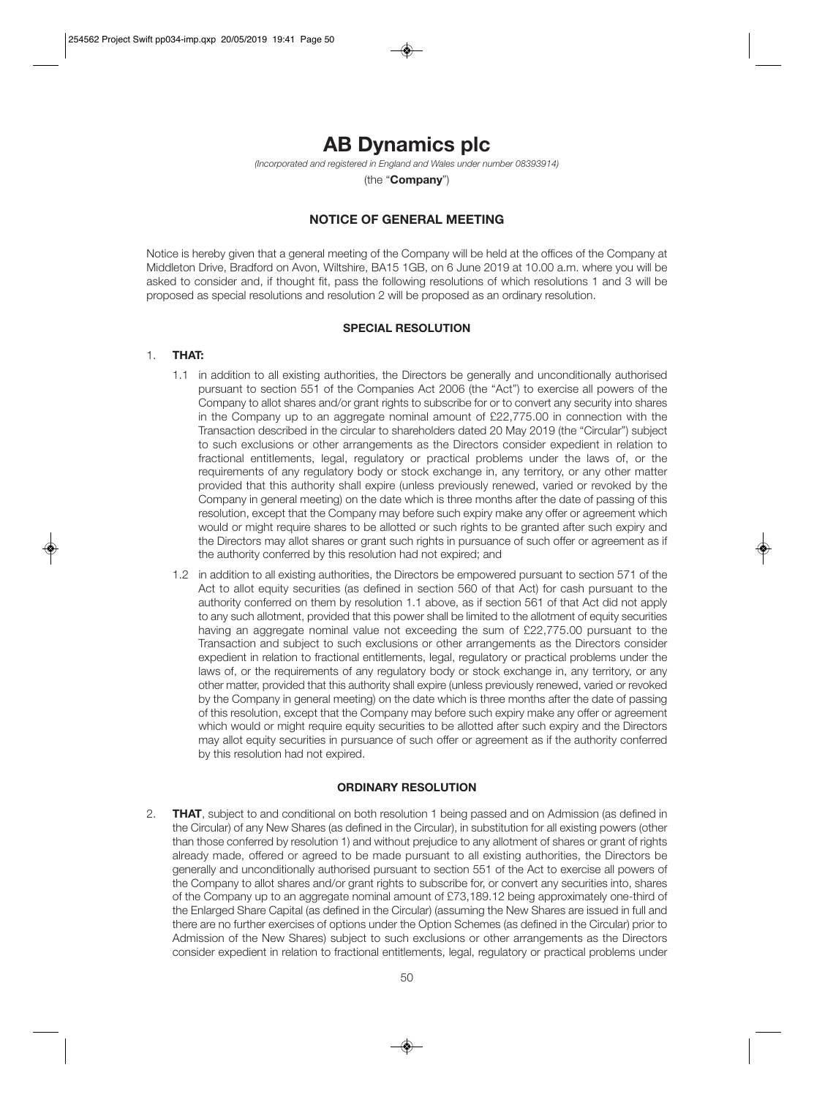# **AB Dynamics plc**

*(Incorporated and registered in England and Wales under number 08393914)* 

(the "**Company**")

#### **NOTICE OF GENERAL MEETING**

Notice is hereby given that a general meeting of the Company will be held at the offices of the Company at Middleton Drive, Bradford on Avon, Wiltshire, BA15 1GB, on 6 June 2019 at 10.00 a.m. where you will be asked to consider and, if thought fit, pass the following resolutions of which resolutions 1 and 3 will be proposed as special resolutions and resolution 2 will be proposed as an ordinary resolution.

#### **SPECIAL RESOLUTION**

#### 1. **THAT:**

- 1.1 in addition to all existing authorities, the Directors be generally and unconditionally authorised pursuant to section 551 of the Companies Act 2006 (the "Act") to exercise all powers of the Company to allot shares and/or grant rights to subscribe for or to convert any security into shares in the Company up to an aggregate nominal amount of £22,775.00 in connection with the Transaction described in the circular to shareholders dated 20 May 2019 (the "Circular") subject to such exclusions or other arrangements as the Directors consider expedient in relation to fractional entitlements, legal, regulatory or practical problems under the laws of, or the requirements of any regulatory body or stock exchange in, any territory, or any other matter provided that this authority shall expire (unless previously renewed, varied or revoked by the Company in general meeting) on the date which is three months after the date of passing of this resolution, except that the Company may before such expiry make any offer or agreement which would or might require shares to be allotted or such rights to be granted after such expiry and the Directors may allot shares or grant such rights in pursuance of such offer or agreement as if the authority conferred by this resolution had not expired; and
- 1.2 in addition to all existing authorities, the Directors be empowered pursuant to section 571 of the Act to allot equity securities (as defined in section 560 of that Act) for cash pursuant to the authority conferred on them by resolution 1.1 above, as if section 561 of that Act did not apply to any such allotment, provided that this power shall be limited to the allotment of equity securities having an aggregate nominal value not exceeding the sum of £22,775.00 pursuant to the Transaction and subject to such exclusions or other arrangements as the Directors consider expedient in relation to fractional entitlements, legal, regulatory or practical problems under the laws of, or the requirements of any regulatory body or stock exchange in, any territory, or any other matter, provided that this authority shall expire (unless previously renewed, varied or revoked by the Company in general meeting) on the date which is three months after the date of passing of this resolution, except that the Company may before such expiry make any offer or agreement which would or might require equity securities to be allotted after such expiry and the Directors may allot equity securities in pursuance of such offer or agreement as if the authority conferred by this resolution had not expired.

#### **ORDINARY RESOLUTION**

2. **THAT**, subject to and conditional on both resolution 1 being passed and on Admission (as defined in the Circular) of any New Shares (as defined in the Circular), in substitution for all existing powers (other than those conferred by resolution 1) and without prejudice to any allotment of shares or grant of rights already made, offered or agreed to be made pursuant to all existing authorities, the Directors be generally and unconditionally authorised pursuant to section 551 of the Act to exercise all powers of the Company to allot shares and/or grant rights to subscribe for, or convert any securities into, shares of the Company up to an aggregate nominal amount of £73,189.12 being approximately one-third of the Enlarged Share Capital (as defined in the Circular) (assuming the New Shares are issued in full and there are no further exercises of options under the Option Schemes (as defined in the Circular) prior to Admission of the New Shares) subject to such exclusions or other arrangements as the Directors consider expedient in relation to fractional entitlements, legal, regulatory or practical problems under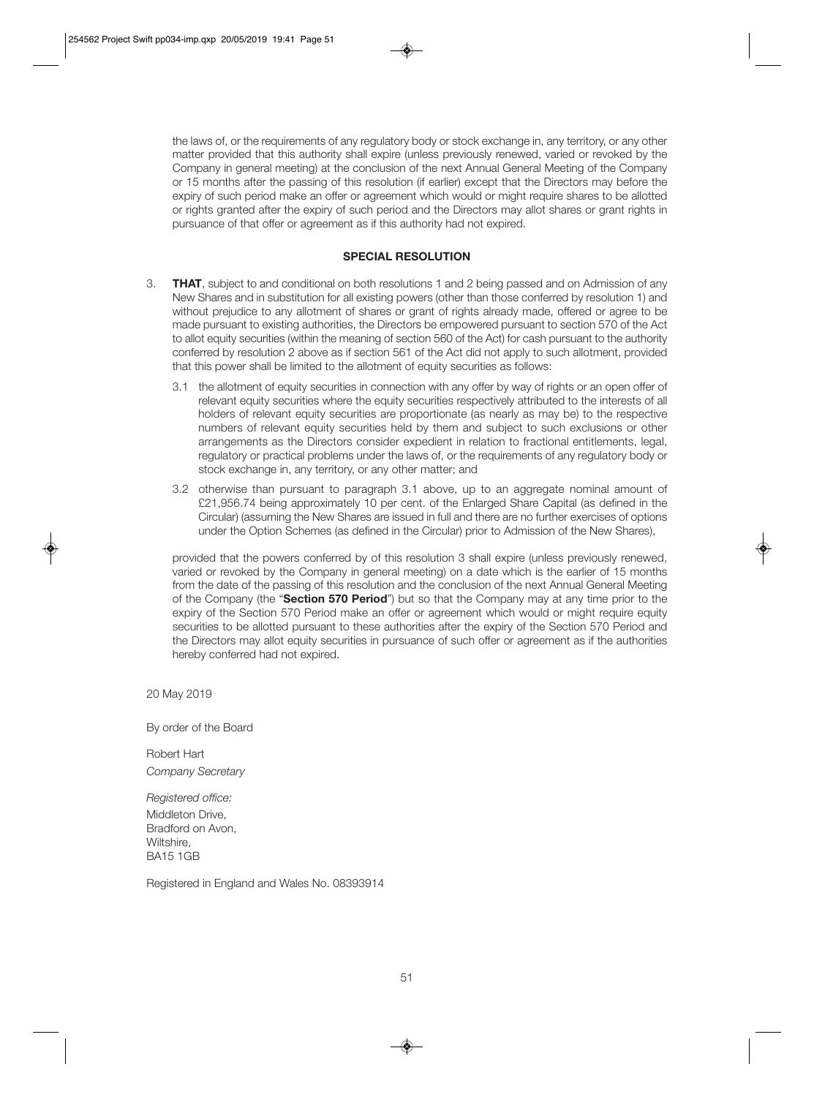the laws of, or the requirements of any regulatory body or stock exchange in, any territory, or any other matter provided that this authority shall expire (unless previously renewed, varied or revoked by the Company in general meeting) at the conclusion of the next Annual General Meeting of the Company or 15 months after the passing of this resolution (if earlier) except that the Directors may before the expiry of such period make an offer or agreement which would or might require shares to be allotted or rights granted after the expiry of such period and the Directors may allot shares or grant rights in pursuance of that offer or agreement as if this authority had not expired.

#### **SPECIAL RESOLUTION**

- 3. **THAT**, subject to and conditional on both resolutions 1 and 2 being passed and on Admission of any New Shares and in substitution for all existing powers (other than those conferred by resolution 1) and without prejudice to any allotment of shares or grant of rights already made, offered or agree to be made pursuant to existing authorities, the Directors be empowered pursuant to section 570 of the Act to allot equity securities (within the meaning of section 560 of the Act) for cash pursuant to the authority conferred by resolution 2 above as if section 561 of the Act did not apply to such allotment, provided that this power shall be limited to the allotment of equity securities as follows:
	- 3.1 the allotment of equity securities in connection with any offer by way of rights or an open offer of relevant equity securities where the equity securities respectively attributed to the interests of all holders of relevant equity securities are proportionate (as nearly as may be) to the respective numbers of relevant equity securities held by them and subject to such exclusions or other arrangements as the Directors consider expedient in relation to fractional entitlements, legal, regulatory or practical problems under the laws of, or the requirements of any regulatory body or stock exchange in, any territory, or any other matter; and
	- 3.2 otherwise than pursuant to paragraph 3.1 above, up to an aggregate nominal amount of £21,956.74 being approximately 10 per cent. of the Enlarged Share Capital (as defined in the Circular) (assuming the New Shares are issued in full and there are no further exercises of options under the Option Schemes (as defined in the Circular) prior to Admission of the New Shares),

provided that the powers conferred by of this resolution 3 shall expire (unless previously renewed, varied or revoked by the Company in general meeting) on a date which is the earlier of 15 months from the date of the passing of this resolution and the conclusion of the next Annual General Meeting of the Company (the "**Section 570 Period**") but so that the Company may at any time prior to the expiry of the Section 570 Period make an offer or agreement which would or might require equity securities to be allotted pursuant to these authorities after the expiry of the Section 570 Period and the Directors may allot equity securities in pursuance of such offer or agreement as if the authorities hereby conferred had not expired.

20 May 2019

By order of the Board

Robert Hart *Company Secretary* 

*Registered office:*  Middleton Drive, Bradford on Avon, **Wiltshire** BA15 1GB

Registered in England and Wales No. 08393914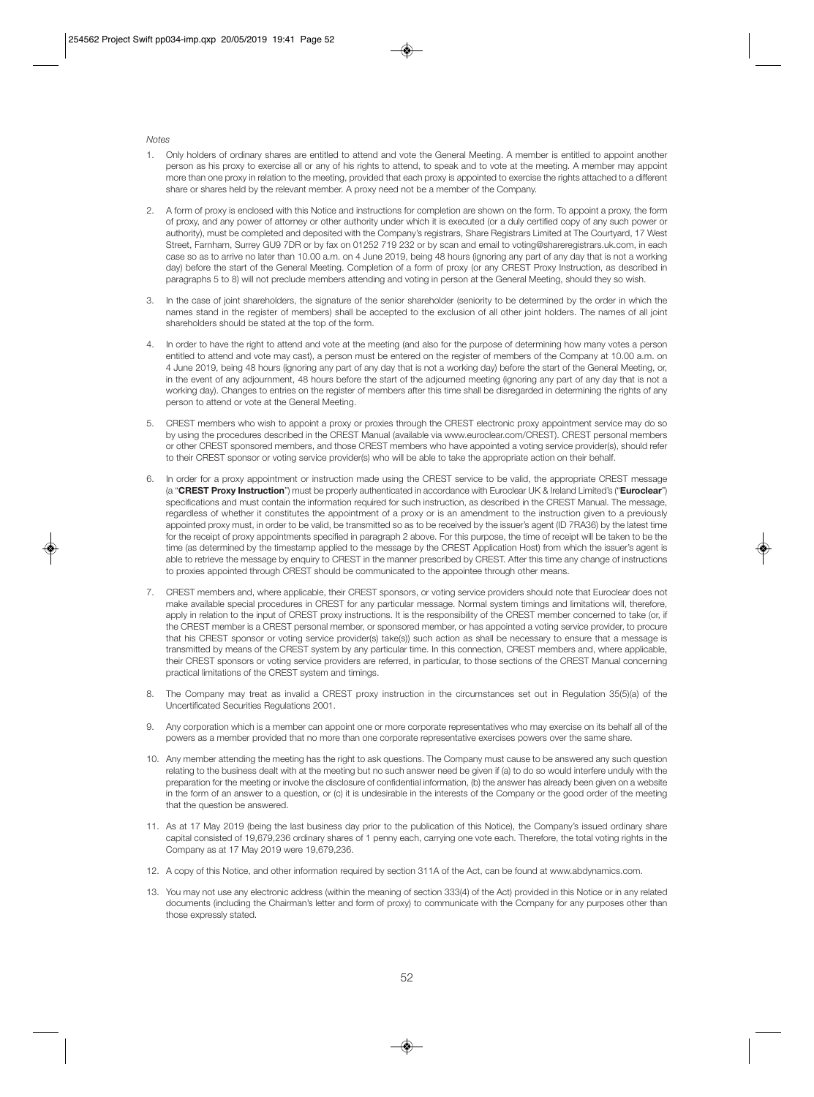#### *Notes*

- 1. Only holders of ordinary shares are entitled to attend and vote the General Meeting. A member is entitled to appoint another person as his proxy to exercise all or any of his rights to attend, to speak and to vote at the meeting. A member may appoint more than one proxy in relation to the meeting, provided that each proxy is appointed to exercise the rights attached to a different share or shares held by the relevant member. A proxy need not be a member of the Company.
- 2. A form of proxy is enclosed with this Notice and instructions for completion are shown on the form. To appoint a proxy, the form of proxy, and any power of attorney or other authority under which it is executed (or a duly certified copy of any such power or authority), must be completed and deposited with the Company's registrars, Share Registrars Limited at The Courtyard, 17 West Street, Farnham, Surrey GU9 7DR or by fax on 01252 719 232 or by scan and email to voting@shareregistrars.uk.com, in each case so as to arrive no later than 10.00 a.m. on 4 June 2019, being 48 hours (ignoring any part of any day that is not a working day) before the start of the General Meeting. Completion of a form of proxy (or any CREST Proxy Instruction, as described in paragraphs 5 to 8) will not preclude members attending and voting in person at the General Meeting, should they so wish.
- 3. In the case of joint shareholders, the signature of the senior shareholder (seniority to be determined by the order in which the names stand in the register of members) shall be accepted to the exclusion of all other joint holders. The names of all joint shareholders should be stated at the top of the form.
- In order to have the right to attend and vote at the meeting (and also for the purpose of determining how many votes a person entitled to attend and vote may cast), a person must be entered on the register of members of the Company at 10.00 a.m. on 4 June 2019, being 48 hours (ignoring any part of any day that is not a working day) before the start of the General Meeting, or, in the event of any adjournment, 48 hours before the start of the adjourned meeting (ignoring any part of any day that is not a working day). Changes to entries on the register of members after this time shall be disregarded in determining the rights of any person to attend or vote at the General Meeting.
- 5. CREST members who wish to appoint a proxy or proxies through the CREST electronic proxy appointment service may do so by using the procedures described in the CREST Manual (available via www.euroclear.com/CREST). CREST personal members or other CREST sponsored members, and those CREST members who have appointed a voting service provider(s), should refer to their CREST sponsor or voting service provider(s) who will be able to take the appropriate action on their behalf.
- 6. In order for a proxy appointment or instruction made using the CREST service to be valid, the appropriate CREST message (a "**CREST Proxy Instruction**") must be properly authenticated in accordance with Euroclear UK & Ireland Limited's ("**Euroclear**") specifications and must contain the information required for such instruction, as described in the CREST Manual. The message, regardless of whether it constitutes the appointment of a proxy or is an amendment to the instruction given to a previously appointed proxy must, in order to be valid, be transmitted so as to be received by the issuer's agent (ID 7RA36) by the latest time for the receipt of proxy appointments specified in paragraph 2 above. For this purpose, the time of receipt will be taken to be the time (as determined by the timestamp applied to the message by the CREST Application Host) from which the issuer's agent is able to retrieve the message by enquiry to CREST in the manner prescribed by CREST. After this time any change of instructions to proxies appointed through CREST should be communicated to the appointee through other means.
- 7. CREST members and, where applicable, their CREST sponsors, or voting service providers should note that Euroclear does not make available special procedures in CREST for any particular message. Normal system timings and limitations will, therefore, apply in relation to the input of CREST proxy instructions. It is the responsibility of the CREST member concerned to take (or, if the CREST member is a CREST personal member, or sponsored member, or has appointed a voting service provider, to procure that his CREST sponsor or voting service provider(s) take(s)) such action as shall be necessary to ensure that a message is transmitted by means of the CREST system by any particular time. In this connection, CREST members and, where applicable, their CREST sponsors or voting service providers are referred, in particular, to those sections of the CREST Manual concerning practical limitations of the CREST system and timings.
- The Company may treat as invalid a CREST proxy instruction in the circumstances set out in Regulation 35(5)(a) of the Uncertificated Securities Regulations 2001.
- 9. Any corporation which is a member can appoint one or more corporate representatives who may exercise on its behalf all of the powers as a member provided that no more than one corporate representative exercises powers over the same share.
- 10. Any member attending the meeting has the right to ask questions. The Company must cause to be answered any such question relating to the business dealt with at the meeting but no such answer need be given if (a) to do so would interfere unduly with the preparation for the meeting or involve the disclosure of confidential information, (b) the answer has already been given on a website in the form of an answer to a question, or (c) it is undesirable in the interests of the Company or the good order of the meeting that the question be answered.
- 11. As at 17 May 2019 (being the last business day prior to the publication of this Notice), the Company's issued ordinary share capital consisted of 19,679,236 ordinary shares of 1 penny each, carrying one vote each. Therefore, the total voting rights in the Company as at 17 May 2019 were 19,679,236.
- 12. A copy of this Notice, and other information required by section 311A of the Act, can be found at www.abdynamics.com.
- 13. You may not use any electronic address (within the meaning of section 333(4) of the Act) provided in this Notice or in any related documents (including the Chairman's letter and form of proxy) to communicate with the Company for any purposes other than those expressly stated.